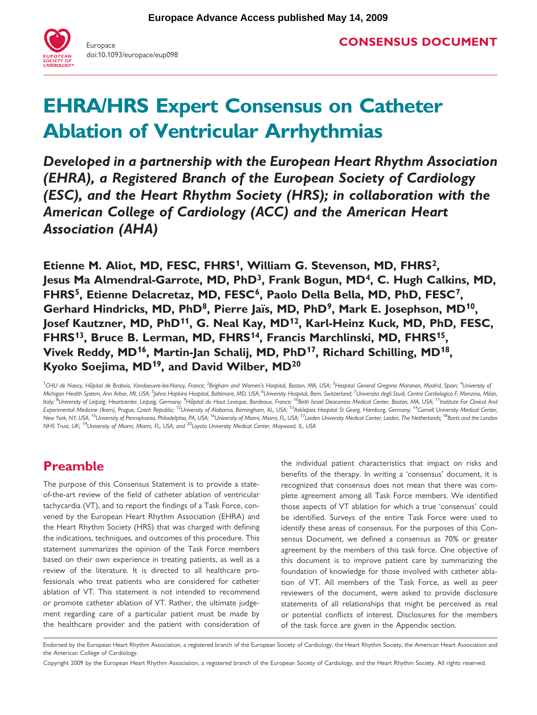

Europace doi:10.1093/europace/eup098

# EHRA/HRS Expert Consensus on Catheter Ablation of Ventricular Arrhythmias

Developed in a partnership with the European Heart Rhythm Association (EHRA), a Registered Branch of the European Society of Cardiology (ESC), and the Heart Rhythm Society (HRS); in collaboration with the American College of Cardiology (ACC) and the American Heart Association (AHA)

Etienne M. Aliot, MD, FESC, FHRS<sup>1</sup>, William G. Stevenson, MD, FHRS<sup>2</sup>, Jesus Ma Almendral-Garrote, MD, PhD<sup>3</sup>, Frank Bogun, MD<sup>4</sup>, C. Hugh Calkins, MD, FHRS<sup>5</sup>, Etienne Delacretaz, MD, FESC<sup>6</sup>, Paolo Della Bella, MD, PhD, FESC<sup>7</sup>, Gerhard Hindricks, MD, PhD<sup>8</sup>, Pierre Jaïs, MD, PhD<sup>9</sup>, Mark E. Josephson, MD<sup>10</sup>, Josef Kautzner, MD, PhD<sup>11</sup>, G. Neal Kay, MD<sup>12</sup>, Karl-Heinz Kuck, MD, PhD, FESC, FHRS<sup>13</sup>, Bruce B. Lerman, MD, FHRS<sup>14</sup>, Francis Marchlinski, MD, FHRS<sup>15</sup>, Vivek Reddy, MD16, Martin-Jan Schalij, MD, PhD17, Richard Schilling, MD18, Kyoko Soejima, MD<sup>19</sup>, and David Wilber, MD<sup>20</sup>

<sup>1</sup>CHU de Nancy, Hôpital de Brabois, Vandoeuvre-les-Nancy, France; <sup>2</sup>Brigham and Women's Hospital, Boston, MA, USA; <sup>3</sup>Hospital General Gregorio Maranon, Madrid, Spain; <sup>4</sup>University oj Michigan Health System, Ann Arbor, MI, USA; <sup>5</sup>Johns Hopkins Hospital, Baltimore, MD, USA; <sup>6</sup>University Hospital, Bern, Switzerland; <sup>7</sup>Universita degli Studi, Centro Cardiologico F. Monzino, Milan, Italy; <sup>8</sup>University of Leipzig, Heartcenter, Leipzig, Germany; <sup>9</sup>Hôpital du Haut Leveque, Bordeaux, France; <sup>10</sup>Beth Israel Deaconess Medical Center, Boston, MA, USA; <sup>11</sup>Institute For Clinical Anc Experimental Medicine (Ikem), Prague, Czech Republic; <sup>12</sup>University of Alabama, Birmingham, AL, USA; <sup>13</sup>Asklepios Hospital St Georg, Hamburg, Germany; <sup>14</sup>Cornell University Medical Center, New York, NY, USA; <sup>15</sup>University of Pennsylvania, Philadelphia, PA, USA; <sup>16</sup>University of Miami, Miami, FL, USA; <sup>17</sup>Leiden University Medical Center, Leiden, The Netherlands; <sup>18</sup>Barts and the London NHS Trust, UK; <sup>19</sup>University of Miami, Miami, FL, USA; and <sup>20</sup>Loyola University Medical Center, Maywood, IL, USA

## Preamble

The purpose of this Consensus Statement is to provide a stateof-the-art review of the field of catheter ablation of ventricular tachycardia (VT), and to report the findings of a Task Force, convened by the European Heart Rhythm Association (EHRA) and the Heart Rhythm Society (HRS) that was charged with defining the indications, techniques, and outcomes of this procedure. This statement summarizes the opinion of the Task Force members based on their own experience in treating patients, as well as a review of the literature. It is directed to all healthcare professionals who treat patients who are considered for catheter ablation of VT. This statement is not intended to recommend or promote catheter ablation of VT. Rather, the ultimate judgement regarding care of a particular patient must be made by the healthcare provider and the patient with consideration of the individual patient characteristics that impact on risks and benefits of the therapy. In writing a 'consensus' document, it is recognized that consensus does not mean that there was complete agreement among all Task Force members. We identified those aspects of VT ablation for which a true 'consensus' could be identified. Surveys of the entire Task Force were used to identify these areas of consensus. For the purposes of this Consensus Document, we defined a consensus as 70% or greater agreement by the members of this task force. One objective of this document is to improve patient care by summarizing the foundation of knowledge for those involved with catheter ablation of VT. All members of the Task Force, as well as peer reviewers of the document, were asked to provide disclosure statements of all relationships that might be perceived as real or potential conflicts of interest. Disclosures for the members of the task force are given in the Appendix section.

Endorsed by the European Heart Rhythm Association, a registered branch of the European Society of Cardiology, the Heart Rhythm Society, the American Heart Association and the American College of Cardiology.

Copyright 2009 by the European Heart Rhythm Association, a registered branch of the European Society of Cardiology, and the Heart Rhythm Society. All rights reserved.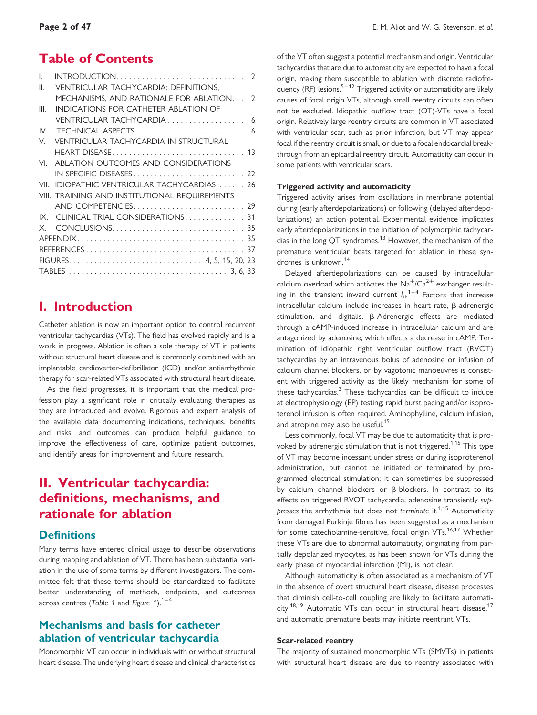## Table of Contents

| T.              |                                               |  |  |  |  |  |
|-----------------|-----------------------------------------------|--|--|--|--|--|
| $\mathbf{II}$ . | <b>VENTRICULAR TACHYCARDIA: DEFINITIONS.</b>  |  |  |  |  |  |
|                 | MECHANISMS, AND RATIONALE FOR ABLATION 2      |  |  |  |  |  |
| III.            | <b>INDICATIONS FOR CATHETER ABLATION OF</b>   |  |  |  |  |  |
|                 | VENTRICULAR TACHYCARDIA<br>6                  |  |  |  |  |  |
| IV              | TECHNICAL ASPECTS<br>$\overline{a}$           |  |  |  |  |  |
| V.              | <b>VENTRICULAR TACHYCARDIA IN STRUCTURAL</b>  |  |  |  |  |  |
|                 |                                               |  |  |  |  |  |
| VI.             | ABLATION OUTCOMES AND CONSIDERATIONS          |  |  |  |  |  |
|                 |                                               |  |  |  |  |  |
| VII             | IDIOPATHIC VENTRICULAR TACHYCARDIAS  26       |  |  |  |  |  |
|                 | VIII. TRAINING AND INSTITUTIONAL REQUIREMENTS |  |  |  |  |  |
|                 |                                               |  |  |  |  |  |
|                 | IX. CLINICAL TRIAL CONSIDERATIONS 31          |  |  |  |  |  |
| X.              |                                               |  |  |  |  |  |
|                 |                                               |  |  |  |  |  |
|                 |                                               |  |  |  |  |  |
|                 |                                               |  |  |  |  |  |
|                 |                                               |  |  |  |  |  |

## I. Introduction

Catheter ablation is now an important option to control recurrent ventricular tachycardias (VTs). The field has evolved rapidly and is a work in progress. Ablation is often a sole therapy of VT in patients without structural heart disease and is commonly combined with an implantable cardioverter-defibrillator (ICD) and/or antiarrhythmic therapy for scar-related VTs associated with structural heart disease.

As the field progresses, it is important that the medical profession play a significant role in critically evaluating therapies as they are introduced and evolve. Rigorous and expert analysis of the available data documenting indications, techniques, benefits and risks, and outcomes can produce helpful guidance to improve the effectiveness of care, optimize patient outcomes, and identify areas for improvement and future research.

## II. Ventricular tachycardia: definitions, mechanisms, and rationale for ablation

## **Definitions**

Many terms have entered clinical usage to describe observations during mapping and ablation of VT. There has been substantial variation in the use of some terms by different investigators. The committee felt that these terms should be standardized to facilitate better understanding of methods, endpoints, and outcomes across centres (Table 1 and Figure 1).<sup>1-4</sup>

## Mechanisms and basis for catheter ablation of ventricular tachycardia

Monomorphic VT can occur in individuals with or without structural heart disease. The underlying heart disease and clinical characteristics

of the VT often suggest a potential mechanism and origin. Ventricular tachycardias that are due to automaticity are expected to have a focal origin, making them susceptible to ablation with discrete radiofrequency (RF) lesions. $5 - 12$  Triggered activity or automaticity are likely causes of focal origin VTs, although small reentry circuits can often not be excluded. Idiopathic outflow tract (OT)-VTs have a focal origin. Relatively large reentry circuits are common in VT associated with ventricular scar, such as prior infarction, but VT may appear focal if the reentry circuit is small, or due to a focal endocardial breakthrough from an epicardial reentry circuit. Automaticity can occur in some patients with ventricular scars.

#### Triggered activity and automaticity

Triggered activity arises from oscillations in membrane potential during (early afterdepolarizations) or following (delayed afterdepolarizations) an action potential. Experimental evidence implicates early afterdepolarizations in the initiation of polymorphic tachycardias in the long OT syndromes.<sup>13</sup> However, the mechanism of the premature ventricular beats targeted for ablation in these syndromes is unknown.<sup>14</sup>

Delayed afterdepolarizations can be caused by intracellular calcium overload which activates the  $Na^{+}/Ca^{2+}$  exchanger resulting in the transient inward current  $I_{ti}$ <sup>1-4</sup> Factors that increase intracellular calcium include increases in heart rate, ß-adrenergic stimulation, and digitalis. B-Adrenergic effects are mediated through a cAMP-induced increase in intracellular calcium and are antagonized by adenosine, which effects a decrease in cAMP. Termination of idiopathic right ventricular outflow tract (RVOT) tachycardias by an intravenous bolus of adenosine or infusion of calcium channel blockers, or by vagotonic manoeuvres is consistent with triggered activity as the likely mechanism for some of these tachycardias.<sup>3</sup> These tachycardias can be difficult to induce at electrophysiology (EP) testing; rapid burst pacing and/or isoproterenol infusion is often required. Aminophylline, calcium infusion, and atropine may also be useful.<sup>15</sup>

Less commonly, focal VT may be due to automaticity that is provoked by adrenergic stimulation that is not triggered.<sup>1,15</sup> This type of VT may become incessant under stress or during isoproterenol administration, but cannot be initiated or terminated by programmed electrical stimulation; it can sometimes be suppressed by calcium channel blockers or  $\beta$ -blockers. In contrast to its effects on triggered RVOT tachycardia, adenosine transiently suppresses the arrhythmia but does not terminate it.<sup>1,15</sup> Automaticity from damaged Purkinje fibres has been suggested as a mechanism for some catecholamine-sensitive, focal origin VTs.<sup>16,17</sup> Whether these VTs are due to abnormal automaticity, originating from partially depolarized myocytes, as has been shown for VTs during the early phase of myocardial infarction (MI), is not clear.

Although automaticity is often associated as a mechanism of VT in the absence of overt structural heart disease, disease processes that diminish cell-to-cell coupling are likely to facilitate automaticity.<sup>18,19</sup> Automatic VTs can occur in structural heart disease,<sup>17</sup> and automatic premature beats may initiate reentrant VTs.

#### Scar-related reentry

The majority of sustained monomorphic VTs (SMVTs) in patients with structural heart disease are due to reentry associated with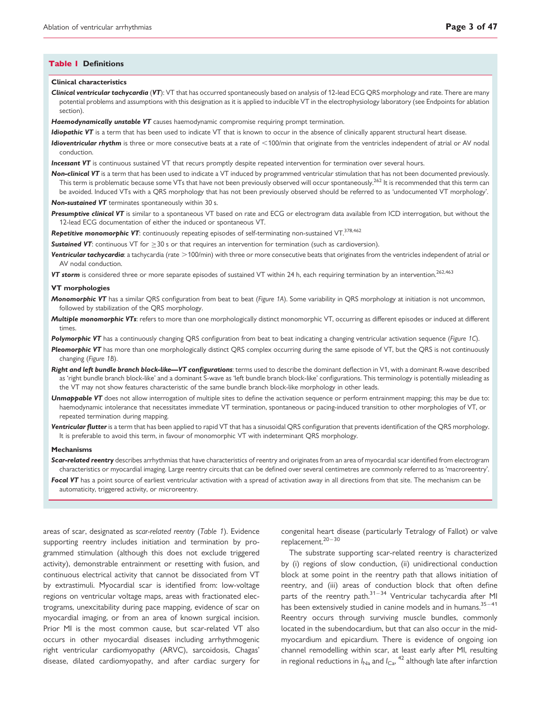#### Table 1 Definitions

#### Clinical characteristics

Clinical ventricular tachycardia (VT): VT that has occurred spontaneously based on analysis of 12-lead ECG QRS morphology and rate. There are many potential problems and assumptions with this designation as it is applied to inducible VT in the electrophysiology laboratory (see Endpoints for ablation section).

Haemodynamically unstable VT causes haemodynamic compromise requiring prompt termination.

- Idiopathic VT is a term that has been used to indicate VT that is known to occur in the absence of clinically apparent structural heart disease.
- Idioventricular rhythm is three or more consecutive beats at a rate of <100/min that originate from the ventricles independent of atrial or AV nodal conduction.

**Incessant VT** is continuous sustained VT that recurs promptly despite repeated intervention for termination over several hours.

Non-clinical VT is a term that has been used to indicate a VT induced by programmed ventricular stimulation that has not been documented previously. This term is problematic because some VTs that have not been previously observed will occur spontaneously.<sup>262</sup> It is recommended that this term can be avoided. Induced VTs with a QRS morphology that has not been previously observed should be referred to as 'undocumented VT morphology'.

Non-sustained VT terminates spontaneously within 30 s.

Presumptive clinical VT is similar to a spontaneous VT based on rate and ECG or electrogram data available from ICD interrogation, but without the 12-lead ECG documentation of either the induced or spontaneous VT.

Repetitive monomorphic VT: continuously repeating episodes of self-terminating non-sustained VT.<sup>378,462</sup>

**Sustained VT**: continuous VT for  $\geq$ 30 s or that requires an intervention for termination (such as cardioversion).

Ventricular tachycardia: a tachycardia (rate >100/min) with three or more consecutive beats that originates from the ventricles independent of atrial or AV nodal conduction.

VT storm is considered three or more separate episodes of sustained VT within 24 h, each requiring termination by an intervention.<sup>262,463</sup>

#### VT morphologies

- Monomorphic VT has a similar QRS configuration from beat to beat (Figure 1A). Some variability in QRS morphology at initiation is not uncommon, followed by stabilization of the QRS morphology.
- Multiple monomorphic VTs: refers to more than one morphologically distinct monomorphic VT, occurring as different episodes or induced at different times.
- Polymorphic VT has a continuously changing QRS configuration from beat to beat indicating a changing ventricular activation sequence (Figure 1C).
- Pleomorphic VT has more than one morphologically distinct QRS complex occurring during the same episode of VT, but the QRS is not continuously changing (Figure 1B).
- Right and left bundle branch block-like—VT configurations: terms used to describe the dominant deflection in V1, with a dominant R-wave described as 'right bundle branch block-like' and a dominant S-wave as 'left bundle branch block-like' configurations. This terminology is potentially misleading as the VT may not show features characteristic of the same bundle branch block-like morphology in other leads.
- Unmappable VT does not allow interrogation of multiple sites to define the activation sequence or perform entrainment mapping; this may be due to: haemodynamic intolerance that necessitates immediate VT termination, spontaneous or pacing-induced transition to other morphologies of VT, or repeated termination during mapping.
- Ventricular flutter is a term that has been applied to rapid VT that has a sinusoidal QRS configuration that prevents identification of the QRS morphology. It is preferable to avoid this term, in favour of monomorphic VT with indeterminant QRS morphology.

#### Mechanisms

Scar-related reentry describes arrhythmias that have characteristics of reentry and originates from an area of myocardial scar identified from electrogram characteristics or myocardial imaging. Large reentry circuits that can be defined over several centimetres are commonly referred to as 'macroreentry'. Focal VT has a point source of earliest ventricular activation with a spread of activation away in all directions from that site. The mechanism can be

automaticity, triggered activity, or microreentry.

areas of scar, designated as scar-related reentry (Table 1). Evidence supporting reentry includes initiation and termination by programmed stimulation (although this does not exclude triggered activity), demonstrable entrainment or resetting with fusion, and continuous electrical activity that cannot be dissociated from VT by extrastimuli. Myocardial scar is identified from: low-voltage regions on ventricular voltage maps, areas with fractionated electrograms, unexcitability during pace mapping, evidence of scar on myocardial imaging, or from an area of known surgical incision. Prior MI is the most common cause, but scar-related VT also occurs in other myocardial diseases including arrhythmogenic right ventricular cardiomyopathy (ARVC), sarcoidosis, Chagas' disease, dilated cardiomyopathy, and after cardiac surgery for

congenital heart disease (particularly Tetralogy of Fallot) or valve replacement.<sup>20-30</sup>

The substrate supporting scar-related reentry is characterized by (i) regions of slow conduction, (ii) unidirectional conduction block at some point in the reentry path that allows initiation of reentry, and (iii) areas of conduction block that often define parts of the reentry path. $31-34$  Ventricular tachycardia after MI has been extensively studied in canine models and in humans.<sup>35-41</sup> Reentry occurs through surviving muscle bundles, commonly located in the subendocardium, but that can also occur in the midmyocardium and epicardium. There is evidence of ongoing ion channel remodelling within scar, at least early after MI, resulting in regional reductions in  $I_{\text{Na}}$  and  $I_{\text{Ca}}$ , <sup>42</sup> although late after infarction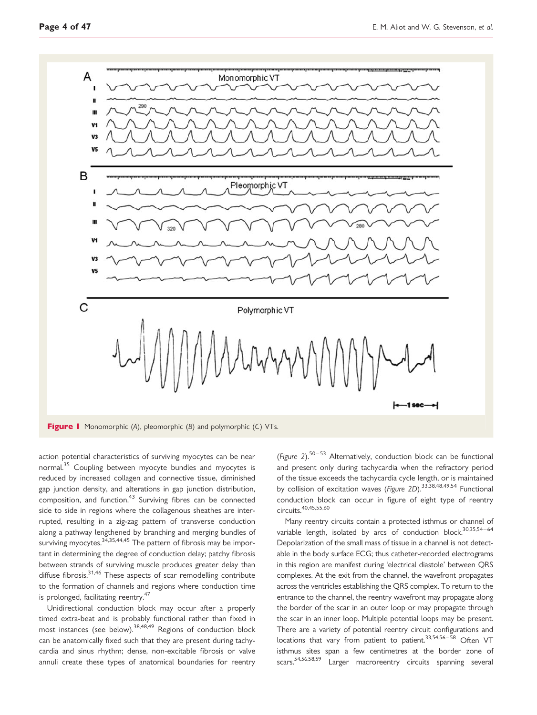

action potential characteristics of surviving myocytes can be near normal.<sup>35</sup> Coupling between myocyte bundles and myocytes is reduced by increased collagen and connective tissue, diminished gap junction density, and alterations in gap junction distribution, composition, and function.<sup>43</sup> Surviving fibres can be connected side to side in regions where the collagenous sheathes are interrupted, resulting in a zig-zag pattern of transverse conduction along a pathway lengthened by branching and merging bundles of surviving myocytes.<sup>34,35,44,45</sup> The pattern of fibrosis may be important in determining the degree of conduction delay; patchy fibrosis between strands of surviving muscle produces greater delay than diffuse fibrosis. $31,46$  These aspects of scar remodelling contribute to the formation of channels and regions where conduction time is prolonged, facilitating reentry.<sup>47</sup>

Unidirectional conduction block may occur after a properly timed extra-beat and is probably functional rather than fixed in most instances (see below).<sup>38,48,49</sup> Regions of conduction block can be anatomically fixed such that they are present during tachycardia and sinus rhythm; dense, non-excitable fibrosis or valve annuli create these types of anatomical boundaries for reentry

(Figure 2).<sup>50-53</sup> Alternatively, conduction block can be functional and present only during tachycardia when the refractory period of the tissue exceeds the tachycardia cycle length, or is maintained by collision of excitation waves (Figure 2D).<sup>33,38,48,49,54</sup> Functional conduction block can occur in figure of eight type of reentry circuits.40,45,55,60

Many reentry circuits contain a protected isthmus or channel of variable length, isolated by arcs of conduction block.<sup>30,35,54-64</sup> Depolarization of the small mass of tissue in a channel is not detectable in the body surface ECG; thus catheter-recorded electrograms in this region are manifest during 'electrical diastole' between QRS complexes. At the exit from the channel, the wavefront propagates across the ventricles establishing the QRS complex. To return to the entrance to the channel, the reentry wavefront may propagate along the border of the scar in an outer loop or may propagate through the scar in an inner loop. Multiple potential loops may be present. There are a variety of potential reentry circuit configurations and locations that vary from patient to patient.<sup>33,54,56-58</sup> Often VT isthmus sites span a few centimetres at the border zone of scars.54,56,58,59 Larger macroreentry circuits spanning several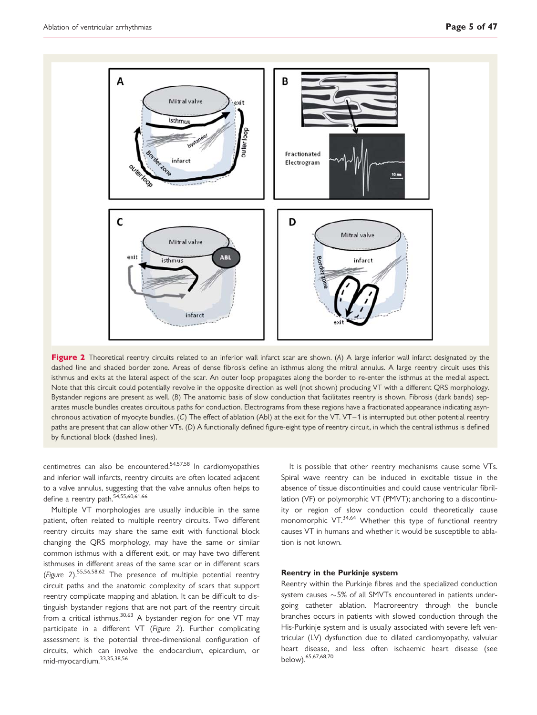

Figure 2 Theoretical reentry circuits related to an inferior wall infarct scar are shown. (A) A large inferior wall infarct designated by the dashed line and shaded border zone. Areas of dense fibrosis define an isthmus along the mitral annulus. A large reentry circuit uses this isthmus and exits at the lateral aspect of the scar. An outer loop propagates along the border to re-enter the isthmus at the medial aspect. Note that this circuit could potentially revolve in the opposite direction as well (not shown) producing VT with a different QRS morphology. Bystander regions are present as well. (B) The anatomic basis of slow conduction that facilitates reentry is shown. Fibrosis (dark bands) separates muscle bundles creates circuitous paths for conduction. Electrograms from these regions have a fractionated appearance indicating asynchronous activation of myocyte bundles. (C) The effect of ablation (Abl) at the exit for the VT. VT-1 is interrupted but other potential reentry paths are present that can allow other VTs. (D) A functionally defined figure-eight type of reentry circuit, in which the central isthmus is defined by functional block (dashed lines).

centimetres can also be encountered.<sup>54,57,58</sup> In cardiomyopathies and inferior wall infarcts, reentry circuits are often located adjacent to a valve annulus, suggesting that the valve annulus often helps to define a reentry path.<sup>54,55,60,61,66</sup>

Multiple VT morphologies are usually inducible in the same patient, often related to multiple reentry circuits. Two different reentry circuits may share the same exit with functional block changing the QRS morphology, may have the same or similar common isthmus with a different exit, or may have two different isthmuses in different areas of the same scar or in different scars (Figure 2).55,56,58,62 The presence of multiple potential reentry circuit paths and the anatomic complexity of scars that support reentry complicate mapping and ablation. It can be difficult to distinguish bystander regions that are not part of the reentry circuit from a critical isthmus.<sup>30,63</sup> A bystander region for one VT may participate in a different VT (Figure 2). Further complicating assessment is the potential three-dimensional configuration of circuits, which can involve the endocardium, epicardium, or mid-myocardium.33,35,38,56

It is possible that other reentry mechanisms cause some VTs. Spiral wave reentry can be induced in excitable tissue in the absence of tissue discontinuities and could cause ventricular fibrillation (VF) or polymorphic VT (PMVT); anchoring to a discontinuity or region of slow conduction could theoretically cause monomorphic VT.<sup>34,64</sup> Whether this type of functional reentry causes VT in humans and whether it would be susceptible to ablation is not known.

#### Reentry in the Purkinje system

Reentry within the Purkinje fibres and the specialized conduction system causes  ${\sim}5\%$  of all SMVTs encountered in patients undergoing catheter ablation. Macroreentry through the bundle branches occurs in patients with slowed conduction through the His-Purkinje system and is usually associated with severe left ventricular (LV) dysfunction due to dilated cardiomyopathy, valvular heart disease, and less often ischaemic heart disease (see below).65,67,68,70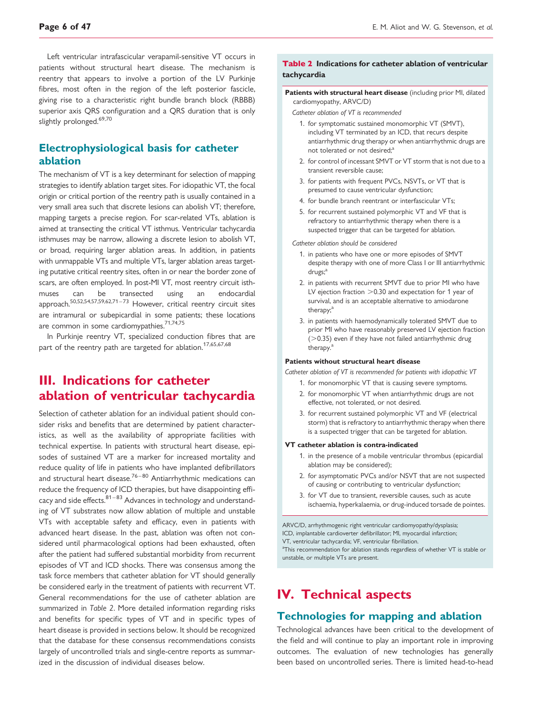Left ventricular intrafascicular verapamil-sensitive VT occurs in patients without structural heart disease. The mechanism is reentry that appears to involve a portion of the LV Purkinje fibres, most often in the region of the left posterior fascicle, giving rise to a characteristic right bundle branch block (RBBB) superior axis QRS configuration and a QRS duration that is only slightly prolonged.<sup>69,70</sup>

## Electrophysiological basis for catheter ablation

The mechanism of VT is a key determinant for selection of mapping strategies to identify ablation target sites. For idiopathic VT, the focal origin or critical portion of the reentry path is usually contained in a very small area such that discrete lesions can abolish VT; therefore, mapping targets a precise region. For scar-related VTs, ablation is aimed at transecting the critical VT isthmus. Ventricular tachycardia isthmuses may be narrow, allowing a discrete lesion to abolish VT, or broad, requiring larger ablation areas. In addition, in patients with unmappable VTs and multiple VTs, larger ablation areas targeting putative critical reentry sites, often in or near the border zone of scars, are often employed. In post-MI VT, most reentry circuit isthmuses can be transected using an endocardial approach.<sup>50,52,54,57,59,62,71–73</sup> However, critical reentry circuit sites are intramural or subepicardial in some patients; these locations are common in some cardiomypathies. $71,74,75$ 

In Purkinje reentry VT, specialized conduction fibres that are part of the reentry path are targeted for ablation.<sup>17,65,67,68</sup>

## III. Indications for catheter ablation of ventricular tachycardia

Selection of catheter ablation for an individual patient should consider risks and benefits that are determined by patient characteristics, as well as the availability of appropriate facilities with technical expertise. In patients with structural heart disease, episodes of sustained VT are a marker for increased mortality and reduce quality of life in patients who have implanted defibrillators and structural heart disease.<sup>76-80</sup> Antiarrhythmic medications can reduce the frequency of ICD therapies, but have disappointing efficacy and side effects. $81 - 83$  Advances in technology and understanding of VT substrates now allow ablation of multiple and unstable VTs with acceptable safety and efficacy, even in patients with advanced heart disease. In the past, ablation was often not considered until pharmacological options had been exhausted, often after the patient had suffered substantial morbidity from recurrent episodes of VT and ICD shocks. There was consensus among the task force members that catheter ablation for VT should generally be considered early in the treatment of patients with recurrent VT. General recommendations for the use of catheter ablation are summarized in Table 2. More detailed information regarding risks and benefits for specific types of VT and in specific types of heart disease is provided in sections below. It should be recognized that the database for these consensus recommendations consists largely of uncontrolled trials and single-centre reports as summarized in the discussion of individual diseases below.

#### Table 2 Indications for catheter ablation of ventricular tachycardia

Patients with structural heart disease (including prior MI, dilated cardiomyopathy, ARVC/D)

Catheter ablation of VT is recommended

- 1. for symptomatic sustained monomorphic VT (SMVT), including VT terminated by an ICD, that recurs despite antiarrhythmic drug therapy or when antiarrhythmic drugs are not tolerated or not desired<sup>, a</sup>
- 2. for control of incessant SMVT or VT storm that is not due to a transient reversible cause;
- 3. for patients with frequent PVCs, NSVTs, or VT that is presumed to cause ventricular dysfunction;
- 4. for bundle branch reentrant or interfascicular VTs;
- 5. for recurrent sustained polymorphic VT and VF that is refractory to antiarrhythmic therapy when there is a suspected trigger that can be targeted for ablation.

Catheter ablation should be considered

- 1. in patients who have one or more episodes of SMVT despite therapy with one of more Class I or III antiarrhythmic drugs;<sup>a</sup>
- 2. in patients with recurrent SMVT due to prior MI who have LV ejection fraction  $>$  0.30 and expectation for 1 year of survival, and is an acceptable alternative to amiodarone therapy;<sup>a</sup>
- 3. in patients with haemodynamically tolerated SMVT due to prior MI who have reasonably preserved LV ejection fraction  $($  > 0.35) even if they have not failed antiarrhythmic drug therapy.<sup>a</sup>

#### Patients without structural heart disease

Catheter ablation of VT is recommended for patients with idiopathic VT

- 1. for monomorphic VT that is causing severe symptoms.
- 2. for monomorphic VT when antiarrhythmic drugs are not effective, not tolerated, or not desired.
- 3. for recurrent sustained polymorphic VT and VF (electrical storm) that is refractory to antiarrhythmic therapy when there is a suspected trigger that can be targeted for ablation.

#### VT catheter ablation is contra-indicated

- 1. in the presence of a mobile ventricular thrombus (epicardial ablation may be considered);
- 2. for asymptomatic PVCs and/or NSVT that are not suspected of causing or contributing to ventricular dysfunction;
- 3. for VT due to transient, reversible causes, such as acute ischaemia, hyperkalaemia, or drug-induced torsade de pointes.

ARVC/D, arrhythmogenic right ventricular cardiomyopathy/dysplasia; ICD, implantable cardioverter defibrillator; MI, myocardial infarction; VT, ventricular tachycardia; VF, ventricular fibrillation.

<sup>a</sup>This recommendation for ablation stands regardless of whether VT is stable or unstable, or multiple VTs are present.

## IV. Technical aspects

## Technologies for mapping and ablation

Technological advances have been critical to the development of the field and will continue to play an important role in improving outcomes. The evaluation of new technologies has generally been based on uncontrolled series. There is limited head-to-head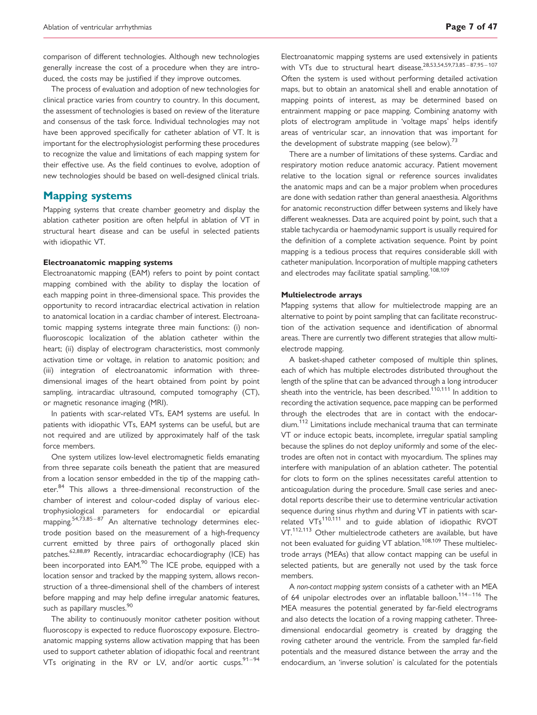comparison of different technologies. Although new technologies generally increase the cost of a procedure when they are introduced, the costs may be justified if they improve outcomes.

The process of evaluation and adoption of new technologies for clinical practice varies from country to country. In this document, the assessment of technologies is based on review of the literature and consensus of the task force. Individual technologies may not have been approved specifically for catheter ablation of VT. It is important for the electrophysiologist performing these procedures to recognize the value and limitations of each mapping system for their effective use. As the field continues to evolve, adoption of new technologies should be based on well-designed clinical trials.

## Mapping systems

Mapping systems that create chamber geometry and display the ablation catheter position are often helpful in ablation of VT in structural heart disease and can be useful in selected patients with idiopathic VT.

#### Electroanatomic mapping systems

Electroanatomic mapping (EAM) refers to point by point contact mapping combined with the ability to display the location of each mapping point in three-dimensional space. This provides the opportunity to record intracardiac electrical activation in relation to anatomical location in a cardiac chamber of interest. Electroanatomic mapping systems integrate three main functions: (i) nonfluoroscopic localization of the ablation catheter within the heart; (ii) display of electrogram characteristics, most commonly activation time or voltage, in relation to anatomic position; and (iii) integration of electroanatomic information with threedimensional images of the heart obtained from point by point sampling, intracardiac ultrasound, computed tomography (CT), or magnetic resonance imaging (MRI).

In patients with scar-related VTs, EAM systems are useful. In patients with idiopathic VTs, EAM systems can be useful, but are not required and are utilized by approximately half of the task force members.

One system utilizes low-level electromagnetic fields emanating from three separate coils beneath the patient that are measured from a location sensor embedded in the tip of the mapping catheter.<sup>84</sup> This allows a three-dimensional reconstruction of the chamber of interest and colour-coded display of various electrophysiological parameters for endocardial or epicardial mapping.<sup>54,73,85-87</sup> An alternative technology determines electrode position based on the measurement of a high-frequency current emitted by three pairs of orthogonally placed skin patches.<sup>62,88,89</sup> Recently, intracardiac echocardiography (ICE) has been incorporated into EAM.<sup>90</sup> The ICE probe, equipped with a location sensor and tracked by the mapping system, allows reconstruction of a three-dimensional shell of the chambers of interest before mapping and may help define irregular anatomic features, such as papillary muscles.<sup>90</sup>

The ability to continuously monitor catheter position without fluoroscopy is expected to reduce fluoroscopy exposure. Electroanatomic mapping systems allow activation mapping that has been used to support catheter ablation of idiopathic focal and reentrant VTs originating in the RV or LV, and/or aortic cusps. $91-94$ 

Electroanatomic mapping systems are used extensively in patients with VTs due to structural heart disease.<sup>28,53,54,59,73,85</sup>-87,95-107 Often the system is used without performing detailed activation maps, but to obtain an anatomical shell and enable annotation of mapping points of interest, as may be determined based on entrainment mapping or pace mapping. Combining anatomy with plots of electrogram amplitude in 'voltage maps' helps identify areas of ventricular scar, an innovation that was important for the development of substrate mapping (see below).<sup>73</sup>

There are a number of limitations of these systems. Cardiac and respiratory motion reduce anatomic accuracy. Patient movement relative to the location signal or reference sources invalidates the anatomic maps and can be a major problem when procedures are done with sedation rather than general anaesthesia. Algorithms for anatomic reconstruction differ between systems and likely have different weaknesses. Data are acquired point by point, such that a stable tachycardia or haemodynamic support is usually required for the definition of a complete activation sequence. Point by point mapping is a tedious process that requires considerable skill with catheter manipulation. Incorporation of multiple mapping catheters and electrodes may facilitate spatial sampling.<sup>108,109</sup>

#### Multielectrode arrays

Mapping systems that allow for multielectrode mapping are an alternative to point by point sampling that can facilitate reconstruction of the activation sequence and identification of abnormal areas. There are currently two different strategies that allow multielectrode mapping.

A basket-shaped catheter composed of multiple thin splines, each of which has multiple electrodes distributed throughout the length of the spline that can be advanced through a long introducer sheath into the ventricle, has been described.<sup>110,111</sup> In addition to recording the activation sequence, pace mapping can be performed through the electrodes that are in contact with the endocardium.<sup>112</sup> Limitations include mechanical trauma that can terminate VT or induce ectopic beats, incomplete, irregular spatial sampling because the splines do not deploy uniformly and some of the electrodes are often not in contact with myocardium. The splines may interfere with manipulation of an ablation catheter. The potential for clots to form on the splines necessitates careful attention to anticoagulation during the procedure. Small case series and anecdotal reports describe their use to determine ventricular activation sequence during sinus rhythm and during VT in patients with scarrelated VTs<sup>110,111</sup> and to guide ablation of idiopathic RVOT VT.<sup>112,113</sup> Other multielectrode catheters are available, but have not been evaluated for guiding VT ablation.<sup>108,109</sup> These multielectrode arrays (MEAs) that allow contact mapping can be useful in selected patients, but are generally not used by the task force members.

A non-contact mapping system consists of a catheter with an MEA of 64 unipolar electrodes over an inflatable balloon.<sup>114-116</sup> The MEA measures the potential generated by far-field electrograms and also detects the location of a roving mapping catheter. Threedimensional endocardial geometry is created by dragging the roving catheter around the ventricle. From the sampled far-field potentials and the measured distance between the array and the endocardium, an 'inverse solution' is calculated for the potentials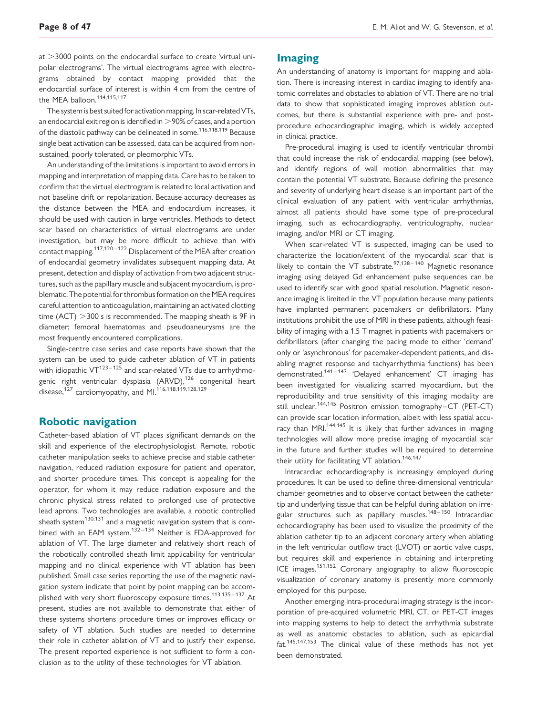at  $>$  3000 points on the endocardial surface to create 'virtual unipolar electrograms'. The virtual electrograms agree with electrograms obtained by contact mapping provided that the endocardial surface of interest is within 4 cm from the centre of the MEA balloon.<sup>114,115,117</sup>

The system is best suited for activation mapping. In scar-related VTs, an endocardial exit region is identified in  $>$ 90% of cases, and a portion of the diastolic pathway can be delineated in some.<sup>116,118,119</sup> Because single beat activation can be assessed, data can be acquired from nonsustained, poorly tolerated, or pleomorphic VTs.

An understanding of the limitations is important to avoid errors in mapping and interpretation of mapping data. Care has to be taken to confirm that the virtual electrogram is related to local activation and not baseline drift or repolarization. Because accuracy decreases as the distance between the MEA and endocardium increases, it should be used with caution in large ventricles. Methods to detect scar based on characteristics of virtual electrograms are under investigation, but may be more difficult to achieve than with contact mapping.<sup>117,120-122</sup> Displacement of the MEA after creation of endocardial geometry invalidates subsequent mapping data. At present, detection and display of activation from two adjacent structures, such as the papillary muscle and subjacent myocardium, is problematic. The potential for thrombus formation on the MEA requires careful attention to anticoagulation, maintaining an activated clotting time (ACT)  $>300$  s is recommended. The mapping sheath is 9F in diameter; femoral haematomas and pseudoaneurysms are the most frequently encountered complications.

Single-centre case series and case reports have shown that the system can be used to guide catheter ablation of VT in patients with idiopathic  $VT^{123-125}$  and scar-related VTs due to arrhythmogenic right ventricular dysplasia (ARVD),<sup>126</sup> congenital heart disease,<sup>127</sup> cardiomyopathy, and MI.<sup>116,118,119,128,129</sup>

### Robotic navigation

Catheter-based ablation of VT places significant demands on the skill and experience of the electrophysiologist. Remote, robotic catheter manipulation seeks to achieve precise and stable catheter navigation, reduced radiation exposure for patient and operator, and shorter procedure times. This concept is appealing for the operator, for whom it may reduce radiation exposure and the chronic physical stress related to prolonged use of protective lead aprons. Two technologies are available, a robotic controlled sheath system<sup>130,131</sup> and a magnetic navigation system that is combined with an EAM system. $132 - 134$  Neither is FDA-approved for ablation of VT. The large diameter and relatively short reach of the robotically controlled sheath limit applicability for ventricular mapping and no clinical experience with VT ablation has been published. Small case series reporting the use of the magnetic navigation system indicate that point by point mapping can be accomplished with very short fluoroscopy exposure times.<sup>113,135-137</sup> At present, studies are not available to demonstrate that either of these systems shortens procedure times or improves efficacy or safety of VT ablation. Such studies are needed to determine their role in catheter ablation of VT and to justify their expense. The present reported experience is not sufficient to form a conclusion as to the utility of these technologies for VT ablation.

## Imaging

An understanding of anatomy is important for mapping and ablation. There is increasing interest in cardiac imaging to identify anatomic correlates and obstacles to ablation of VT. There are no trial data to show that sophisticated imaging improves ablation outcomes, but there is substantial experience with pre- and postprocedure echocardiographic imaging, which is widely accepted in clinical practice.

Pre-procedural imaging is used to identify ventricular thrombi that could increase the risk of endocardial mapping (see below), and identify regions of wall motion abnormalities that may contain the potential VT substrate. Because defining the presence and severity of underlying heart disease is an important part of the clinical evaluation of any patient with ventricular arrhythmias, almost all patients should have some type of pre-procedural imaging, such as echocardiography, ventriculography, nuclear imaging, and/or MRI or CT imaging.

When scar-related VT is suspected, imaging can be used to characterize the location/extent of the myocardial scar that is likely to contain the VT substrate.<sup>97,138-140</sup> Magnetic resonance imaging using delayed Gd enhancement pulse sequences can be used to identify scar with good spatial resolution. Magnetic resonance imaging is limited in the VT population because many patients have implanted permanent pacemakers or defibrillators. Many institutions prohibit the use of MRI in these patients, although feasibility of imaging with a 1.5 T magnet in patients with pacemakers or defibrillators (after changing the pacing mode to either 'demand' only or 'asynchronous' for pacemaker-dependent patients, and disabling magnet response and tachyarrhythmia functions) has been demonstrated.<sup>141-143</sup> 'Delayed enhancement' CT imaging has been investigated for visualizing scarred myocardium, but the reproducibility and true sensitivity of this imaging modality are still unclear.<sup>144,145</sup> Positron emission tomography–CT (PET-CT) can provide scar location information, albeit with less spatial accuracy than MRI.<sup>144,145</sup> It is likely that further advances in imaging technologies will allow more precise imaging of myocardial scar in the future and further studies will be required to determine their utility for facilitating VT ablation.<sup>146,147</sup>

Intracardiac echocardiography is increasingly employed during procedures. It can be used to define three-dimensional ventricular chamber geometries and to observe contact between the catheter tip and underlying tissue that can be helpful during ablation on irregular structures such as papillary muscles.<sup>148-150</sup> Intracardiac echocardiography has been used to visualize the proximity of the ablation catheter tip to an adjacent coronary artery when ablating in the left ventricular outflow tract (LVOT) or aortic valve cusps, but requires skill and experience in obtaining and interpreting ICE images.<sup>151,152</sup> Coronary angiography to allow fluoroscopic visualization of coronary anatomy is presently more commonly employed for this purpose.

Another emerging intra-procedural imaging strategy is the incorporation of pre-acquired volumetric MRI, CT, or PET-CT images into mapping systems to help to detect the arrhythmia substrate as well as anatomic obstacles to ablation, such as epicardial fat.145,147,153 The clinical value of these methods has not yet been demonstrated.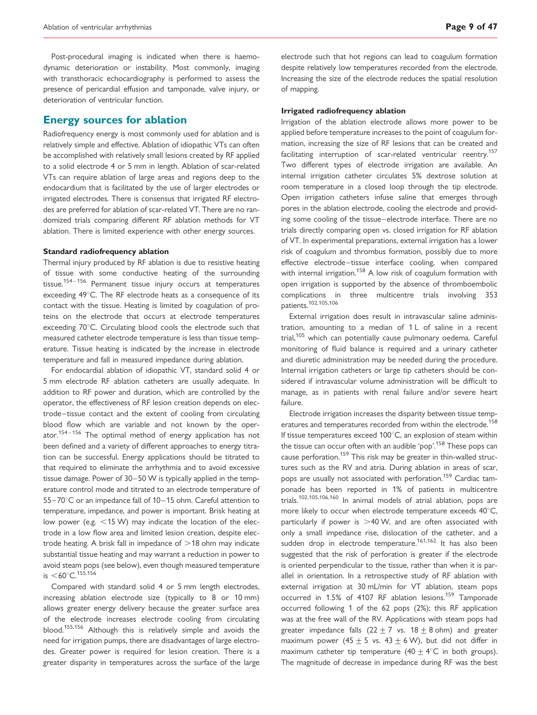Post-procedural imaging is indicated when there is haemodynamic deterioration or instability. Most commonly, imaging with transthoracic echocardiography is performed to assess the presence of pericardial effusion and tamponade, valve injury, or deterioration of ventricular function.

### Energy sources for ablation

Radiofrequency energy is most commonly used for ablation and is relatively simple and effective. Ablation of idiopathic VTs can often be accomplished with relatively small lesions created by RF applied to a solid electrode 4 or 5 mm in length. Ablation of scar-related VTs can require ablation of large areas and regions deep to the endocardium that is facilitated by the use of larger electrodes or irrigated electrodes. There is consensus that irrigated RF electrodes are preferred for ablation of scar-related VT. There are no randomized trials comparing different RF ablation methods for VT ablation. There is limited experience with other energy sources.

#### Standard radiofrequency ablation

Thermal injury produced by RF ablation is due to resistive heating of tissue with some conductive heating of the surrounding tissue.<sup>154-156</sup> Permanent tissue injury occurs at temperatures exceeding 49°C. The RF electrode heats as a consequence of its contact with the tissue. Heating is limited by coagulation of proteins on the electrode that occurs at electrode temperatures exceeding 70°C. Circulating blood cools the electrode such that measured catheter electrode temperature is less than tissue temperature. Tissue heating is indicated by the increase in electrode temperature and fall in measured impedance during ablation.

For endocardial ablation of idiopathic VT, standard solid 4 or 5 mm electrode RF ablation catheters are usually adequate. In addition to RF power and duration, which are controlled by the operator, the effectiveness of RF lesion creation depends on electrode – tissue contact and the extent of cooling from circulating blood flow which are variable and not known by the operator.<sup>154-156</sup> The optimal method of energy application has not been defined and a variety of different approaches to energy titration can be successful. Energy applications should be titrated to that required to eliminate the arrhythmia and to avoid excessive tissue damage. Power of 30–50 W is typically applied in the temperature control mode and titrated to an electrode temperature of 55–708C or an impedance fall of 10–15 ohm. Careful attention to temperature, impedance, and power is important. Brisk heating at low power (e.g.  $<$  15 W) may indicate the location of the electrode in a low flow area and limited lesion creation, despite electrode heating. A brisk fall in impedance of  $>$ 18 ohm may indicate substantial tissue heating and may warrant a reduction in power to avoid steam pops (see below), even though measured temperature is  $<60^{\circ}$ C.<sup>155,156</sup>

Compared with standard solid 4 or 5 mm length electrodes, increasing ablation electrode size (typically to 8 or 10 mm) allows greater energy delivery because the greater surface area of the electrode increases electrode cooling from circulating blood.155,156 Although this is relatively simple and avoids the need for irrigation pumps, there are disadvantages of large electrodes. Greater power is required for lesion creation. There is a greater disparity in temperatures across the surface of the large

electrode such that hot regions can lead to coagulum formation despite relatively low temperatures recorded from the electrode. Increasing the size of the electrode reduces the spatial resolution of mapping.

#### Irrigated radiofrequency ablation

Irrigation of the ablation electrode allows more power to be applied before temperature increases to the point of coagulum formation, increasing the size of RF lesions that can be created and facilitating interruption of scar-related ventricular reentry.<sup>157</sup> Two different types of electrode irrigation are available. An internal irrigation catheter circulates 5% dextrose solution at room temperature in a closed loop through the tip electrode. Open irrigation catheters infuse saline that emerges through pores in the ablation electrode, cooling the electrode and providing some cooling of the tissue–electrode interface. There are no trials directly comparing open vs. closed irrigation for RF ablation of VT. In experimental preparations, external irrigation has a lower risk of coagulum and thrombus formation, possibly due to more effective electrode– tissue interface cooling, when compared with internal irrigation.<sup>158</sup> A low risk of coagulum formation with open irrigation is supported by the absence of thromboembolic complications in three multicentre trials involving 353 patients.102,105,106

External irrigation does result in intravascular saline administration, amounting to a median of 1 L of saline in a recent trial,<sup>105</sup> which can potentially cause pulmonary oedema. Careful monitoring of fluid balance is required and a urinary catheter and diuretic administration may be needed during the procedure. Internal irrigation catheters or large tip catheters should be considered if intravascular volume administration will be difficult to manage, as in patients with renal failure and/or severe heart failure.

Electrode irrigation increases the disparity between tissue temperatures and temperatures recorded from within the electrode.<sup>158</sup> If tissue temperatures exceed  $100^{\circ}$ C, an explosion of steam within the tissue can occur often with an audible 'pop'.<sup>158</sup> These pops can cause perforation.<sup>159</sup> This risk may be greater in thin-walled structures such as the RV and atria. During ablation in areas of scar, pops are usually not associated with perforation.<sup>159</sup> Cardiac tamponade has been reported in 1% of patients in multicentre trials.102,105,106,160 In animal models of atrial ablation, pops are more likely to occur when electrode temperature exceeds 40°C, particularly if power is  $>40$  W, and are often associated with only a small impedance rise, dislocation of the catheter, and a sudden drop in electrode temperature.<sup>161,162</sup> It has also been suggested that the risk of perforation is greater if the electrode is oriented perpendicular to the tissue, rather than when it is parallel in orientation. In a retrospective study of RF ablation with external irrigation at 30 mL/min for VT ablation, steam pops occurred in 1.5% of 4107 RF ablation lesions.<sup>159</sup> Tamponade occurred following 1 of the 62 pops (2%); this RF application was at the free wall of the RV. Applications with steam pops had greater impedance falls  $(22 + 7 \text{ vs. } 18 + 8 \text{ ohm})$  and greater maximum power (45  $\pm$  5 vs. 43  $\pm$  6 W), but did not differ in maximum catheter tip temperature (40  $\pm$  4°C in both groups). The magnitude of decrease in impedance during RF was the best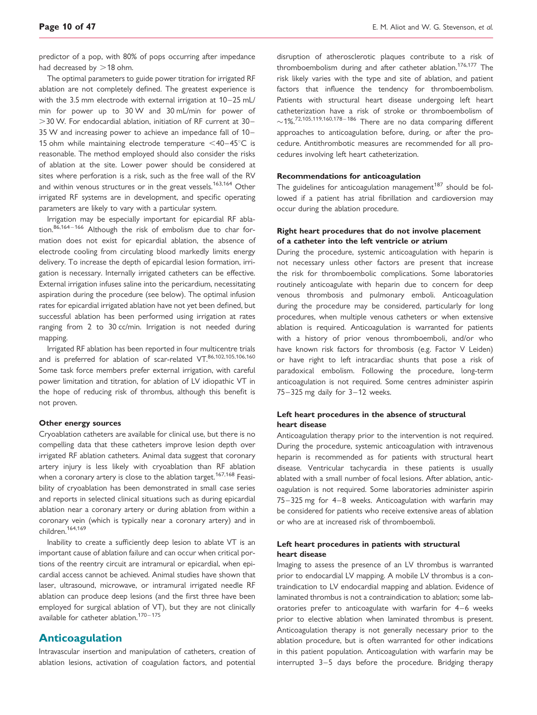predictor of a pop, with 80% of pops occurring after impedance had decreased by  $>18$  ohm.

The optimal parameters to guide power titration for irrigated RF ablation are not completely defined. The greatest experience is with the 3.5 mm electrode with external irrigation at 10-25 mL/ min for power up to 30 W and 30 mL/min for power of .30 W. For endocardial ablation, initiation of RF current at 30 – 35 W and increasing power to achieve an impedance fall of 10– 15 ohm while maintaining electrode temperature  $<$ 40–45°C is reasonable. The method employed should also consider the risks of ablation at the site. Lower power should be considered at sites where perforation is a risk, such as the free wall of the RV and within venous structures or in the great vessels.<sup>163,164</sup> Other irrigated RF systems are in development, and specific operating parameters are likely to vary with a particular system.

Irrigation may be especially important for epicardial RF ablation.<sup>86,164-166</sup> Although the risk of embolism due to char formation does not exist for epicardial ablation, the absence of electrode cooling from circulating blood markedly limits energy delivery. To increase the depth of epicardial lesion formation, irrigation is necessary. Internally irrigated catheters can be effective. External irrigation infuses saline into the pericardium, necessitating aspiration during the procedure (see below). The optimal infusion rates for epicardial irrigated ablation have not yet been defined, but successful ablation has been performed using irrigation at rates ranging from 2 to 30 cc/min. Irrigation is not needed during mapping.

Irrigated RF ablation has been reported in four multicentre trials and is preferred for ablation of scar-related VT.86,102,105,106,160 Some task force members prefer external irrigation, with careful power limitation and titration, for ablation of LV idiopathic VT in the hope of reducing risk of thrombus, although this benefit is not proven.

#### Other energy sources

Cryoablation catheters are available for clinical use, but there is no compelling data that these catheters improve lesion depth over irrigated RF ablation catheters. Animal data suggest that coronary artery injury is less likely with cryoablation than RF ablation when a coronary artery is close to the ablation target.<sup>167,168</sup> Feasibility of cryoablation has been demonstrated in small case series and reports in selected clinical situations such as during epicardial ablation near a coronary artery or during ablation from within a coronary vein (which is typically near a coronary artery) and in children.164,169

Inability to create a sufficiently deep lesion to ablate VT is an important cause of ablation failure and can occur when critical portions of the reentry circuit are intramural or epicardial, when epicardial access cannot be achieved. Animal studies have shown that laser, ultrasound, microwave, or intramural irrigated needle RF ablation can produce deep lesions (and the first three have been employed for surgical ablation of VT), but they are not clinically available for catheter ablation. $170 - 175$ 

## Anticoagulation

Intravascular insertion and manipulation of catheters, creation of ablation lesions, activation of coagulation factors, and potential

disruption of atherosclerotic plaques contribute to a risk of thromboembolism during and after catheter ablation.<sup>176,177</sup> The risk likely varies with the type and site of ablation, and patient factors that influence the tendency for thromboembolism. Patients with structural heart disease undergoing left heart catheterization have a risk of stroke or thromboembolism of  $\sim$ 1%.<sup>72,105,119,160,178-186</sup> There are no data comparing different approaches to anticoagulation before, during, or after the procedure. Antithrombotic measures are recommended for all procedures involving left heart catheterization.

#### Recommendations for anticoagulation

The guidelines for anticoagulation management<sup>187</sup> should be followed if a patient has atrial fibrillation and cardioversion may occur during the ablation procedure.

#### Right heart procedures that do not involve placement of a catheter into the left ventricle or atrium

During the procedure, systemic anticoagulation with heparin is not necessary unless other factors are present that increase the risk for thromboembolic complications. Some laboratories routinely anticoagulate with heparin due to concern for deep venous thrombosis and pulmonary emboli. Anticoagulation during the procedure may be considered, particularly for long procedures, when multiple venous catheters or when extensive ablation is required. Anticoagulation is warranted for patients with a history of prior venous thromboemboli, and/or who have known risk factors for thrombosis (e.g. Factor V Leiden) or have right to left intracardiac shunts that pose a risk of paradoxical embolism. Following the procedure, long-term anticoagulation is not required. Some centres administer aspirin  $75 - 325$  mg daily for  $3 - 12$  weeks.

### Left heart procedures in the absence of structural heart disease

Anticoagulation therapy prior to the intervention is not required. During the procedure, systemic anticoagulation with intravenous heparin is recommended as for patients with structural heart disease. Ventricular tachycardia in these patients is usually ablated with a small number of focal lesions. After ablation, anticoagulation is not required. Some laboratories administer aspirin  $75 - 325$  mg for  $4 - 8$  weeks. Anticoagulation with warfarin may be considered for patients who receive extensive areas of ablation or who are at increased risk of thromboemboli.

#### Left heart procedures in patients with structural heart disease

Imaging to assess the presence of an LV thrombus is warranted prior to endocardial LV mapping. A mobile LV thrombus is a contraindication to LV endocardial mapping and ablation. Evidence of laminated thrombus is not a contraindication to ablation; some laboratories prefer to anticoagulate with warfarin for  $4-6$  weeks prior to elective ablation when laminated thrombus is present. Anticoagulation therapy is not generally necessary prior to the ablation procedure, but is often warranted for other indications in this patient population. Anticoagulation with warfarin may be interrupted 3–5 days before the procedure. Bridging therapy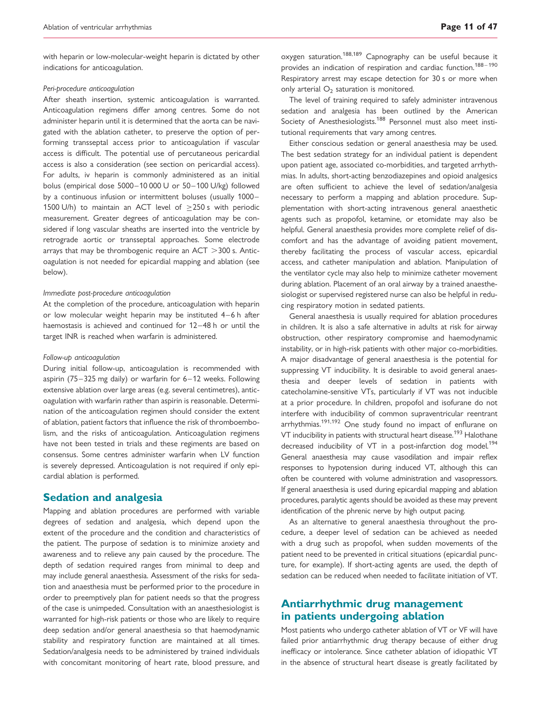with heparin or low-molecular-weight heparin is dictated by other indications for anticoagulation.

#### Peri-procedure anticoagulation

After sheath insertion, systemic anticoagulation is warranted. Anticoagulation regimens differ among centres. Some do not administer heparin until it is determined that the aorta can be navigated with the ablation catheter, to preserve the option of performing transseptal access prior to anticoagulation if vascular access is difficult. The potential use of percutaneous pericardial access is also a consideration (see section on pericardial access). For adults, iv heparin is commonly administered as an initial bolus (empirical dose 5000–10 000 U or 50–100 U/kg) followed by a continuous infusion or intermittent boluses (usually 1000– 1500 U/h) to maintain an ACT level of  $\geq$ 250 s with periodic measurement. Greater degrees of anticoagulation may be considered if long vascular sheaths are inserted into the ventricle by retrograde aortic or transseptal approaches. Some electrode arrays that may be thrombogenic require an  $ACT > 300$  s. Anticoagulation is not needed for epicardial mapping and ablation (see below).

#### Immediate post-procedure anticoagulation

At the completion of the procedure, anticoagulation with heparin or low molecular weight heparin may be instituted 4-6 h after haemostasis is achieved and continued for 12-48 h or until the target INR is reached when warfarin is administered.

#### Follow-up anticoagulation

During initial follow-up, anticoagulation is recommended with aspirin  $(75-325 \text{ mg daily})$  or warfarin for  $6-12$  weeks. Following extensive ablation over large areas (e.g. several centimetres), anticoagulation with warfarin rather than aspirin is reasonable. Determination of the anticoagulation regimen should consider the extent of ablation, patient factors that influence the risk of thromboembolism, and the risks of anticoagulation. Anticoagulation regimens have not been tested in trials and these regiments are based on consensus. Some centres administer warfarin when LV function is severely depressed. Anticoagulation is not required if only epicardial ablation is performed.

### Sedation and analgesia

Mapping and ablation procedures are performed with variable degrees of sedation and analgesia, which depend upon the extent of the procedure and the condition and characteristics of the patient. The purpose of sedation is to minimize anxiety and awareness and to relieve any pain caused by the procedure. The depth of sedation required ranges from minimal to deep and may include general anaesthesia. Assessment of the risks for sedation and anaesthesia must be performed prior to the procedure in order to preemptively plan for patient needs so that the progress of the case is unimpeded. Consultation with an anaesthesiologist is warranted for high-risk patients or those who are likely to require deep sedation and/or general anaesthesia so that haemodynamic stability and respiratory function are maintained at all times. Sedation/analgesia needs to be administered by trained individuals with concomitant monitoring of heart rate, blood pressure, and oxygen saturation.<sup>188,189</sup> Capnography can be useful because it provides an indication of respiration and cardiac function.<sup>188-190</sup> Respiratory arrest may escape detection for 30 s or more when only arterial  $O_2$  saturation is monitored.

The level of training required to safely administer intravenous sedation and analgesia has been outlined by the American Society of Anesthesiologists.<sup>188</sup> Personnel must also meet institutional requirements that vary among centres.

Either conscious sedation or general anaesthesia may be used. The best sedation strategy for an individual patient is dependent upon patient age, associated co-morbidities, and targeted arrhythmias. In adults, short-acting benzodiazepines and opioid analgesics are often sufficient to achieve the level of sedation/analgesia necessary to perform a mapping and ablation procedure. Supplementation with short-acting intravenous general anaesthetic agents such as propofol, ketamine, or etomidate may also be helpful. General anaesthesia provides more complete relief of discomfort and has the advantage of avoiding patient movement, thereby facilitating the process of vascular access, epicardial access, and catheter manipulation and ablation. Manipulation of the ventilator cycle may also help to minimize catheter movement during ablation. Placement of an oral airway by a trained anaesthesiologist or supervised registered nurse can also be helpful in reducing respiratory motion in sedated patients.

General anaesthesia is usually required for ablation procedures in children. It is also a safe alternative in adults at risk for airway obstruction, other respiratory compromise and haemodynamic instability, or in high-risk patients with other major co-morbidities. A major disadvantage of general anaesthesia is the potential for suppressing VT inducibility. It is desirable to avoid general anaesthesia and deeper levels of sedation in patients with catecholamine-sensitive VTs, particularly if VT was not inducible at a prior procedure. In children, propofol and isofurane do not interfere with inducibility of common supraventricular reentrant arrhythmias.<sup>191,192</sup> One study found no impact of enflurane on VT inducibility in patients with structural heart disease.<sup>193</sup> Halothane decreased inducibility of VT in a post-infarction dog model.<sup>194</sup> General anaesthesia may cause vasodilation and impair reflex responses to hypotension during induced VT, although this can often be countered with volume administration and vasopressors. If general anaesthesia is used during epicardial mapping and ablation procedures, paralytic agents should be avoided as these may prevent identification of the phrenic nerve by high output pacing.

As an alternative to general anaesthesia throughout the procedure, a deeper level of sedation can be achieved as needed with a drug such as propofol, when sudden movements of the patient need to be prevented in critical situations (epicardial puncture, for example). If short-acting agents are used, the depth of sedation can be reduced when needed to facilitate initiation of VT.

## Antiarrhythmic drug management in patients undergoing ablation

Most patients who undergo catheter ablation of VT or VF will have failed prior antiarrhythmic drug therapy because of either drug inefficacy or intolerance. Since catheter ablation of idiopathic VT in the absence of structural heart disease is greatly facilitated by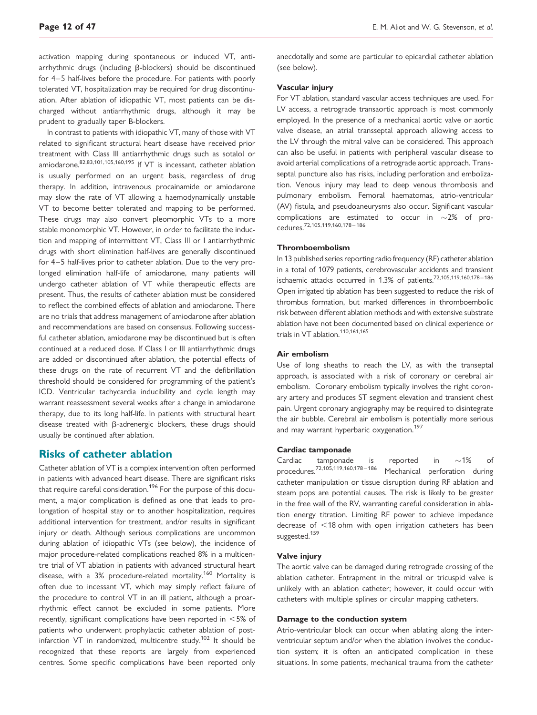activation mapping during spontaneous or induced VT, antiarrhythmic drugs (including ß-blockers) should be discontinued for 4–5 half-lives before the procedure. For patients with poorly tolerated VT, hospitalization may be required for drug discontinuation. After ablation of idiopathic VT, most patients can be discharged without antiarrhythmic drugs, although it may be prudent to gradually taper B-blockers.

In contrast to patients with idiopathic VT, many of those with VT related to significant structural heart disease have received prior treatment with Class III antiarrhythmic drugs such as sotalol or amiodarone.82,83,101,105,160,195 If VT is incessant, catheter ablation is usually performed on an urgent basis, regardless of drug therapy. In addition, intravenous procainamide or amiodarone may slow the rate of VT allowing a haemodynamically unstable VT to become better tolerated and mapping to be performed. These drugs may also convert pleomorphic VTs to a more stable monomorphic VT. However, in order to facilitate the induction and mapping of intermittent VT, Class III or I antiarrhythmic drugs with short elimination half-lives are generally discontinued for 4–5 half-lives prior to catheter ablation. Due to the very prolonged elimination half-life of amiodarone, many patients will undergo catheter ablation of VT while therapeutic effects are present. Thus, the results of catheter ablation must be considered to reflect the combined effects of ablation and amiodarone. There are no trials that address management of amiodarone after ablation and recommendations are based on consensus. Following successful catheter ablation, amiodarone may be discontinued but is often continued at a reduced dose. If Class I or III antiarrhythmic drugs are added or discontinued after ablation, the potential effects of these drugs on the rate of recurrent VT and the defibrillation threshold should be considered for programming of the patient's ICD. Ventricular tachycardia inducibility and cycle length may warrant reassessment several weeks after a change in amiodarone therapy, due to its long half-life. In patients with structural heart disease treated with  $\beta$ -adrenergic blockers, these drugs should usually be continued after ablation.

## Risks of catheter ablation

Catheter ablation of VT is a complex intervention often performed in patients with advanced heart disease. There are significant risks that require careful consideration.<sup>196</sup> For the purpose of this document, a major complication is defined as one that leads to prolongation of hospital stay or to another hospitalization, requires additional intervention for treatment, and/or results in significant injury or death. Although serious complications are uncommon during ablation of idiopathic VTs (see below), the incidence of major procedure-related complications reached 8% in a multicentre trial of VT ablation in patients with advanced structural heart disease, with a 3% procedure-related mortality.<sup>160</sup> Mortality is often due to incessant VT, which may simply reflect failure of the procedure to control VT in an ill patient, although a proarrhythmic effect cannot be excluded in some patients. More recently, significant complications have been reported in  $<$  5% of patients who underwent prophylactic catheter ablation of postinfarction VT in randomized, multicentre study.<sup>102</sup> It should be recognized that these reports are largely from experienced centres. Some specific complications have been reported only

anecdotally and some are particular to epicardial catheter ablation (see below).

#### Vascular injury

For VT ablation, standard vascular access techniques are used. For LV access, a retrograde transaortic approach is most commonly employed. In the presence of a mechanical aortic valve or aortic valve disease, an atrial transseptal approach allowing access to the LV through the mitral valve can be considered. This approach can also be useful in patients with peripheral vascular disease to avoid arterial complications of a retrograde aortic approach. Transseptal puncture also has risks, including perforation and embolization. Venous injury may lead to deep venous thrombosis and pulmonary embolism. Femoral haematomas, atrio-ventricular (AV) fistula, and pseudoaneurysms also occur. Significant vascular complications are estimated to occur in  $\sim$ 2% of procedures.72,105,119,160,178 – 186

#### Thromboembolism

In 13 published series reporting radio frequency (RF) catheter ablation in a total of 1079 patients, cerebrovascular accidents and transient ischaemic attacks occurred in 1.3% of patients.<sup>72,105,119,160,178</sup>-186 Open irrigated tip ablation has been suggested to reduce the risk of thrombus formation, but marked differences in thromboembolic risk between different ablation methods and with extensive substrate ablation have not been documented based on clinical experience or trials in VT ablation.<sup>110,161,165</sup>

#### Air embolism

Use of long sheaths to reach the LV, as with the transeptal approach, is associated with a risk of coronary or cerebral air embolism. Coronary embolism typically involves the right coronary artery and produces ST segment elevation and transient chest pain. Urgent coronary angiography may be required to disintegrate the air bubble. Cerebral air embolism is potentially more serious and may warrant hyperbaric oxygenation.<sup>197</sup>

#### Cardiac tamponade

Cardiac tamponade is reported in  $\sim$ 1% of procedures.72,105,119,160,178 – 186 Mechanical perforation during catheter manipulation or tissue disruption during RF ablation and steam pops are potential causes. The risk is likely to be greater in the free wall of the RV, warranting careful consideration in ablation energy titration. Limiting RF power to achieve impedance decrease of  $<$ 18 ohm with open irrigation catheters has been suggested.<sup>159</sup>

#### Valve injury

The aortic valve can be damaged during retrograde crossing of the ablation catheter. Entrapment in the mitral or tricuspid valve is unlikely with an ablation catheter; however, it could occur with catheters with multiple splines or circular mapping catheters.

#### Damage to the conduction system

Atrio-ventricular block can occur when ablating along the interventricular septum and/or when the ablation involves the conduction system; it is often an anticipated complication in these situations. In some patients, mechanical trauma from the catheter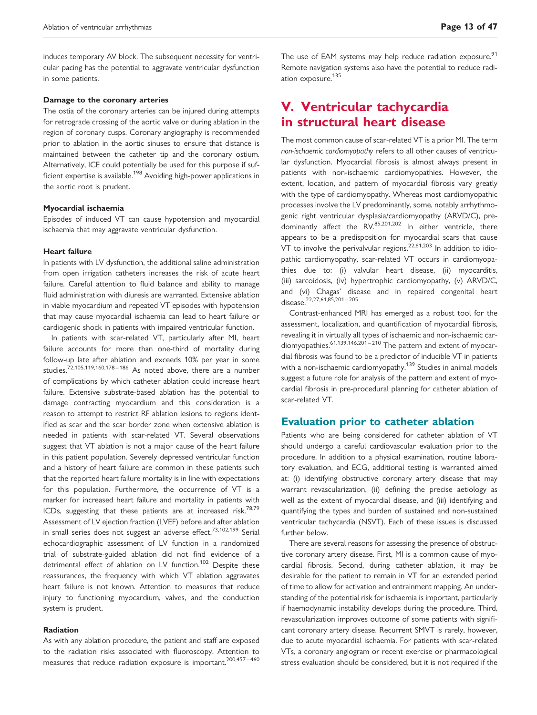induces temporary AV block. The subsequent necessity for ventricular pacing has the potential to aggravate ventricular dysfunction in some patients.

#### Damage to the coronary arteries

The ostia of the coronary arteries can be injured during attempts for retrograde crossing of the aortic valve or during ablation in the region of coronary cusps. Coronary angiography is recommended prior to ablation in the aortic sinuses to ensure that distance is maintained between the catheter tip and the coronary ostium. Alternatively, ICE could potentially be used for this purpose if sufficient expertise is available.198 Avoiding high-power applications in the aortic root is prudent.

#### Myocardial ischaemia

Episodes of induced VT can cause hypotension and myocardial ischaemia that may aggravate ventricular dysfunction.

#### Heart failure

In patients with LV dysfunction, the additional saline administration from open irrigation catheters increases the risk of acute heart failure. Careful attention to fluid balance and ability to manage fluid administration with diuresis are warranted. Extensive ablation in viable myocardium and repeated VT episodes with hypotension that may cause myocardial ischaemia can lead to heart failure or cardiogenic shock in patients with impaired ventricular function.

In patients with scar-related VT, particularly after MI, heart failure accounts for more than one-third of mortality during follow-up late after ablation and exceeds 10% per year in some studies.<sup>72,105,119,160,178-186</sup> As noted above, there are a number of complications by which catheter ablation could increase heart failure. Extensive substrate-based ablation has the potential to damage contracting myocardium and this consideration is a reason to attempt to restrict RF ablation lesions to regions identified as scar and the scar border zone when extensive ablation is needed in patients with scar-related VT. Several observations suggest that VT ablation is not a major cause of the heart failure in this patient population. Severely depressed ventricular function and a history of heart failure are common in these patients such that the reported heart failure mortality is in line with expectations for this population. Furthermore, the occurrence of VT is a marker for increased heart failure and mortality in patients with ICDs, suggesting that these patients are at increased risk.<sup>78,79</sup> Assessment of LV ejection fraction (LVEF) before and after ablation in small series does not suggest an adverse effect.<sup>73,102,199</sup> Serial echocardiographic assessment of LV function in a randomized trial of substrate-guided ablation did not find evidence of a detrimental effect of ablation on LV function.<sup>102</sup> Despite these reassurances, the frequency with which VT ablation aggravates heart failure is not known. Attention to measures that reduce injury to functioning myocardium, valves, and the conduction system is prudent.

#### Radiation

As with any ablation procedure, the patient and staff are exposed to the radiation risks associated with fluoroscopy. Attention to measures that reduce radiation exposure is important.<sup>200,457-460</sup>

The use of EAM systems may help reduce radiation exposure.<sup>91</sup> Remote navigation systems also have the potential to reduce radiation exposure.<sup>135</sup>

## V. Ventricular tachycardia in structural heart disease

The most common cause of scar-related VT is a prior MI. The term non-ischaemic cardiomyopathy refers to all other causes of ventricular dysfunction. Myocardial fibrosis is almost always present in patients with non-ischaemic cardiomyopathies. However, the extent, location, and pattern of myocardial fibrosis vary greatly with the type of cardiomyopathy. Whereas most cardiomyopathic processes involve the LV predominantly, some, notably arrhythmogenic right ventricular dysplasia/cardiomyopathy (ARVD/C), predominantly affect the RV.<sup>85,201,202</sup> In either ventricle, there appears to be a predisposition for myocardial scars that cause  $VT$  to involve the perivalvular regions.<sup>22,61,203</sup> In addition to idiopathic cardiomyopathy, scar-related VT occurs in cardiomyopathies due to: (i) valvular heart disease, (ii) myocarditis, (iii) sarcoidosis, (iv) hypertrophic cardiomyopathy, (v) ARVD/C, and (vi) Chagas' disease and in repaired congenital heart disease.22,27,61,85,201 – 205

Contrast-enhanced MRI has emerged as a robust tool for the assessment, localization, and quantification of myocardial fibrosis, revealing it in virtually all types of ischaemic and non-ischaemic cardiomyopathies.<sup>61,139,146,201-210</sup> The pattern and extent of myocardial fibrosis was found to be a predictor of inducible VT in patients with a non-ischaemic cardiomyopathy.<sup>139</sup> Studies in animal models suggest a future role for analysis of the pattern and extent of myocardial fibrosis in pre-procedural planning for catheter ablation of scar-related VT.

### Evaluation prior to catheter ablation

Patients who are being considered for catheter ablation of VT should undergo a careful cardiovascular evaluation prior to the procedure. In addition to a physical examination, routine laboratory evaluation, and ECG, additional testing is warranted aimed at: (i) identifying obstructive coronary artery disease that may warrant revascularization, (ii) defining the precise aetiology as well as the extent of myocardial disease, and (iii) identifying and quantifying the types and burden of sustained and non-sustained ventricular tachycardia (NSVT). Each of these issues is discussed further below.

There are several reasons for assessing the presence of obstructive coronary artery disease. First, MI is a common cause of myocardial fibrosis. Second, during catheter ablation, it may be desirable for the patient to remain in VT for an extended period of time to allow for activation and entrainment mapping. An understanding of the potential risk for ischaemia is important, particularly if haemodynamic instability develops during the procedure. Third, revascularization improves outcome of some patients with significant coronary artery disease. Recurrent SMVT is rarely, however, due to acute myocardial ischaemia. For patients with scar-related VTs, a coronary angiogram or recent exercise or pharmacological stress evaluation should be considered, but it is not required if the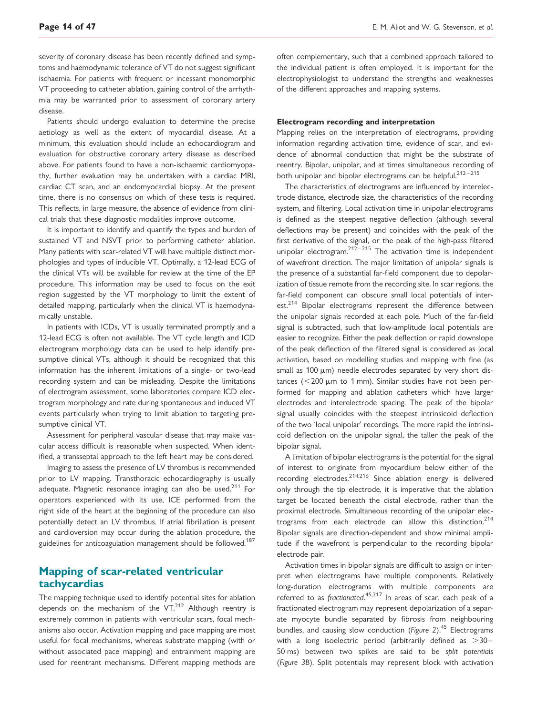severity of coronary disease has been recently defined and symptoms and haemodynamic tolerance of VT do not suggest significant ischaemia. For patients with frequent or incessant monomorphic VT proceeding to catheter ablation, gaining control of the arrhythmia may be warranted prior to assessment of coronary artery disease.

Patients should undergo evaluation to determine the precise aetiology as well as the extent of myocardial disease. At a minimum, this evaluation should include an echocardiogram and evaluation for obstructive coronary artery disease as described above. For patients found to have a non-ischaemic cardiomyopathy, further evaluation may be undertaken with a cardiac MRI, cardiac CT scan, and an endomyocardial biopsy. At the present time, there is no consensus on which of these tests is required. This reflects, in large measure, the absence of evidence from clinical trials that these diagnostic modalities improve outcome.

It is important to identify and quantify the types and burden of sustained VT and NSVT prior to performing catheter ablation. Many patients with scar-related VT will have multiple distinct morphologies and types of inducible VT. Optimally, a 12-lead ECG of the clinical VTs will be available for review at the time of the EP procedure. This information may be used to focus on the exit region suggested by the VT morphology to limit the extent of detailed mapping, particularly when the clinical VT is haemodynamically unstable.

In patients with ICDs, VT is usually terminated promptly and a 12-lead ECG is often not available. The VT cycle length and ICD electrogram morphology data can be used to help identify presumptive clinical VTs, although it should be recognized that this information has the inherent limitations of a single- or two-lead recording system and can be misleading. Despite the limitations of electrogram assessment, some laboratories compare ICD electrogram morphology and rate during spontaneous and induced VT events particularly when trying to limit ablation to targeting presumptive clinical VT.

Assessment for peripheral vascular disease that may make vascular access difficult is reasonable when suspected. When identified, a transseptal approach to the left heart may be considered.

Imaging to assess the presence of LV thrombus is recommended prior to LV mapping. Transthoracic echocardiography is usually adequate. Magnetic resonance imaging can also be used.<sup>211</sup> For operators experienced with its use, ICE performed from the right side of the heart at the beginning of the procedure can also potentially detect an LV thrombus. If atrial fibrillation is present and cardioversion may occur during the ablation procedure, the guidelines for anticoagulation management should be followed.<sup>187</sup>

## Mapping of scar-related ventricular tachycardias

The mapping technique used to identify potential sites for ablation depends on the mechanism of the VT. $^{212}$  Although reentry is extremely common in patients with ventricular scars, focal mechanisms also occur. Activation mapping and pace mapping are most useful for focal mechanisms, whereas substrate mapping (with or without associated pace mapping) and entrainment mapping are used for reentrant mechanisms. Different mapping methods are

often complementary, such that a combined approach tailored to the individual patient is often employed. It is important for the electrophysiologist to understand the strengths and weaknesses of the different approaches and mapping systems.

#### Electrogram recording and interpretation

Mapping relies on the interpretation of electrograms, providing information regarding activation time, evidence of scar, and evidence of abnormal conduction that might be the substrate of reentry. Bipolar, unipolar, and at times simultaneous recording of both unipolar and bipolar electrograms can be helpful.<sup>212-215</sup>

The characteristics of electrograms are influenced by interelectrode distance, electrode size, the characteristics of the recording system, and filtering. Local activation time in unipolar electrograms is defined as the steepest negative deflection (although several deflections may be present) and coincides with the peak of the first derivative of the signal, or the peak of the high-pass filtered unipolar electrogram.<sup>212-215</sup> The activation time is independent of wavefront direction. The major limitation of unipolar signals is the presence of a substantial far-field component due to depolarization of tissue remote from the recording site. In scar regions, the far-field component can obscure small local potentials of interest.<sup>214</sup> Bipolar electrograms represent the difference between the unipolar signals recorded at each pole. Much of the far-field signal is subtracted, such that low-amplitude local potentials are easier to recognize. Either the peak deflection or rapid downslope of the peak deflection of the filtered signal is considered as local activation, based on modelling studies and mapping with fine (as small as 100  $\mu$ m) needle electrodes separated by very short distances ( $<$ 200  $\mu$ m to 1 mm). Similar studies have not been performed for mapping and ablation catheters which have larger electrodes and interelectrode spacing. The peak of the bipolar signal usually coincides with the steepest intrinsicoid deflection of the two 'local unipolar' recordings. The more rapid the intrinsicoid deflection on the unipolar signal, the taller the peak of the bipolar signal.

A limitation of bipolar electrograms is the potential for the signal of interest to originate from myocardium below either of the recording electrodes.214,216 Since ablation energy is delivered only through the tip electrode, it is imperative that the ablation target be located beneath the distal electrode, rather than the proximal electrode. Simultaneous recording of the unipolar electrograms from each electrode can allow this distinction.<sup>214</sup> Bipolar signals are direction-dependent and show minimal amplitude if the wavefront is perpendicular to the recording bipolar electrode pair.

Activation times in bipolar signals are difficult to assign or interpret when electrograms have multiple components. Relatively long-duration electrograms with multiple components are referred to as fractionated.<sup>45,217</sup> In areas of scar, each peak of a fractionated electrogram may represent depolarization of a separate myocyte bundle separated by fibrosis from neighbouring bundles, and causing slow conduction (Figure 2).<sup>45</sup> Electrograms with a long isoelectric period (arbitrarily defined as  $>30-$ 50 ms) between two spikes are said to be split potentials (Figure 3B). Split potentials may represent block with activation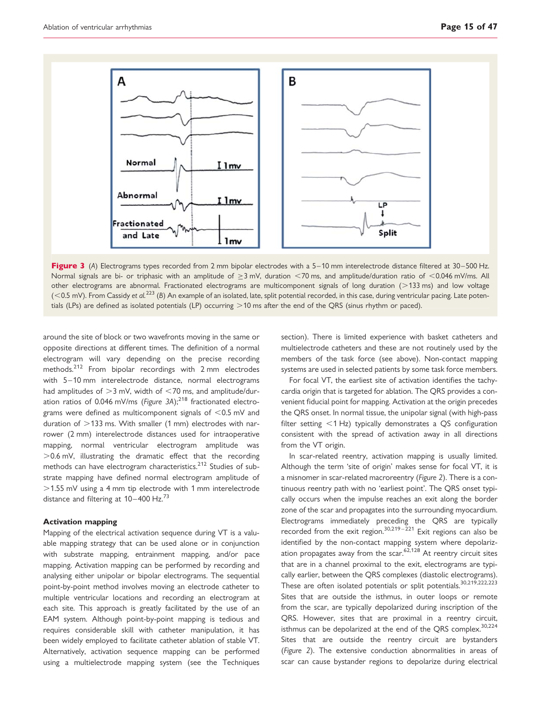

Figure 3 (A) Electrograms types recorded from 2 mm bipolar electrodes with a 5-10 mm interelectrode distance filtered at 30-500 Hz. Normal signals are bi- or triphasic with an amplitude of  $\geq$ 3 mV, duration  $<$ 70 ms, and amplitude/duration ratio of  $<$ 0.046 mV/ms. All other electrograms are abnormal. Fractionated electrograms are multicomponent signals of long duration (>133 ms) and low voltage ( $<$  0.5 mV). From Cassidy et al.<sup>223</sup> (B) An example of an isolated, late, split potential recorded, in this case, during ventricular pacing. Late potentials (LPs) are defined as isolated potentials (LP) occurring  $>10$  ms after the end of the QRS (sinus rhythm or paced).

around the site of block or two wavefronts moving in the same or opposite directions at different times. The definition of a normal electrogram will vary depending on the precise recording methods.<sup>212</sup> From bipolar recordings with 2 mm electrodes with 5-10 mm interelectrode distance, normal electrograms had amplitudes of  $>$ 3 mV, width of  $<$ 70 ms, and amplitude/duration ratios of 0.046 mV/ms (Figure 3A); $^{218}$  fractionated electrograms were defined as multicomponent signals of  $<$  0.5 mV and duration of  $>$ 133 ms. With smaller (1 mm) electrodes with narrower (2 mm) interelectrode distances used for intraoperative mapping, normal ventricular electrogram amplitude was  $>$  0.6 mV, illustrating the dramatic effect that the recording methods can have electrogram characteristics.<sup>212</sup> Studies of substrate mapping have defined normal electrogram amplitude of  $>$  1.55 mV using a 4 mm tip electrode with 1 mm interelectrode distance and filtering at  $10-400$  Hz.<sup>73</sup>

#### Activation mapping

Mapping of the electrical activation sequence during VT is a valuable mapping strategy that can be used alone or in conjunction with substrate mapping, entrainment mapping, and/or pace mapping. Activation mapping can be performed by recording and analysing either unipolar or bipolar electrograms. The sequential point-by-point method involves moving an electrode catheter to multiple ventricular locations and recording an electrogram at each site. This approach is greatly facilitated by the use of an EAM system. Although point-by-point mapping is tedious and requires considerable skill with catheter manipulation, it has been widely employed to facilitate catheter ablation of stable VT. Alternatively, activation sequence mapping can be performed using a multielectrode mapping system (see the Techniques section). There is limited experience with basket catheters and multielectrode catheters and these are not routinely used by the members of the task force (see above). Non-contact mapping systems are used in selected patients by some task force members.

For focal VT, the earliest site of activation identifies the tachycardia origin that is targeted for ablation. The QRS provides a convenient fiducial point for mapping. Activation at the origin precedes the QRS onset. In normal tissue, the unipolar signal (with high-pass filter setting  $<$ 1 Hz) typically demonstrates a QS configuration consistent with the spread of activation away in all directions from the VT origin.

In scar-related reentry, activation mapping is usually limited. Although the term 'site of origin' makes sense for focal VT, it is a misnomer in scar-related macroreentry (Figure 2). There is a continuous reentry path with no 'earliest point'. The QRS onset typically occurs when the impulse reaches an exit along the border zone of the scar and propagates into the surrounding myocardium. Electrograms immediately preceding the QRS are typically recorded from the exit region.<sup>30,219–221</sup> Exit regions can also be identified by the non-contact mapping system where depolarization propagates away from the scar.<sup>62,128</sup> At reentry circuit sites that are in a channel proximal to the exit, electrograms are typically earlier, between the QRS complexes (diastolic electrograms). These are often isolated potentials or split potentials.30,219,222,223 Sites that are outside the isthmus, in outer loops or remote from the scar, are typically depolarized during inscription of the QRS. However, sites that are proximal in a reentry circuit, isthmus can be depolarized at the end of the QRS complex.<sup>30,224</sup> Sites that are outside the reentry circuit are bystanders (Figure 2). The extensive conduction abnormalities in areas of scar can cause bystander regions to depolarize during electrical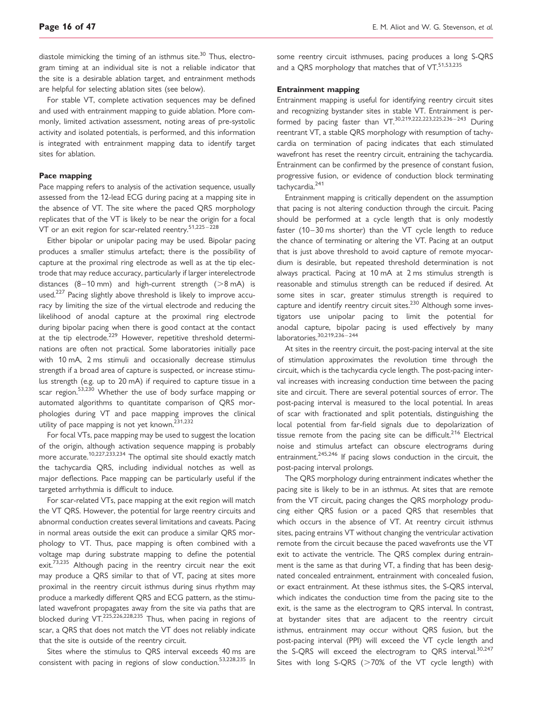diastole mimicking the timing of an isthmus site.<sup>30</sup> Thus, electrogram timing at an individual site is not a reliable indicator that the site is a desirable ablation target, and entrainment methods are helpful for selecting ablation sites (see below).

For stable VT, complete activation sequences may be defined and used with entrainment mapping to guide ablation. More commonly, limited activation assessment, noting areas of pre-systolic activity and isolated potentials, is performed, and this information is integrated with entrainment mapping data to identify target sites for ablation.

#### Pace mapping

Pace mapping refers to analysis of the activation sequence, usually assessed from the 12-lead ECG during pacing at a mapping site in the absence of VT. The site where the paced QRS morphology replicates that of the VT is likely to be near the origin for a focal VT or an exit region for scar-related reentry.<sup>51,225-228</sup>

Either bipolar or unipolar pacing may be used. Bipolar pacing produces a smaller stimulus artefact; there is the possibility of capture at the proximal ring electrode as well as at the tip electrode that may reduce accuracy, particularly if larger interelectrode distances  $(8-10 \text{ mm})$  and high-current strength  $(>8 \text{ mA})$  is used.<sup>227</sup> Pacing slightly above threshold is likely to improve accuracy by limiting the size of the virtual electrode and reducing the likelihood of anodal capture at the proximal ring electrode during bipolar pacing when there is good contact at the contact at the tip electrode.<sup>229</sup> However, repetitive threshold determinations are often not practical. Some laboratories initially pace with 10 mA, 2 ms stimuli and occasionally decrease stimulus strength if a broad area of capture is suspected, or increase stimulus strength (e.g. up to 20 mA) if required to capture tissue in a scar region.<sup>53,230</sup> Whether the use of body surface mapping or automated algorithms to quantitate comparison of QRS morphologies during VT and pace mapping improves the clinical utility of pace mapping is not yet known.<sup>231,232</sup>

For focal VTs, pace mapping may be used to suggest the location of the origin, although activation sequence mapping is probably more accurate.<sup>10,227,233,234</sup> The optimal site should exactly match the tachycardia QRS, including individual notches as well as major deflections. Pace mapping can be particularly useful if the targeted arrhythmia is difficult to induce.

For scar-related VTs, pace mapping at the exit region will match the VT QRS. However, the potential for large reentry circuits and abnormal conduction creates several limitations and caveats. Pacing in normal areas outside the exit can produce a similar QRS morphology to VT. Thus, pace mapping is often combined with a voltage map during substrate mapping to define the potential exit.<sup>73,235</sup> Although pacing in the reentry circuit near the exit may produce a QRS similar to that of VT, pacing at sites more proximal in the reentry circuit isthmus during sinus rhythm may produce a markedly different QRS and ECG pattern, as the stimulated wavefront propagates away from the site via paths that are blocked during VT.<sup>225,226,228,235</sup> Thus, when pacing in regions of scar, a QRS that does not match the VT does not reliably indicate that the site is outside of the reentry circuit.

Sites where the stimulus to QRS interval exceeds 40 ms are consistent with pacing in regions of slow conduction.<sup>53,228,235</sup> In

some reentry circuit isthmuses, pacing produces a long S-QRS and a QRS morphology that matches that of  $VT$ .<sup>51,53,235</sup>

#### Entrainment mapping

Entrainment mapping is useful for identifying reentry circuit sites and recognizing bystander sites in stable VT. Entrainment is performed by pacing faster than  $VT<sup>30,219,222,223,225,236-243</sup>$  During reentrant VT, a stable QRS morphology with resumption of tachycardia on termination of pacing indicates that each stimulated wavefront has reset the reentry circuit, entraining the tachycardia. Entrainment can be confirmed by the presence of constant fusion, progressive fusion, or evidence of conduction block terminating tachycardia.<sup>241</sup>

Entrainment mapping is critically dependent on the assumption that pacing is not altering conduction through the circuit. Pacing should be performed at a cycle length that is only modestly faster (10– 30 ms shorter) than the VT cycle length to reduce the chance of terminating or altering the VT. Pacing at an output that is just above threshold to avoid capture of remote myocardium is desirable, but repeated threshold determination is not always practical. Pacing at 10 mA at 2 ms stimulus strength is reasonable and stimulus strength can be reduced if desired. At some sites in scar, greater stimulus strength is required to capture and identify reentry circuit sites.<sup>230</sup> Although some investigators use unipolar pacing to limit the potential for anodal capture, bipolar pacing is used effectively by many laboratories.30,219,236 – 244

At sites in the reentry circuit, the post-pacing interval at the site of stimulation approximates the revolution time through the circuit, which is the tachycardia cycle length. The post-pacing interval increases with increasing conduction time between the pacing site and circuit. There are several potential sources of error. The post-pacing interval is measured to the local potential. In areas of scar with fractionated and split potentials, distinguishing the local potential from far-field signals due to depolarization of tissue remote from the pacing site can be difficult.<sup>216</sup> Electrical noise and stimulus artefact can obscure electrograms during entrainment.<sup>245,246</sup> If pacing slows conduction in the circuit, the post-pacing interval prolongs.

The QRS morphology during entrainment indicates whether the pacing site is likely to be in an isthmus. At sites that are remote from the VT circuit, pacing changes the QRS morphology producing either QRS fusion or a paced QRS that resembles that which occurs in the absence of VT. At reentry circuit isthmus sites, pacing entrains VT without changing the ventricular activation remote from the circuit because the paced wavefronts use the VT exit to activate the ventricle. The QRS complex during entrainment is the same as that during VT, a finding that has been designated concealed entrainment, entrainment with concealed fusion, or exact entrainment. At these isthmus sites, the S-QRS interval, which indicates the conduction time from the pacing site to the exit, is the same as the electrogram to QRS interval. In contrast, at bystander sites that are adjacent to the reentry circuit isthmus, entrainment may occur without QRS fusion, but the post-pacing interval (PPI) will exceed the VT cycle length and the S-QRS will exceed the electrogram to QRS interval.<sup>30,247</sup> Sites with long S-QRS ( $>70\%$  of the VT cycle length) with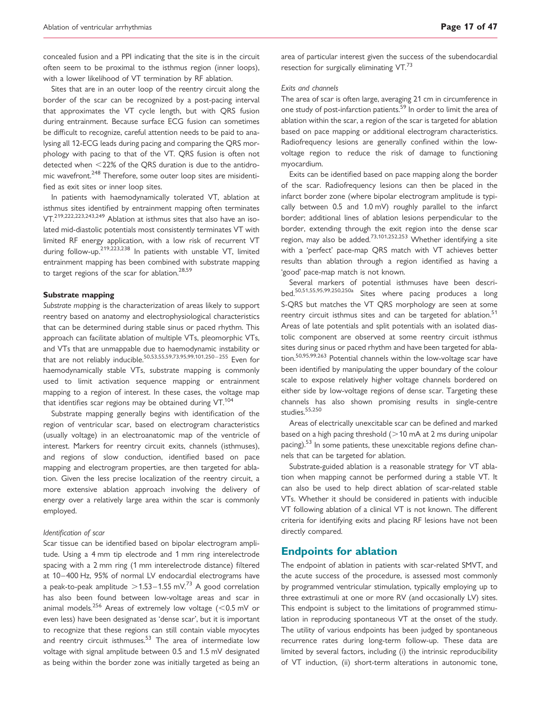concealed fusion and a PPI indicating that the site is in the circuit often seem to be proximal to the isthmus region (inner loops), with a lower likelihood of VT termination by RF ablation.

Sites that are in an outer loop of the reentry circuit along the border of the scar can be recognized by a post-pacing interval that approximates the VT cycle length, but with QRS fusion during entrainment. Because surface ECG fusion can sometimes be difficult to recognize, careful attention needs to be paid to analysing all 12-ECG leads during pacing and comparing the QRS morphology with pacing to that of the VT. QRS fusion is often not detected when  $<$  22% of the QRS duration is due to the antidromic wavefront.<sup>248</sup> Therefore, some outer loop sites are misidentified as exit sites or inner loop sites.

In patients with haemodynamically tolerated VT, ablation at isthmus sites identified by entrainment mapping often terminates VT.219,222,223,243,249 Ablation at isthmus sites that also have an isolated mid-diastolic potentials most consistently terminates VT with limited RF energy application, with a low risk of recurrent VT during follow-up.219,223,238 In patients with unstable VT, limited entrainment mapping has been combined with substrate mapping to target regions of the scar for ablation.<sup>28,59</sup>

#### Substrate mapping

Substrate mapping is the characterization of areas likely to support reentry based on anatomy and electrophysiological characteristics that can be determined during stable sinus or paced rhythm. This approach can facilitate ablation of multiple VTs, pleomorphic VTs, and VTs that are unmappable due to haemodynamic instability or that are not reliably inducible.50,53,55,59,73,95,99,101,250 – 255 Even for haemodynamically stable VTs, substrate mapping is commonly used to limit activation sequence mapping or entrainment mapping to a region of interest. In these cases, the voltage map that identifies scar regions may be obtained during  $VT.^{104}$ 

Substrate mapping generally begins with identification of the region of ventricular scar, based on electrogram characteristics (usually voltage) in an electroanatomic map of the ventricle of interest. Markers for reentry circuit exits, channels (isthmuses), and regions of slow conduction, identified based on pace mapping and electrogram properties, are then targeted for ablation. Given the less precise localization of the reentry circuit, a more extensive ablation approach involving the delivery of energy over a relatively large area within the scar is commonly employed.

#### Identification of scar

Scar tissue can be identified based on bipolar electrogram amplitude. Using a 4 mm tip electrode and 1 mm ring interelectrode spacing with a 2 mm ring (1 mm interelectrode distance) filtered at 10– 400 Hz, 95% of normal LV endocardial electrograms have a peak-to-peak amplitude  $>1.53-1.55$  mV.<sup>73</sup> A good correlation has also been found between low-voltage areas and scar in animal models.<sup>256</sup> Areas of extremely low voltage ( $<$ 0.5 mV or even less) have been designated as 'dense scar', but it is important to recognize that these regions can still contain viable myocytes and reentry circuit isthmuses. $53$  The area of intermediate low voltage with signal amplitude between 0.5 and 1.5 mV designated as being within the border zone was initially targeted as being an

area of particular interest given the success of the subendocardial resection for surgically eliminating VT.<sup>73</sup>

#### Exits and channels

The area of scar is often large, averaging 21 cm in circumference in one study of post-infarction patients.<sup>59</sup> In order to limit the area of ablation within the scar, a region of the scar is targeted for ablation based on pace mapping or additional electrogram characteristics. Radiofrequency lesions are generally confined within the lowvoltage region to reduce the risk of damage to functioning myocardium.

Exits can be identified based on pace mapping along the border of the scar. Radiofrequency lesions can then be placed in the infarct border zone (where bipolar electrogram amplitude is typically between 0.5 and 1.0 mV) roughly parallel to the infarct border; additional lines of ablation lesions perpendicular to the border, extending through the exit region into the dense scar region, may also be added.<sup>73,101,252,253</sup> Whether identifying a site with a 'perfect' pace-map QRS match with VT achieves better results than ablation through a region identified as having a 'good' pace-map match is not known.

Several markers of potential isthmuses have been described.50,51,55,95,99,250,250a Sites where pacing produces a long S-QRS but matches the VT QRS morphology are seen at some reentry circuit isthmus sites and can be targeted for ablation.<sup>51</sup> Areas of late potentials and split potentials with an isolated diastolic component are observed at some reentry circuit isthmus sites during sinus or paced rhythm and have been targeted for ablation.50,95,99,263 Potential channels within the low-voltage scar have been identified by manipulating the upper boundary of the colour scale to expose relatively higher voltage channels bordered on either side by low-voltage regions of dense scar. Targeting these channels has also shown promising results in single-centre studies.<sup>55,250</sup>

Areas of electrically unexcitable scar can be defined and marked based on a high pacing threshold  $(>10 \text{ mA}$  at 2 ms during unipolar pacing).<sup>53</sup> In some patients, these unexcitable regions define channels that can be targeted for ablation.

Substrate-guided ablation is a reasonable strategy for VT ablation when mapping cannot be performed during a stable VT. It can also be used to help direct ablation of scar-related stable VTs. Whether it should be considered in patients with inducible VT following ablation of a clinical VT is not known. The different criteria for identifying exits and placing RF lesions have not been directly compared.

### Endpoints for ablation

The endpoint of ablation in patients with scar-related SMVT, and the acute success of the procedure, is assessed most commonly by programmed ventricular stimulation, typically employing up to three extrastimuli at one or more RV (and occasionally LV) sites. This endpoint is subject to the limitations of programmed stimulation in reproducing spontaneous VT at the onset of the study. The utility of various endpoints has been judged by spontaneous recurrence rates during long-term follow-up. These data are limited by several factors, including (i) the intrinsic reproducibility of VT induction, (ii) short-term alterations in autonomic tone,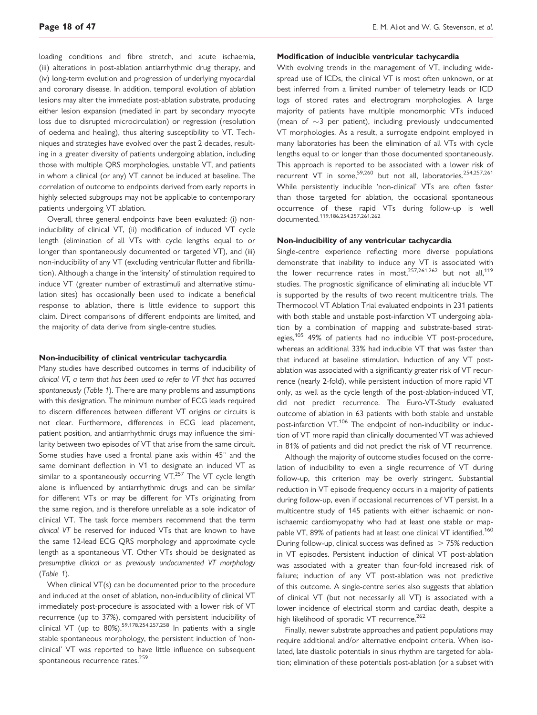loading conditions and fibre stretch, and acute ischaemia, (iii) alterations in post-ablation antiarrhythmic drug therapy, and (iv) long-term evolution and progression of underlying myocardial and coronary disease. In addition, temporal evolution of ablation lesions may alter the immediate post-ablation substrate, producing either lesion expansion (mediated in part by secondary myocyte loss due to disrupted microcirculation) or regression (resolution of oedema and healing), thus altering susceptibility to VT. Techniques and strategies have evolved over the past 2 decades, resulting in a greater diversity of patients undergoing ablation, including those with multiple QRS morphologies, unstable VT, and patients in whom a clinical (or any) VT cannot be induced at baseline. The correlation of outcome to endpoints derived from early reports in highly selected subgroups may not be applicable to contemporary patients undergoing VT ablation.

Overall, three general endpoints have been evaluated: (i) noninducibility of clinical VT, (ii) modification of induced VT cycle length (elimination of all VTs with cycle lengths equal to or longer than spontaneously documented or targeted VT), and (iii) non-inducibility of any VT (excluding ventricular flutter and fibrillation). Although a change in the 'intensity' of stimulation required to induce VT (greater number of extrastimuli and alternative stimulation sites) has occasionally been used to indicate a beneficial response to ablation, there is little evidence to support this claim. Direct comparisons of different endpoints are limited, and the majority of data derive from single-centre studies.

#### Non-inducibility of clinical ventricular tachycardia

Many studies have described outcomes in terms of inducibility of clinical VT, a term that has been used to refer to VT that has occurred spontaneously (Table 1). There are many problems and assumptions with this designation. The minimum number of ECG leads required to discern differences between different VT origins or circuits is not clear. Furthermore, differences in ECG lead placement, patient position, and antiarrhythmic drugs may influence the similarity between two episodes of VT that arise from the same circuit. Some studies have used a frontal plane axis within  $45^\circ$  and the same dominant deflection in V1 to designate an induced VT as similar to a spontaneously occurring VT.<sup>257</sup> The VT cycle length alone is influenced by antiarrhythmic drugs and can be similar for different VTs or may be different for VTs originating from the same region, and is therefore unreliable as a sole indicator of clinical VT. The task force members recommend that the term clinical VT be reserved for induced VTs that are known to have the same 12-lead ECG QRS morphology and approximate cycle length as a spontaneous VT. Other VTs should be designated as presumptive clinical or as previously undocumented VT morphology (Table 1).

When clinical VT(s) can be documented prior to the procedure and induced at the onset of ablation, non-inducibility of clinical VT immediately post-procedure is associated with a lower risk of VT recurrence (up to 37%), compared with persistent inducibility of clinical VT (up to 80%).<sup>59,178,254,257,258</sup> In patients with a single stable spontaneous morphology, the persistent induction of 'nonclinical' VT was reported to have little influence on subsequent spontaneous recurrence rates.<sup>259</sup>

#### Modification of inducible ventricular tachycardia

With evolving trends in the management of VT, including widespread use of ICDs, the clinical VT is most often unknown, or at best inferred from a limited number of telemetry leads or ICD logs of stored rates and electrogram morphologies. A large majority of patients have multiple monomorphic VTs induced (mean of  $\sim$ 3 per patient), including previously undocumented VT morphologies. As a result, a surrogate endpoint employed in many laboratories has been the elimination of all VTs with cycle lengths equal to or longer than those documented spontaneously. This approach is reported to be associated with a lower risk of recurrent VT in some,<sup>59,260</sup> but not all, laboratories.<sup>254,257,261</sup> While persistently inducible 'non-clinical' VTs are often faster than those targeted for ablation, the occasional spontaneous occurrence of these rapid VTs during follow-up is well documented.119,186,254,257,261,262

#### Non-inducibility of any ventricular tachycardia

Single-centre experience reflecting more diverse populations demonstrate that inability to induce any VT is associated with the lower recurrence rates in most, $257,261,262$  but not all, $119$ studies. The prognostic significance of eliminating all inducible VT is supported by the results of two recent multicentre trials. The Thermocool VT Ablation Trial evaluated endpoints in 231 patients with both stable and unstable post-infarction VT undergoing ablation by a combination of mapping and substrate-based strategies,<sup>105</sup> 49% of patients had no inducible VT post-procedure, whereas an additional 33% had inducible VT that was faster than that induced at baseline stimulation. Induction of any VT postablation was associated with a significantly greater risk of VT recurrence (nearly 2-fold), while persistent induction of more rapid VT only, as well as the cycle length of the post-ablation-induced VT, did not predict recurrence. The Euro-VT-Study evaluated outcome of ablation in 63 patients with both stable and unstable post-infarction VT.<sup>106</sup> The endpoint of non-inducibility or induction of VT more rapid than clinically documented VT was achieved in 81% of patients and did not predict the risk of VT recurrence.

Although the majority of outcome studies focused on the correlation of inducibility to even a single recurrence of VT during follow-up, this criterion may be overly stringent. Substantial reduction in VT episode frequency occurs in a majority of patients during follow-up, even if occasional recurrences of VT persist. In a multicentre study of 145 patients with either ischaemic or nonischaemic cardiomyopathy who had at least one stable or mappable VT, 89% of patients had at least one clinical VT identified.<sup>160</sup> During follow-up, clinical success was defined as  $> 75%$  reduction in VT episodes. Persistent induction of clinical VT post-ablation was associated with a greater than four-fold increased risk of failure; induction of any VT post-ablation was not predictive of this outcome. A single-centre series also suggests that ablation of clinical VT (but not necessarily all VT) is associated with a lower incidence of electrical storm and cardiac death, despite a high likelihood of sporadic VT recurrence.<sup>262</sup>

Finally, newer substrate approaches and patient populations may require additional and/or alternative endpoint criteria. When isolated, late diastolic potentials in sinus rhythm are targeted for ablation; elimination of these potentials post-ablation (or a subset with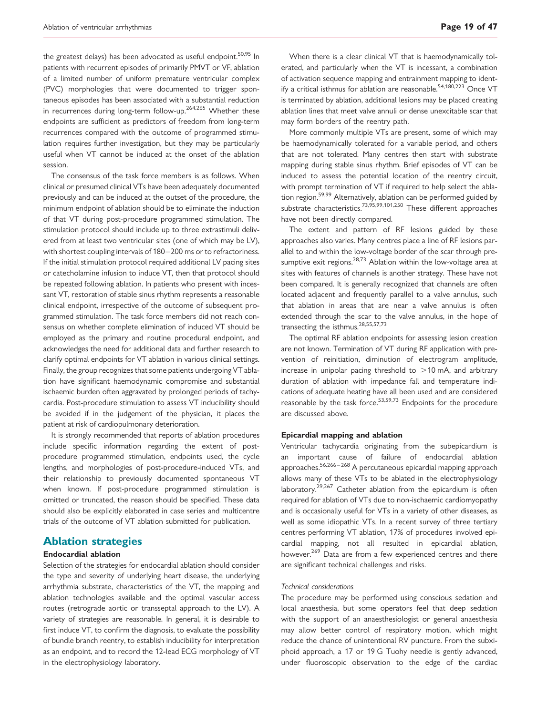the greatest delays) has been advocated as useful endpoint.<sup>50,95</sup> In patients with recurrent episodes of primarily PMVT or VF, ablation of a limited number of uniform premature ventricular complex (PVC) morphologies that were documented to trigger spontaneous episodes has been associated with a substantial reduction in recurrences during long-term follow-up.<sup>264,265</sup> Whether these endpoints are sufficient as predictors of freedom from long-term recurrences compared with the outcome of programmed stimulation requires further investigation, but they may be particularly useful when VT cannot be induced at the onset of the ablation session.

The consensus of the task force members is as follows. When clinical or presumed clinical VTs have been adequately documented previously and can be induced at the outset of the procedure, the minimum endpoint of ablation should be to eliminate the induction of that VT during post-procedure programmed stimulation. The stimulation protocol should include up to three extrastimuli delivered from at least two ventricular sites (one of which may be LV), with shortest coupling intervals of 180-200 ms or to refractoriness. If the initial stimulation protocol required additional LV pacing sites or catecholamine infusion to induce VT, then that protocol should be repeated following ablation. In patients who present with incessant VT, restoration of stable sinus rhythm represents a reasonable clinical endpoint, irrespective of the outcome of subsequent programmed stimulation. The task force members did not reach consensus on whether complete elimination of induced VT should be employed as the primary and routine procedural endpoint, and acknowledges the need for additional data and further research to clarify optimal endpoints for VT ablation in various clinical settings. Finally, the group recognizes that some patients undergoing VT ablation have significant haemodynamic compromise and substantial ischaemic burden often aggravated by prolonged periods of tachycardia. Post-procedure stimulation to assess VT inducibility should be avoided if in the judgement of the physician, it places the patient at risk of cardiopulmonary deterioration.

It is strongly recommended that reports of ablation procedures include specific information regarding the extent of postprocedure programmed stimulation, endpoints used, the cycle lengths, and morphologies of post-procedure-induced VTs, and their relationship to previously documented spontaneous VT when known. If post-procedure programmed stimulation is omitted or truncated, the reason should be specified. These data should also be explicitly elaborated in case series and multicentre trials of the outcome of VT ablation submitted for publication.

## Ablation strategies

#### Endocardial ablation

Selection of the strategies for endocardial ablation should consider the type and severity of underlying heart disease, the underlying arrhythmia substrate, characteristics of the VT, the mapping and ablation technologies available and the optimal vascular access routes (retrograde aortic or transseptal approach to the LV). A variety of strategies are reasonable. In general, it is desirable to first induce VT, to confirm the diagnosis, to evaluate the possibility of bundle branch reentry, to establish inducibility for interpretation as an endpoint, and to record the 12-lead ECG morphology of VT in the electrophysiology laboratory.

When there is a clear clinical VT that is haemodynamically tolerated, and particularly when the VT is incessant, a combination of activation sequence mapping and entrainment mapping to identify a critical isthmus for ablation are reasonable.<sup>54,180,223</sup> Once VT is terminated by ablation, additional lesions may be placed creating ablation lines that meet valve annuli or dense unexcitable scar that may form borders of the reentry path.

More commonly multiple VTs are present, some of which may be haemodynamically tolerated for a variable period, and others that are not tolerated. Many centres then start with substrate mapping during stable sinus rhythm. Brief episodes of VT can be induced to assess the potential location of the reentry circuit, with prompt termination of VT if required to help select the ablation region.<sup>59,99</sup> Alternatively, ablation can be performed guided by substrate characteristics.<sup>73,95,99,101,250</sup> These different approaches have not been directly compared.

The extent and pattern of RF lesions guided by these approaches also varies. Many centres place a line of RF lesions parallel to and within the low-voltage border of the scar through presumptive exit regions. $28,73$  Ablation within the low-voltage area at sites with features of channels is another strategy. These have not been compared. It is generally recognized that channels are often located adjacent and frequently parallel to a valve annulus, such that ablation in areas that are near a valve annulus is often extended through the scar to the valve annulus, in the hope of transecting the isthmus.<sup>28,55,57,73</sup>

The optimal RF ablation endpoints for assessing lesion creation are not known. Termination of VT during RF application with prevention of reinitiation, diminution of electrogram amplitude, increase in unipolar pacing threshold to  $>$  10 mA, and arbitrary duration of ablation with impedance fall and temperature indications of adequate heating have all been used and are considered reasonable by the task force.<sup>53,59,73</sup> Endpoints for the procedure are discussed above.

#### Epicardial mapping and ablation

Ventricular tachycardia originating from the subepicardium is an important cause of failure of endocardial ablation approaches.<sup>56,266-268</sup> A percutaneous epicardial mapping approach allows many of these VTs to be ablated in the electrophysiology laboratory.<sup>29,267</sup> Catheter ablation from the epicardium is often required for ablation of VTs due to non-ischaemic cardiomyopathy and is occasionally useful for VTs in a variety of other diseases, as well as some idiopathic VTs. In a recent survey of three tertiary centres performing VT ablation, 17% of procedures involved epicardial mapping, not all resulted in epicardial ablation, however.<sup>269</sup> Data are from a few experienced centres and there are significant technical challenges and risks.

#### Technical considerations

The procedure may be performed using conscious sedation and local anaesthesia, but some operators feel that deep sedation with the support of an anaesthesiologist or general anaesthesia may allow better control of respiratory motion, which might reduce the chance of unintentional RV puncture. From the subxiphoid approach, a 17 or 19 G Tuohy needle is gently advanced, under fluoroscopic observation to the edge of the cardiac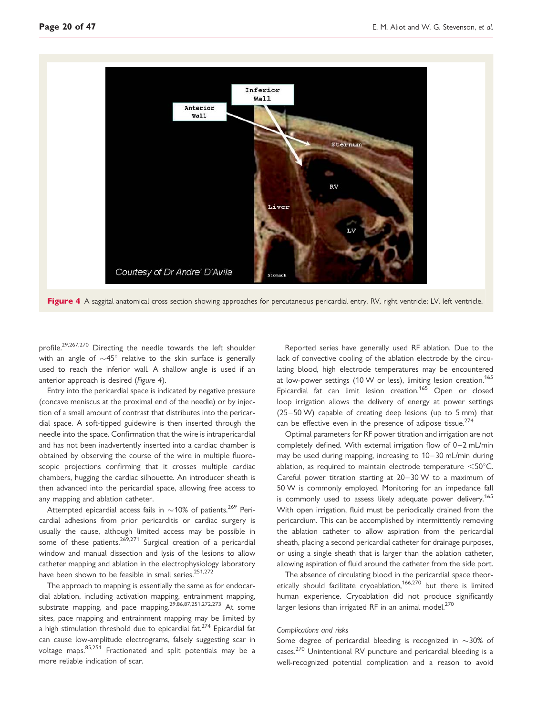

Figure 4 A saggital anatomical cross section showing approaches for percutaneous pericardial entry. RV, right ventricle; LV, left ventricle.

profile.29,267,270 Directing the needle towards the left shoulder with an angle of  ${\sim}45^{\circ}$  relative to the skin surface is generally used to reach the inferior wall. A shallow angle is used if an anterior approach is desired (Figure 4).

Entry into the pericardial space is indicated by negative pressure (concave meniscus at the proximal end of the needle) or by injection of a small amount of contrast that distributes into the pericardial space. A soft-tipped guidewire is then inserted through the needle into the space. Confirmation that the wire is intrapericardial and has not been inadvertently inserted into a cardiac chamber is obtained by observing the course of the wire in multiple fluoroscopic projections confirming that it crosses multiple cardiac chambers, hugging the cardiac silhouette. An introducer sheath is then advanced into the pericardial space, allowing free access to any mapping and ablation catheter.

Attempted epicardial access fails in  $\sim$ 10% of patients.<sup>269</sup> Pericardial adhesions from prior pericarditis or cardiac surgery is usually the cause, although limited access may be possible in some of these patients.<sup>269,271</sup> Surgical creation of a pericardial window and manual dissection and lysis of the lesions to allow catheter mapping and ablation in the electrophysiology laboratory have been shown to be feasible in small series.<sup>251,272</sup>

The approach to mapping is essentially the same as for endocardial ablation, including activation mapping, entrainment mapping, substrate mapping, and pace mapping.<sup>29,86,87,251,272,273</sup> At some sites, pace mapping and entrainment mapping may be limited by a high stimulation threshold due to epicardial fat.<sup>274</sup> Epicardial fat can cause low-amplitude electrograms, falsely suggesting scar in voltage maps. $85,251$  Fractionated and split potentials may be a more reliable indication of scar.

Reported series have generally used RF ablation. Due to the lack of convective cooling of the ablation electrode by the circulating blood, high electrode temperatures may be encountered at low-power settings (10 W or less), limiting lesion creation.<sup>165</sup> Epicardial fat can limit lesion creation.<sup>165</sup> Open or closed loop irrigation allows the delivery of energy at power settings (25– 50 W) capable of creating deep lesions (up to 5 mm) that can be effective even in the presence of adipose tissue.<sup>274</sup>

Optimal parameters for RF power titration and irrigation are not completely defined. With external irrigation flow of 0–2 mL/min may be used during mapping, increasing to 10-30 mL/min during ablation, as required to maintain electrode temperature  $<$  50 $^{\circ}$ C. Careful power titration starting at 20-30 W to a maximum of 50 W is commonly employed. Monitoring for an impedance fall is commonly used to assess likely adequate power delivery.<sup>165</sup> With open irrigation, fluid must be periodically drained from the pericardium. This can be accomplished by intermittently removing the ablation catheter to allow aspiration from the pericardial sheath, placing a second pericardial catheter for drainage purposes, or using a single sheath that is larger than the ablation catheter, allowing aspiration of fluid around the catheter from the side port.

The absence of circulating blood in the pericardial space theoretically should facilitate cryoablation,<sup>166,270</sup> but there is limited human experience. Cryoablation did not produce significantly larger lesions than irrigated RF in an animal model.<sup>270</sup>

#### Complications and risks

Some degree of pericardial bleeding is recognized in  $\sim$ 30% of cases.<sup>270</sup> Unintentional RV puncture and pericardial bleeding is a well-recognized potential complication and a reason to avoid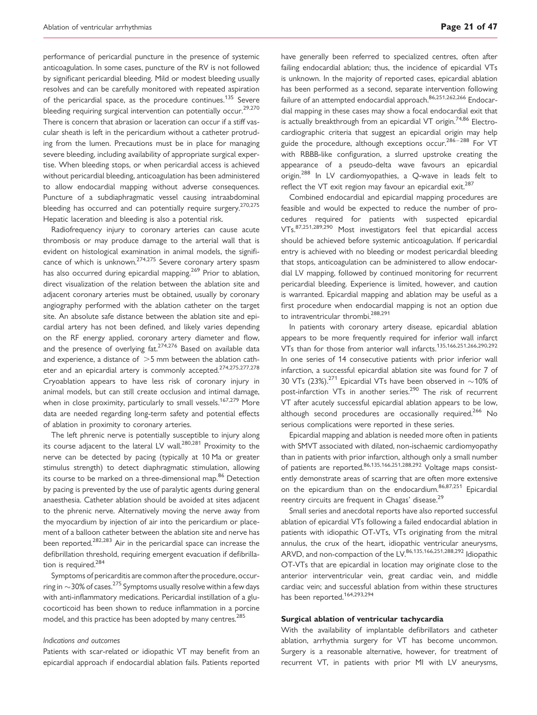performance of pericardial puncture in the presence of systemic anticoagulation. In some cases, puncture of the RV is not followed by significant pericardial bleeding. Mild or modest bleeding usually resolves and can be carefully monitored with repeated aspiration of the pericardial space, as the procedure continues.<sup>135</sup> Severe bleeding requiring surgical intervention can potentially occur.<sup>29,270</sup> There is concern that abrasion or laceration can occur if a stiff vascular sheath is left in the pericardium without a catheter protruding from the lumen. Precautions must be in place for managing severe bleeding, including availability of appropriate surgical expertise. When bleeding stops, or when pericardial access is achieved without pericardial bleeding, anticoagulation has been administered to allow endocardial mapping without adverse consequences. Puncture of a subdiaphragmatic vessel causing intraabdominal bleeding has occurred and can potentially require surgery.<sup>270,275</sup> Hepatic laceration and bleeding is also a potential risk.

Radiofrequency injury to coronary arteries can cause acute thrombosis or may produce damage to the arterial wall that is evident on histological examination in animal models, the significance of which is unknown.274,275 Severe coronary artery spasm has also occurred during epicardial mapping.<sup>269</sup> Prior to ablation, direct visualization of the relation between the ablation site and adjacent coronary arteries must be obtained, usually by coronary angiography performed with the ablation catheter on the target site. An absolute safe distance between the ablation site and epicardial artery has not been defined, and likely varies depending on the RF energy applied, coronary artery diameter and flow, and the presence of overlying fat.<sup>274,276</sup> Based on available data and experience, a distance of  $>5$  mm between the ablation catheter and an epicardial artery is commonly accepted.<sup>274,275,277,278</sup> Cryoablation appears to have less risk of coronary injury in animal models, but can still create occlusion and intimal damage, when in close proximity, particularly to small vessels.<sup>167,279</sup> More data are needed regarding long-term safety and potential effects of ablation in proximity to coronary arteries.

The left phrenic nerve is potentially susceptible to injury along its course adjacent to the lateral LV wall.280,281 Proximity to the nerve can be detected by pacing (typically at 10 Ma or greater stimulus strength) to detect diaphragmatic stimulation, allowing its course to be marked on a three-dimensional map.<sup>86</sup> Detection by pacing is prevented by the use of paralytic agents during general anaesthesia. Catheter ablation should be avoided at sites adjacent to the phrenic nerve. Alternatively moving the nerve away from the myocardium by injection of air into the pericardium or placement of a balloon catheter between the ablation site and nerve has been reported.<sup>282,283</sup> Air in the pericardial space can increase the defibrillation threshold, requiring emergent evacuation if defibrillation is required.<sup>284</sup>

Symptoms of pericarditis are common after the procedure, occurring in  $\sim$  30% of cases. $^{275}$  Symptoms usually resolve within a few days with anti-inflammatory medications. Pericardial instillation of a glucocorticoid has been shown to reduce inflammation in a porcine model, and this practice has been adopted by many centres.<sup>285</sup>

#### Indications and outcomes

Patients with scar-related or idiopathic VT may benefit from an epicardial approach if endocardial ablation fails. Patients reported have generally been referred to specialized centres, often after failing endocardial ablation; thus, the incidence of epicardial VTs is unknown. In the majority of reported cases, epicardial ablation has been performed as a second, separate intervention following failure of an attempted endocardial approach.<sup>86,251,262,266</sup> Endocardial mapping in these cases may show a focal endocardial exit that is actually breakthrough from an epicardial VT origin.<sup>74,86</sup> Electrocardiographic criteria that suggest an epicardial origin may help guide the procedure, although exceptions occur.<sup>286-288</sup> For VT with RBBB-like configuration, a slurred upstroke creating the appearance of a pseudo-delta wave favours an epicardial origin.<sup>288</sup> In LV cardiomyopathies, a Q-wave in leads felt to reflect the VT exit region may favour an epicardial exit.<sup>287</sup>

Combined endocardial and epicardial mapping procedures are feasible and would be expected to reduce the number of procedures required for patients with suspected epicardial VTs.87,251,289,290 Most investigators feel that epicardial access should be achieved before systemic anticoagulation. If pericardial entry is achieved with no bleeding or modest pericardial bleeding that stops, anticoagulation can be administered to allow endocardial LV mapping, followed by continued monitoring for recurrent pericardial bleeding. Experience is limited, however, and caution is warranted. Epicardial mapping and ablation may be useful as a first procedure when endocardial mapping is not an option due to intraventricular thrombi.<sup>288,291</sup>

In patients with coronary artery disease, epicardial ablation appears to be more frequently required for inferior wall infarct VTs than for those from anterior wall infarcts.135,166,251,266,290,292 In one series of 14 consecutive patients with prior inferior wall infarction, a successful epicardial ablation site was found for 7 of 30 VTs (23%).<sup>271</sup> Epicardial VTs have been observed in  $\sim$  10% of post-infarction VTs in another series.<sup>290</sup> The risk of recurrent VT after acutely successful epicardial ablation appears to be low, although second procedures are occasionally required.<sup>266</sup> No serious complications were reported in these series.

Epicardial mapping and ablation is needed more often in patients with SMVT associated with dilated, non-ischaemic cardiomyopathy than in patients with prior infarction, although only a small number of patients are reported.86,135,166,251,288,292 Voltage maps consistently demonstrate areas of scarring that are often more extensive on the epicardium than on the endocardium. 86,87,251 Epicardial reentry circuits are frequent in Chagas' disease.<sup>29</sup>

Small series and anecdotal reports have also reported successful ablation of epicardial VTs following a failed endocardial ablation in patients with idiopathic OT-VTs, VTs originating from the mitral annulus, the crux of the heart, idiopathic ventricular aneurysms, ARVD, and non-compaction of the LV.<sup>86,135,166,251,288,292</sup> Idiopathic OT-VTs that are epicardial in location may originate close to the anterior interventricular vein, great cardiac vein, and middle cardiac vein; and successful ablation from within these structures has been reported.<sup>164,293,294</sup>

#### Surgical ablation of ventricular tachycardia

With the availability of implantable defibrillators and catheter ablation, arrhythmia surgery for VT has become uncommon. Surgery is a reasonable alternative, however, for treatment of recurrent VT, in patients with prior MI with LV aneurysms,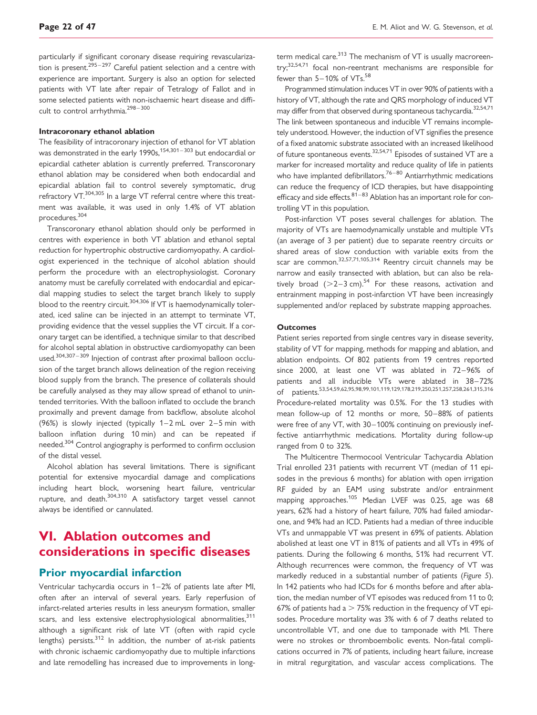particularly if significant coronary disease requiring revascularization is present.<sup>295-297</sup> Careful patient selection and a centre with experience are important. Surgery is also an option for selected patients with VT late after repair of Tetralogy of Fallot and in some selected patients with non-ischaemic heart disease and difficult to control arrhythmia.<sup>298-300</sup>

#### Intracoronary ethanol ablation

The feasibility of intracoronary injection of ethanol for VT ablation was demonstrated in the early 1990s,<sup>154,301 – 303</sup> but endocardial or epicardial catheter ablation is currently preferred. Transcoronary ethanol ablation may be considered when both endocardial and epicardial ablation fail to control severely symptomatic, drug refractory VT.304,305 In a large VT referral centre where this treatment was available, it was used in only 1.4% of VT ablation procedures.304

Transcoronary ethanol ablation should only be performed in centres with experience in both VT ablation and ethanol septal reduction for hypertrophic obstructive cardiomyopathy. A cardiologist experienced in the technique of alcohol ablation should perform the procedure with an electrophysiologist. Coronary anatomy must be carefully correlated with endocardial and epicardial mapping studies to select the target branch likely to supply blood to the reentry circuit.<sup>304,306</sup> If VT is haemodynamically tolerated, iced saline can be injected in an attempt to terminate VT, providing evidence that the vessel supplies the VT circuit. If a coronary target can be identified, a technique similar to that described for alcohol septal ablation in obstructive cardiomyopathy can been used.<sup>304,307-309</sup> Injection of contrast after proximal balloon occlusion of the target branch allows delineation of the region receiving blood supply from the branch. The presence of collaterals should be carefully analysed as they may allow spread of ethanol to unintended territories. With the balloon inflated to occlude the branch proximally and prevent damage from backflow, absolute alcohol (96%) is slowly injected (typically  $1-2$  mL over  $2-5$  min with balloon inflation during 10 min) and can be repeated if needed.<sup>304</sup> Control angiography is performed to confirm occlusion of the distal vessel.

Alcohol ablation has several limitations. There is significant potential for extensive myocardial damage and complications including heart block, worsening heart failure, ventricular rupture, and death.<sup>304,310</sup> A satisfactory target vessel cannot always be identified or cannulated.

## VI. Ablation outcomes and considerations in specific diseases

### Prior myocardial infarction

Ventricular tachycardia occurs in 1–2% of patients late after MI, often after an interval of several years. Early reperfusion of infarct-related arteries results in less aneurysm formation, smaller scars, and less extensive electrophysiological abnormalities, 311 although a significant risk of late VT (often with rapid cycle lengths) persists. $312$  In addition, the number of at-risk patients with chronic ischaemic cardiomyopathy due to multiple infarctions and late remodelling has increased due to improvements in longterm medical care.<sup>313</sup> The mechanism of VT is usually macroreentry;32,54,71 focal non-reentrant mechanisms are responsible for fewer than  $5-10\%$  of VTs.<sup>58</sup>

Programmed stimulation induces VT in over 90% of patients with a history of VT, although the rate and QRS morphology of induced VT may differ from that observed during spontaneous tachycardia.<sup>32,54,71</sup> The link between spontaneous and inducible VT remains incompletely understood. However, the induction of VT signifies the presence of a fixed anatomic substrate associated with an increased likelihood of future spontaneous events.<sup>32,54,71</sup> Episodes of sustained VT are a marker for increased mortality and reduce quality of life in patients who have implanted defibrillators.<sup>76-80</sup> Antiarrhythmic medications can reduce the frequency of ICD therapies, but have disappointing efficacy and side effects. $81 - 83$  Ablation has an important role for controlling VT in this population.

Post-infarction VT poses several challenges for ablation. The majority of VTs are haemodynamically unstable and multiple VTs (an average of 3 per patient) due to separate reentry circuits or shared areas of slow conduction with variable exits from the scar are common.<sup>32,57,71,105,314</sup> Reentry circuit channels may be narrow and easily transected with ablation, but can also be relatively broad ( $>$ 2–3 cm).<sup>54</sup> For these reasons, activation and entrainment mapping in post-infarction VT have been increasingly supplemented and/or replaced by substrate mapping approaches.

#### **Outcomes**

Patient series reported from single centres vary in disease severity, stability of VT for mapping, methods for mapping and ablation, and ablation endpoints. Of 802 patients from 19 centres reported since 2000, at least one VT was ablated in 72-96% of patients and all inducible VTs were ablated in 38-72% of patients.53,54,59,62,95,98,99,101,119,129,178,219,250,251,257,258,261,315,316 Procedure-related mortality was 0.5%. For the 13 studies with mean follow-up of 12 months or more, 50-88% of patients were free of any VT, with 30-100% continuing on previously ineffective antiarrhythmic medications. Mortality during follow-up ranged from 0 to 32%.

The Multicentre Thermocool Ventricular Tachycardia Ablation Trial enrolled 231 patients with recurrent VT (median of 11 episodes in the previous 6 months) for ablation with open irrigation RF guided by an EAM using substrate and/or entrainment mapping approaches.<sup>105</sup> Median LVEF was 0.25, age was 68 years, 62% had a history of heart failure, 70% had failed amiodarone, and 94% had an ICD. Patients had a median of three inducible VTs and unmappable VT was present in 69% of patients. Ablation abolished at least one VT in 81% of patients and all VTs in 49% of patients. During the following 6 months, 51% had recurrent VT. Although recurrences were common, the frequency of VT was markedly reduced in a substantial number of patients (Figure 5). In 142 patients who had ICDs for 6 months before and after ablation, the median number of VT episodes was reduced from 11 to 0; 67% of patients had a  $>$  75% reduction in the frequency of VT episodes. Procedure mortality was 3% with 6 of 7 deaths related to uncontrollable VT, and one due to tamponade with MI. There were no strokes or thromboembolic events. Non-fatal complications occurred in 7% of patients, including heart failure, increase in mitral regurgitation, and vascular access complications. The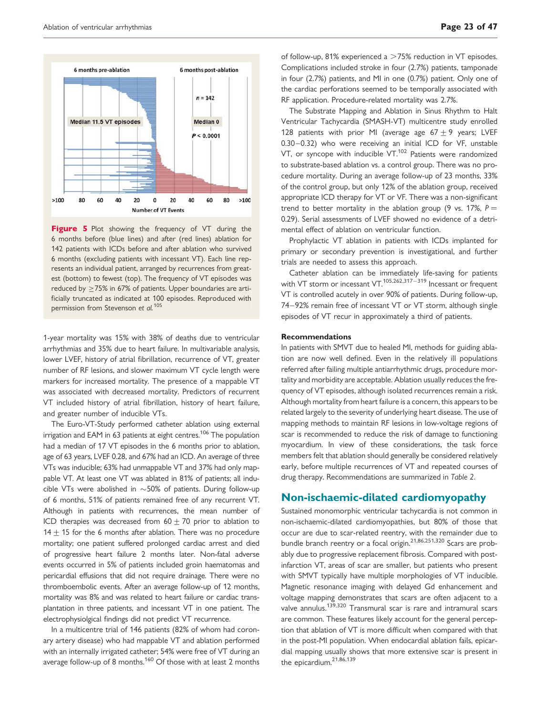

Figure 5 Plot showing the frequency of VT during the 6 months before (blue lines) and after (red lines) ablation for 142 patients with ICDs before and after ablation who survived 6 months (excluding patients with incessant VT). Each line represents an individual patient, arranged by recurrences from greatest (bottom) to fewest (top). The frequency of VT episodes was reduced by  $\geq$ 75% in 67% of patients. Upper boundaries are artificially truncated as indicated at 100 episodes. Reproduced with permission from Stevenson et al.<sup>105</sup>

1-year mortality was 15% with 38% of deaths due to ventricular arrhythmias and 35% due to heart failure. In multivariable analysis, lower LVEF, history of atrial fibrillation, recurrence of VT, greater number of RF lesions, and slower maximum VT cycle length were markers for increased mortality. The presence of a mappable VT was associated with decreased mortality. Predictors of recurrent VT included history of atrial fibrillation, history of heart failure, and greater number of inducible VTs.

The Euro-VT-Study performed catheter ablation using external irrigation and EAM in 63 patients at eight centres.<sup>106</sup> The population had a median of 17 VT episodes in the 6 months prior to ablation, age of 63 years, LVEF 0.28, and 67% had an ICD. An average of three VTs was inducible; 63% had unmappable VT and 37% had only mappable VT. At least one VT was ablated in 81% of patients; all inducible VTs were abolished in  $\sim$  50% of patients. During follow-up of 6 months, 51% of patients remained free of any recurrent VT. Although in patients with recurrences, the mean number of ICD therapies was decreased from  $60 \pm 70$  prior to ablation to 14  $\pm$  15 for the 6 months after ablation. There was no procedure mortality; one patient suffered prolonged cardiac arrest and died of progressive heart failure 2 months later. Non-fatal adverse events occurred in 5% of patients included groin haematomas and pericardial effusions that did not require drainage. There were no thromboembolic events. After an average follow-up of 12 months, mortality was 8% and was related to heart failure or cardiac transplantation in three patients, and incessant VT in one patient. The electrophysiolgical findings did not predict VT recurrence.

In a multicentre trial of 146 patients (82% of whom had coronary artery disease) who had mappable VT and ablation performed with an internally irrigated catheter; 54% were free of VT during an average follow-up of 8 months.<sup>160</sup> Of those with at least 2 months

of follow-up, 81% experienced a  $>75%$  reduction in VT episodes. Complications included stroke in four (2.7%) patients, tamponade in four (2.7%) patients, and MI in one (0.7%) patient. Only one of the cardiac perforations seemed to be temporally associated with RF application. Procedure-related mortality was 2.7%.

The Substrate Mapping and Ablation in Sinus Rhythm to Halt Ventricular Tachycardia (SMASH-VT) multicentre study enrolled 128 patients with prior MI (average age  $67 + 9$  years; LVEF 0.30 – 0.32) who were receiving an initial ICD for VF, unstable VT, or syncope with inducible VT.<sup>102</sup> Patients were randomized to substrate-based ablation vs. a control group. There was no procedure mortality. During an average follow-up of 23 months, 33% of the control group, but only 12% of the ablation group, received appropriate ICD therapy for VT or VF. There was a non-significant trend to better mortality in the ablation group (9 vs. 17%,  $P =$ 0.29). Serial assessments of LVEF showed no evidence of a detrimental effect of ablation on ventricular function.

Prophylactic VT ablation in patients with ICDs implanted for primary or secondary prevention is investigational, and further trials are needed to assess this approach.

Catheter ablation can be immediately life-saving for patients with VT storm or incessant VT.<sup>105,262,317-319</sup> Incessant or frequent VT is controlled acutely in over 90% of patients. During follow-up, 74 –92% remain free of incessant VT or VT storm, although single episodes of VT recur in approximately a third of patients.

#### Recommendations

In patients with SMVT due to healed MI, methods for guiding ablation are now well defined. Even in the relatively ill populations referred after failing multiple antiarrhythmic drugs, procedure mortality and morbidity are acceptable. Ablation usually reduces the frequency of VT episodes, although isolated recurrences remain a risk. Although mortality from heart failure is a concern, this appears to be related largely to the severity of underlying heart disease. The use of mapping methods to maintain RF lesions in low-voltage regions of scar is recommended to reduce the risk of damage to functioning myocardium. In view of these considerations, the task force members felt that ablation should generally be considered relatively early, before multiple recurrences of VT and repeated courses of drug therapy. Recommendations are summarized in Table 2.

### Non-ischaemic-dilated cardiomyopathy

Sustained monomorphic ventricular tachycardia is not common in non-ischaemic-dilated cardiomyopathies, but 80% of those that occur are due to scar-related reentry, with the remainder due to bundle branch reentry or a focal origin.<sup>21,86,251,320</sup> Scars are probably due to progressive replacement fibrosis. Compared with postinfarction VT, areas of scar are smaller, but patients who present with SMVT typically have multiple morphologies of VT inducible. Magnetic resonance imaging with delayed Gd enhancement and voltage mapping demonstrates that scars are often adjacent to a valve annulus.<sup>139,320</sup> Transmural scar is rare and intramural scars are common. These features likely account for the general perception that ablation of VT is more difficult when compared with that in the post-MI population. When endocardial ablation fails, epicardial mapping usually shows that more extensive scar is present in the epicardium.<sup>21,86,139</sup>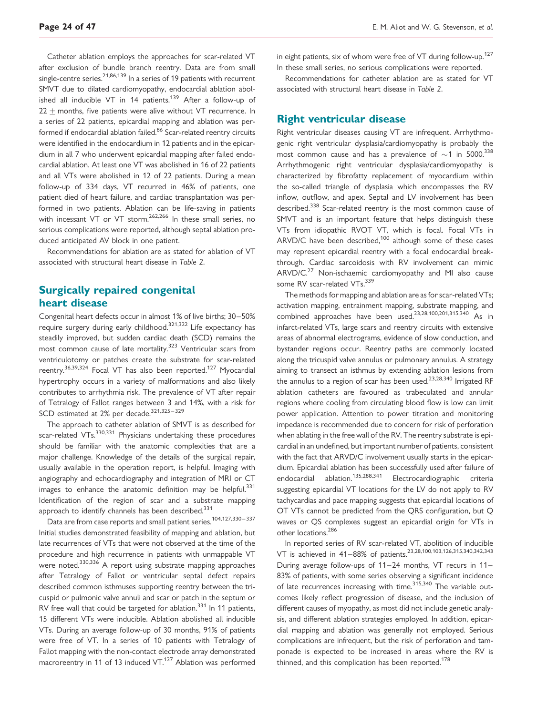**Page 24 of 47** E. M. Aliot and W. G. Stevenson, et al.

Catheter ablation employs the approaches for scar-related VT after exclusion of bundle branch reentry. Data are from small single-centre series.<sup>21,86,139</sup> In a series of 19 patients with recurrent SMVT due to dilated cardiomyopathy, endocardial ablation abolished all inducible VT in 14 patients.<sup>139</sup> After a follow-up of  $22 \pm$  months, five patients were alive without VT recurrence. In a series of 22 patients, epicardial mapping and ablation was performed if endocardial ablation failed.<sup>86</sup> Scar-related reentry circuits were identified in the endocardium in 12 patients and in the epicardium in all 7 who underwent epicardial mapping after failed endocardial ablation. At least one VT was abolished in 16 of 22 patients and all VTs were abolished in 12 of 22 patients. During a mean follow-up of 334 days, VT recurred in 46% of patients, one patient died of heart failure, and cardiac transplantation was performed in two patients. Ablation can be life-saving in patients with incessant VT or VT storm.<sup>262,266</sup> In these small series, no serious complications were reported, although septal ablation produced anticipated AV block in one patient.

Recommendations for ablation are as stated for ablation of VT associated with structural heart disease in Table 2.

## Surgically repaired congenital heart disease

Congenital heart defects occur in almost 1% of live births; 30–50% require surgery during early childhood.<sup>321,322</sup> Life expectancy has steadily improved, but sudden cardiac death (SCD) remains the most common cause of late mortality.<sup>323</sup> Ventricular scars from ventriculotomy or patches create the substrate for scar-related reentry.<sup>36,39,324</sup> Focal VT has also been reported.<sup>127</sup> Myocardial hypertrophy occurs in a variety of malformations and also likely contributes to arrhythmia risk. The prevalence of VT after repair of Tetralogy of Fallot ranges between 3 and 14%, with a risk for SCD estimated at 2% per decade.<sup>321,325-329</sup>

The approach to catheter ablation of SMVT is as described for scar-related VTs.<sup>330,331</sup> Physicians undertaking these procedures should be familiar with the anatomic complexities that are a major challenge. Knowledge of the details of the surgical repair, usually available in the operation report, is helpful. Imaging with angiography and echocardiography and integration of MRI or CT images to enhance the anatomic definition may be helpful. $331$ Identification of the region of scar and a substrate mapping approach to identify channels has been described.<sup>331</sup>

Data are from case reports and small patient series.<sup>104,127,330-337</sup> Initial studies demonstrated feasibility of mapping and ablation, but late recurrences of VTs that were not observed at the time of the procedure and high recurrence in patients with unmappable VT were noted.<sup>330,336</sup> A report using substrate mapping approaches after Tetralogy of Fallot or ventricular septal defect repairs described common isthmuses supporting reentry between the tricuspid or pulmonic valve annuli and scar or patch in the septum or RV free wall that could be targeted for ablation.<sup>331</sup> In 11 patients, 15 different VTs were inducible. Ablation abolished all inducible VTs. During an average follow-up of 30 months, 91% of patients were free of VT. In a series of 10 patients with Tetralogy of Fallot mapping with the non-contact electrode array demonstrated macroreentry in 11 of 13 induced VT.<sup>127</sup> Ablation was performed

in eight patients, six of whom were free of VT during follow-up.127 In these small series, no serious complications were reported.

Recommendations for catheter ablation are as stated for VT associated with structural heart disease in Table 2.

### Right ventricular disease

Right ventricular diseases causing VT are infrequent. Arrhythmogenic right ventricular dysplasia/cardiomyopathy is probably the most common cause and has a prevalence of  $\sim$ 1 in 5000.<sup>338</sup> Arrhythmogenic right ventricular dysplasia/cardiomyopathy is characterized by fibrofatty replacement of myocardium within the so-called triangle of dysplasia which encompasses the RV inflow, outflow, and apex. Septal and LV involvement has been described.<sup>338</sup> Scar-related reentry is the most common cause of SMVT and is an important feature that helps distinguish these VTs from idiopathic RVOT VT, which is focal. Focal VTs in ARVD/C have been described,<sup>100</sup> although some of these cases may represent epicardial reentry with a focal endocardial breakthrough. Cardiac sarcoidosis with RV involvement can mimic ARVD/C.<sup>27</sup> Non-ischaemic cardiomyopathy and MI also cause some RV scar-related VTs.<sup>339</sup>

The methods for mapping and ablation are as for scar-related VTs; activation mapping, entrainment mapping, substrate mapping, and combined approaches have been used.<sup>23,28,100,201,315,340</sup> As in infarct-related VTs, large scars and reentry circuits with extensive areas of abnormal electrograms, evidence of slow conduction, and bystander regions occur. Reentry paths are commonly located along the tricuspid valve annulus or pulmonary annulus. A strategy aiming to transect an isthmus by extending ablation lesions from the annulus to a region of scar has been used.<sup>23,28,340</sup> Irrigated RF ablation catheters are favoured as trabeculated and annular regions where cooling from circulating blood flow is low can limit power application. Attention to power titration and monitoring impedance is recommended due to concern for risk of perforation when ablating in the free wall of the RV. The reentry substrate is epicardial in an undefined, but important number of patients, consistent with the fact that ARVD/C involvement usually starts in the epicardium. Epicardial ablation has been successfully used after failure of endocardial ablation.<sup>135,288,341</sup> Electrocardiographic criteria suggesting epicardial VT locations for the LV do not apply to RV tachycardias and pace mapping suggests that epicardial locations of OT VTs cannot be predicted from the QRS configuration, but Q waves or QS complexes suggest an epicardial origin for VTs in other locations.286

In reported series of RV scar-related VT, abolition of inducible VT is achieved in 41–88% of patients.23,28,100,103,126,315,340,342,343 During average follow-ups of 11-24 months, VT recurs in 11-83% of patients, with some series observing a significant incidence of late recurrences increasing with time.<sup>315,340</sup> The variable outcomes likely reflect progression of disease, and the inclusion of different causes of myopathy, as most did not include genetic analysis, and different ablation strategies employed. In addition, epicardial mapping and ablation was generally not employed. Serious complications are infrequent, but the risk of perforation and tamponade is expected to be increased in areas where the RV is thinned, and this complication has been reported.<sup>178</sup>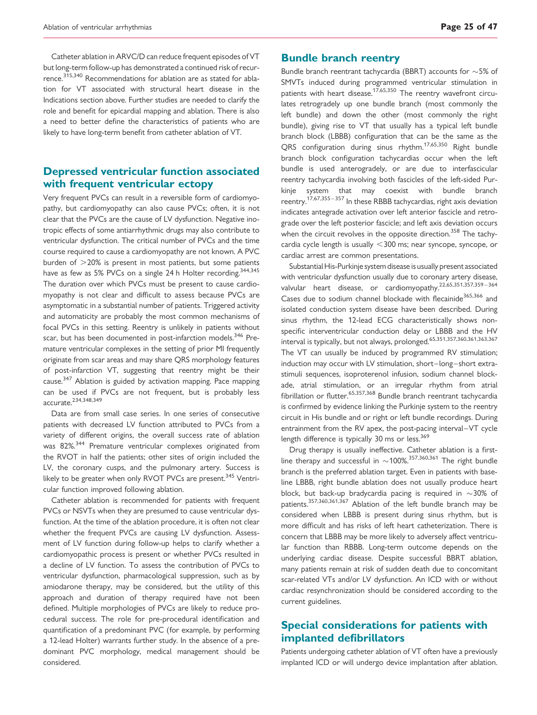Catheter ablation in ARVC/D can reduce frequent episodes of VT but long-term follow-up has demonstrated a continued risk of recurrence.315,340 Recommendations for ablation are as stated for ablation for VT associated with structural heart disease in the Indications section above. Further studies are needed to clarify the role and benefit for epicardial mapping and ablation. There is also a need to better define the characteristics of patients who are likely to have long-term benefit from catheter ablation of VT.

## Depressed ventricular function associated with frequent ventricular ectopy

Very frequent PVCs can result in a reversible form of cardiomyopathy, but cardiomyopathy can also cause PVCs; often, it is not clear that the PVCs are the cause of LV dysfunction. Negative inotropic effects of some antiarrhythmic drugs may also contribute to ventricular dysfunction. The critical number of PVCs and the time course required to cause a cardiomyopathy are not known. A PVC burden of  $>$  20% is present in most patients, but some patients have as few as 5% PVCs on a single 24 h Holter recording.<sup>344,345</sup> The duration over which PVCs must be present to cause cardiomyopathy is not clear and difficult to assess because PVCs are asymptomatic in a substantial number of patients. Triggered activity and automaticity are probably the most common mechanisms of focal PVCs in this setting. Reentry is unlikely in patients without scar, but has been documented in post-infarction models.<sup>346</sup> Premature ventricular complexes in the setting of prior MI frequently originate from scar areas and may share QRS morphology features of post-infarction VT, suggesting that reentry might be their cause.347 Ablation is guided by activation mapping. Pace mapping can be used if PVCs are not frequent, but is probably less accurate.234,348,349

Data are from small case series. In one series of consecutive patients with decreased LV function attributed to PVCs from a variety of different origins, the overall success rate of ablation was 82%.<sup>344</sup> Premature ventricular complexes originated from the RVOT in half the patients; other sites of origin included the LV, the coronary cusps, and the pulmonary artery. Success is likely to be greater when only RVOT PVCs are present.<sup>345</sup> Ventricular function improved following ablation.

Catheter ablation is recommended for patients with frequent PVCs or NSVTs when they are presumed to cause ventricular dysfunction. At the time of the ablation procedure, it is often not clear whether the frequent PVCs are causing LV dysfunction. Assessment of LV function during follow-up helps to clarify whether a cardiomyopathic process is present or whether PVCs resulted in a decline of LV function. To assess the contribution of PVCs to ventricular dysfunction, pharmacological suppression, such as by amiodarone therapy, may be considered, but the utility of this approach and duration of therapy required have not been defined. Multiple morphologies of PVCs are likely to reduce procedural success. The role for pre-procedural identification and quantification of a predominant PVC (for example, by performing a 12-lead Holter) warrants further study. In the absence of a predominant PVC morphology, medical management should be considered.

### Bundle branch reentry

Bundle branch reentrant tachycardia (BBRT) accounts for  ${\sim}5\%$  of SMVTs induced during programmed ventricular stimulation in patients with heart disease.<sup>17,65,350</sup> The reentry wavefront circulates retrogradely up one bundle branch (most commonly the left bundle) and down the other (most commonly the right bundle), giving rise to VT that usually has a typical left bundle branch block (LBBB) configuration that can be the same as the QRS configuration during sinus rhythm.<sup>17,65,350</sup> Right bundle branch block configuration tachycardias occur when the left bundle is used anterogradely, or are due to interfascicular reentry tachycardia involving both fascicles of the left-sided Purkinje system that may coexist with bundle branch reentry.17,67,355 – 357 In these RBBB tachycardias, right axis deviation indicates antegrade activation over left anterior fascicle and retrograde over the left posterior fascicle; and left axis deviation occurs when the circuit revolves in the opposite direction.<sup>358</sup> The tachycardia cycle length is usually  $<$ 300 ms; near syncope, syncope, or cardiac arrest are common presentations.

Substantial His-Purkinje system disease is usually present associated with ventricular dysfunction usually due to coronary artery disease, valvular heart disease, or cardiomyopathy.22,65,351,357,359 – 364 Cases due to sodium channel blockade with flecainide<sup>365,366</sup> and isolated conduction system disease have been described. During sinus rhythm, the 12-lead ECG characteristically shows nonspecific interventricular conduction delay or LBBB and the HV interval is typically, but not always, prolonged.65,351,357,360,361,363,367 The VT can usually be induced by programmed RV stimulation; induction may occur with LV stimulation, short-long-short extrastimuli sequences, isoproterenol infusion, sodium channel blockade, atrial stimulation, or an irregular rhythm from atrial fibrillation or flutter.65,357,368 Bundle branch reentrant tachycardia is confirmed by evidence linking the Purkinje system to the reentry circuit in His bundle and or right or left bundle recordings. During entrainment from the RV apex, the post-pacing interval-VT cycle length difference is typically 30 ms or less.<sup>369</sup>

Drug therapy is usually ineffective. Catheter ablation is a firstline therapy and successful in  $\sim$  100%.<sup>357,360,361</sup> The right bundle branch is the preferred ablation target. Even in patients with baseline LBBB, right bundle ablation does not usually produce heart block, but back-up bradycardia pacing is required in  ${\sim}30\%$  of patients.357,360,361,367 Ablation of the left bundle branch may be considered when LBBB is present during sinus rhythm, but is more difficult and has risks of left heart catheterization. There is concern that LBBB may be more likely to adversely affect ventricular function than RBBB. Long-term outcome depends on the underlying cardiac disease. Despite successful BBRT ablation, many patients remain at risk of sudden death due to concomitant scar-related VTs and/or LV dysfunction. An ICD with or without cardiac resynchronization should be considered according to the current guidelines.

## Special considerations for patients with implanted defibrillators

Patients undergoing catheter ablation of VT often have a previously implanted ICD or will undergo device implantation after ablation.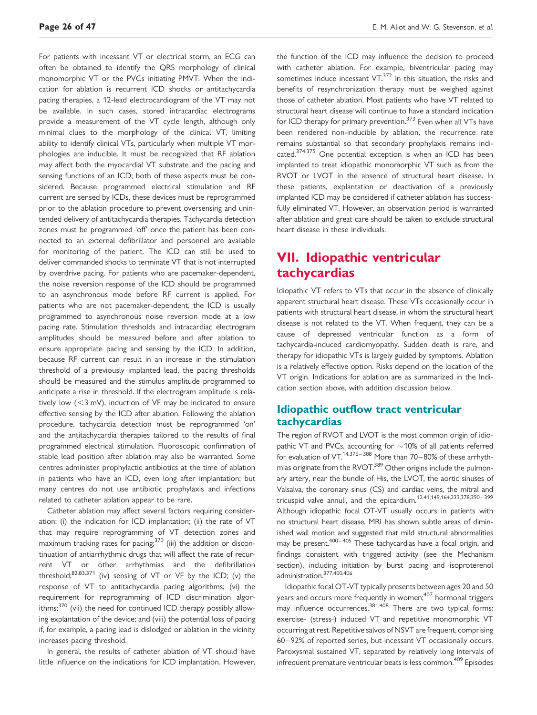For patients with incessant VT or electrical storm, an ECG can often be obtained to identify the QRS morphology of clinical monomorphic VT or the PVCs initiating PMVT. When the indication for ablation is recurrent ICD shocks or antitachycardia pacing therapies, a 12-lead electrocardiogram of the VT may not be available. In such cases, stored intracardiac electrograms provide a measurement of the VT cycle length, although only minimal clues to the morphology of the clinical VT, limiting ability to identify clinical VTs, particularly when multiple VT morphologies are inducible. It must be recognized that RF ablation may affect both the myocardial VT substrate and the pacing and sensing functions of an ICD; both of these aspects must be considered. Because programmed electrical stimulation and RF current are sensed by ICDs, these devices must be reprogrammed prior to the ablation procedure to prevent oversensing and unintended delivery of antitachycardia therapies. Tachycardia detection zones must be programmed 'off' once the patient has been connected to an external defibrillator and personnel are available for monitoring of the patient. The ICD can still be used to deliver commanded shocks to terminate VT that is not interrupted by overdrive pacing. For patients who are pacemaker-dependent, the noise reversion response of the ICD should be programmed to an asynchronous mode before RF current is applied. For patients who are not pacemaker-dependent, the ICD is usually programmed to asynchronous noise reversion mode at a low pacing rate. Stimulation thresholds and intracardiac electrogram amplitudes should be measured before and after ablation to ensure appropriate pacing and sensing by the ICD. In addition, because RF current can result in an increase in the stimulation threshold of a previously implanted lead, the pacing thresholds should be measured and the stimulus amplitude programmed to anticipate a rise in threshold. If the electrogram amplitude is relatively low  $(<$ 3 mV), induction of VF may be indicated to ensure effective sensing by the ICD after ablation. Following the ablation procedure, tachycardia detection must be reprogrammed 'on' and the antitachycardia therapies tailored to the results of final programmed electrical stimulation. Fluoroscopic confirmation of stable lead position after ablation may also be warranted. Some centres administer prophylactic antibiotics at the time of ablation in patients who have an ICD, even long after implantation; but many centres do not use antibiotic prophylaxis and infections related to catheter ablation appear to be rare.

Catheter ablation may affect several factors requiring consideration: (i) the indication for ICD implantation; (ii) the rate of VT that may require reprogramming of VT detection zones and maximum tracking rates for pacing;<sup>370</sup> (iii) the addition or discontinuation of antiarrhythmic drugs that will affect the rate of recurrent VT or other arrhythmias and the defibrillation threshold; $82,83,371$  (iv) sensing of VT or VF by the ICD; (v) the response of VT to antitachycardia pacing algorithms; (vi) the requirement for reprogramming of ICD discrimination algorithms;<sup>370</sup> (vii) the need for continued ICD therapy possibly allowing explantation of the device; and (viii) the potential loss of pacing if, for example, a pacing lead is dislodged or ablation in the vicinity increases pacing threshold.

In general, the results of catheter ablation of VT should have little influence on the indications for ICD implantation. However, the function of the ICD may influence the decision to proceed with catheter ablation. For example, biventricular pacing may sometimes induce incessant  $VT^{372}$  In this situation, the risks and benefits of resynchronization therapy must be weighed against those of catheter ablation. Most patients who have VT related to structural heart disease will continue to have a standard indication for ICD therapy for primary prevention.<sup>373</sup> Even when all VTs have been rendered non-inducible by ablation, the recurrence rate remains substantial so that secondary prophylaxis remains indicated.<sup>374,375</sup> One potential exception is when an ICD has been implanted to treat idiopathic monomorphic VT such as from the RVOT or LVOT in the absence of structural heart disease. In these patients, explantation or deactivation of a previously implanted ICD may be considered if catheter ablation has successfully eliminated VT. However, an observation period is warranted after ablation and great care should be taken to exclude structural heart disease in these individuals.

## VII. Idiopathic ventricular tachycardias

Idiopathic VT refers to VTs that occur in the absence of clinically apparent structural heart disease. These VTs occasionally occur in patients with structural heart disease, in whom the structural heart disease is not related to the VT. When frequent, they can be a cause of depressed ventricular function as a form of tachycardia-induced cardiomyopathy. Sudden death is rare, and therapy for idiopathic VTs is largely guided by symptoms. Ablation is a relatively effective option. Risks depend on the location of the VT origin. Indications for ablation are as summarized in the Indication section above, with addition discussion below.

## Idiopathic outflow tract ventricular tachycardias

The region of RVOT and LVOT is the most common origin of idiopathic VT and PVCs, accounting for  $\sim$  10% of all patients referred for evaluation of  $\sqrt{1}^{14,376-388}$  More than 70–80% of these arrhythmias originate from the RVOT.<sup>389</sup> Other origins include the pulmonary artery, near the bundle of His, the LVOT, the aortic sinuses of Valsalva, the coronary sinus (CS) and cardiac veins, the mitral and tricuspid valve annuli, and the epicardium.<sup>12,41,149,164,233,378,390-399</sup> Although idiopathic focal OT-VT usually occurs in patients with no structural heart disease, MRI has shown subtle areas of diminished wall motion and suggested that mild structural abnormalities may be present.  $400-405$  These tachycardias have a focal origin, and findings consistent with triggered activity (see the Mechanism section), including initiation by burst pacing and isoproterenol administration.377,400,406

Idiopathic focal OT-VT typically presents between ages 20 and 50 years and occurs more frequently in women;<sup>407</sup> hormonal triggers may influence occurrences.<sup>381,408</sup> There are two typical forms: exercise- (stress-) induced VT and repetitive monomorphic VT occurring at rest. Repetitive salvos of NSVT are frequent, comprising 60 –92% of reported series, but incessant VT occasionally occurs. Paroxysmal sustained VT, separated by relatively long intervals of infrequent premature ventricular beats is less common.<sup>409</sup> Episodes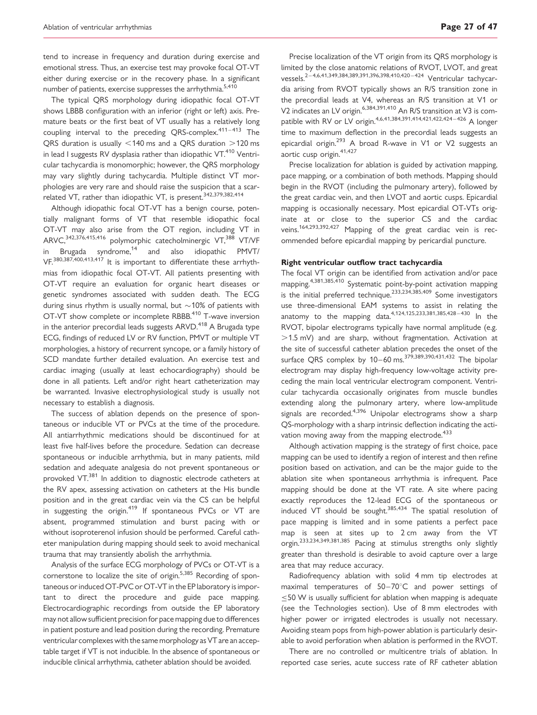tend to increase in frequency and duration during exercise and emotional stress. Thus, an exercise test may provoke focal OT-VT either during exercise or in the recovery phase. In a significant number of patients, exercise suppresses the arrhythmia.<sup>5,410</sup>

The typical QRS morphology during idiopathic focal OT-VT shows LBBB configuration with an inferior (right or left) axis. Premature beats or the first beat of VT usually has a relatively long coupling interval to the preceding QRS-complex. $411-413$  The QRS duration is usually  $<$  140 ms and a QRS duration  $>$  120 ms in lead I suggests RV dysplasia rather than idiopathic  $VT<sup>410</sup>$  Ventricular tachycardia is monomorphic; however, the QRS morphology may vary slightly during tachycardia. Multiple distinct VT morphologies are very rare and should raise the suspicion that a scarrelated VT, rather than idiopathic VT, is present.<sup>342,379,382,414</sup>

Although idiopathic focal OT-VT has a benign course, potentially malignant forms of VT that resemble idiopathic focal OT-VT may also arise from the OT region, including VT in ARVC.<sup>342,376,415,416</sup> polymorphic catecholminergic VT,<sup>388</sup> VT/VF in Brugada syndrome, $14$  and also idiopathic PMVT/ VF.380,387,400,413,417 It is important to differentiate these arrhythmias from idiopathic focal OT-VT. All patients presenting with OT-VT require an evaluation for organic heart diseases or genetic syndromes associated with sudden death. The ECG during sinus rhythm is usually normal, but  $\sim$  10% of patients with OT-VT show complete or incomplete RBBB.410 T-wave inversion in the anterior precordial leads suggests  $ARVD$ .<sup>418</sup> A Brugada type ECG, findings of reduced LV or RV function, PMVT or multiple VT morphologies, a history of recurrent syncope, or a family history of SCD mandate further detailed evaluation. An exercise test and cardiac imaging (usually at least echocardiography) should be done in all patients. Left and/or right heart catheterization may be warranted. Invasive electrophysiological study is usually not necessary to establish a diagnosis.

The success of ablation depends on the presence of spontaneous or inducible VT or PVCs at the time of the procedure. All antiarrhythmic medications should be discontinued for at least five half-lives before the procedure. Sedation can decrease spontaneous or inducible arrhythmia, but in many patients, mild sedation and adequate analgesia do not prevent spontaneous or provoked VT.381 In addition to diagnostic electrode catheters at the RV apex, assessing activation on catheters at the His bundle position and in the great cardiac vein via the CS can be helpful in suggesting the origin.<sup>419</sup> If spontaneous PVCs or VT are absent, programmed stimulation and burst pacing with or without isoproterenol infusion should be performed. Careful catheter manipulation during mapping should seek to avoid mechanical trauma that may transiently abolish the arrhythmia.

Analysis of the surface ECG morphology of PVCs or OT-VT is a cornerstone to localize the site of origin.<sup>5,385</sup> Recording of spontaneous or induced OT-PVC or OT-VT in the EP laboratory is important to direct the procedure and guide pace mapping. Electrocardiographic recordings from outside the EP laboratory may not allow sufficient precision for pace mapping due to differences in patient posture and lead position during the recording. Premature ventricular complexes with the same morphology as VT are an acceptable target if VT is not inducible. In the absence of spontaneous or inducible clinical arrhythmia, catheter ablation should be avoided.

Precise localization of the VT origin from its QRS morphology is limited by the close anatomic relations of RVOT, LVOT, and great vessels.2 – 4,6,41,349,384,389,391,396,398,410,420 – 424 Ventricular tachycardia arising from RVOT typically shows an R/S transition zone in the precordial leads at V4, whereas an R/S transition at V1 or V2 indicates an LV origin.<sup>6,384,391,410</sup> An R/S transition at V3 is compatible with RV or LV origin.<sup>4,6,41,384,391,414,421,422,424</sup> – <sup>426</sup> A longer time to maximum deflection in the precordial leads suggests an epicardial origin.<sup>293</sup> A broad R-wave in V1 or V2 suggests an aortic cusp origin.<sup>41,427</sup>

Precise localization for ablation is guided by activation mapping, pace mapping, or a combination of both methods. Mapping should begin in the RVOT (including the pulmonary artery), followed by the great cardiac vein, and then LVOT and aortic cusps. Epicardial mapping is occasionally necessary. Most epicardial OT-VTs originate at or close to the superior CS and the cardiac veins.164,293,392,427 Mapping of the great cardiac vein is recommended before epicardial mapping by pericardial puncture.

#### Right ventricular outflow tract tachycardia

The focal VT origin can be identified from activation and/or pace mapping.4,381,385,410 Systematic point-by-point activation mapping is the initial preferred technique.<sup>233,234,385,409</sup> Some investigators use three-dimensional EAM systems to assist in relating the anatomy to the mapping data.<sup>4,124,125,233,381,385,428-430</sup> In the RVOT, bipolar electrograms typically have normal amplitude (e.g.  $>1.5$  mV) and are sharp, without fragmentation. Activation at the site of successful catheter ablation precedes the onset of the surface QRS complex by  $10-60$  ms.<sup>379,389,390,431,432</sup> The bipolar electrogram may display high-frequency low-voltage activity preceding the main local ventricular electrogram component. Ventricular tachycardia occasionally originates from muscle bundles extending along the pulmonary artery, where low-amplitude signals are recorded.<sup>4,396</sup> Unipolar electrograms show a sharp QS-morphology with a sharp intrinsic deflection indicating the activation moving away from the mapping electrode.<sup>433</sup>

Although activation mapping is the strategy of first choice, pace mapping can be used to identify a region of interest and then refine position based on activation, and can be the major guide to the ablation site when spontaneous arrhythmia is infrequent. Pace mapping should be done at the VT rate. A site where pacing exactly reproduces the 12-lead ECG of the spontaneous or induced VT should be sought. $385,434$  The spatial resolution of pace mapping is limited and in some patients a perfect pace map is seen at sites up to 2 cm away from the VT orgin.233,234,349,381,385 Pacing at stimulus strengths only slightly greater than threshold is desirable to avoid capture over a large area that may reduce accuracy.

Radiofrequency ablation with solid 4 mm tip electrodes at maximal temperatures of  $50-70^{\circ}$ C and power settings of  $\leq$  50 W is usually sufficient for ablation when mapping is adequate (see the Technologies section). Use of 8 mm electrodes with higher power or irrigated electrodes is usually not necessary. Avoiding steam pops from high-power ablation is particularly desirable to avoid perforation when ablation is performed in the RVOT.

There are no controlled or multicentre trials of ablation. In reported case series, acute success rate of RF catheter ablation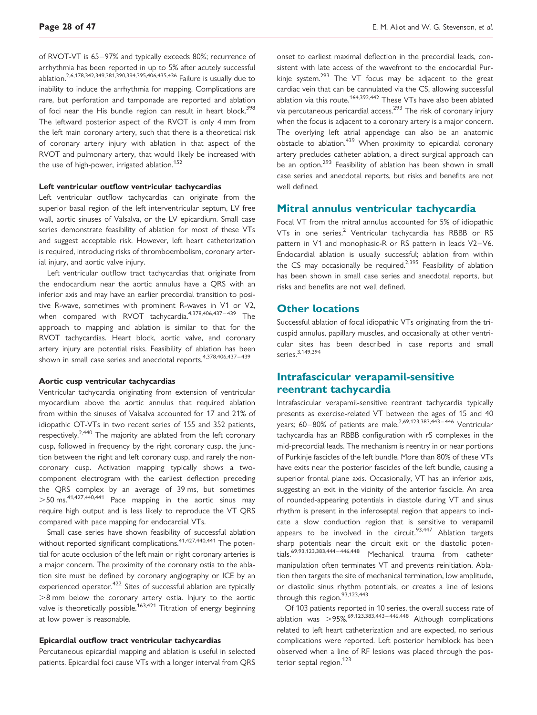of RVOT-VT is 65–97% and typically exceeds 80%; recurrence of arrhythmia has been reported in up to 5% after acutely successful ablation.2,6,178,342,349,381,390,394,395,406,435,436 Failure is usually due to inability to induce the arrhythmia for mapping. Complications are rare, but perforation and tamponade are reported and ablation of foci near the His bundle region can result in heart block.<sup>398</sup> The leftward posterior aspect of the RVOT is only 4 mm from the left main coronary artery, such that there is a theoretical risk of coronary artery injury with ablation in that aspect of the RVOT and pulmonary artery, that would likely be increased with the use of high-power, irrigated ablation.<sup>152</sup>

#### Left ventricular outflow ventricular tachycardias

Left ventricular outflow tachycardias can originate from the superior basal region of the left interventricular septum, LV free wall, aortic sinuses of Valsalva, or the LV epicardium. Small case series demonstrate feasibility of ablation for most of these VTs and suggest acceptable risk. However, left heart catheterization is required, introducing risks of thromboembolism, coronary arterial injury, and aortic valve injury.

Left ventricular outflow tract tachycardias that originate from the endocardium near the aortic annulus have a QRS with an inferior axis and may have an earlier precordial transition to positive R-wave, sometimes with prominent R-waves in V1 or V2, when compared with RVOT tachycardia.<sup>4,378,406,437-439</sup> The approach to mapping and ablation is similar to that for the RVOT tachycardias. Heart block, aortic valve, and coronary artery injury are potential risks. Feasibility of ablation has been shown in small case series and anecdotal reports.<sup>4,378,406,437</sup>-439

#### Aortic cusp ventricular tachycardias

Ventricular tachycardia originating from extension of ventricular myocardium above the aortic annulus that required ablation from within the sinuses of Valsalva accounted for 17 and 21% of idiopathic OT-VTs in two recent series of 155 and 352 patients, respectively.<sup>2,440</sup> The majority are ablated from the left coronary cusp, followed in frequency by the right coronary cusp, the junction between the right and left coronary cusp, and rarely the noncoronary cusp. Activation mapping typically shows a twocomponent electrogram with the earliest deflection preceding the QRS complex by an average of 39 ms, but sometimes  $>$  50 ms.<sup>41,427,440,441</sup> Pace mapping in the aortic sinus may require high output and is less likely to reproduce the VT QRS compared with pace mapping for endocardial VTs.

Small case series have shown feasibility of successful ablation without reported significant complications.<sup>41,427,440,441</sup> The potential for acute occlusion of the left main or right coronary arteries is a major concern. The proximity of the coronary ostia to the ablation site must be defined by coronary angiography or ICE by an experienced operator.<sup>422</sup> Sites of successful ablation are typically  $>8$  mm below the coronary artery ostia. Injury to the aortic valve is theoretically possible.<sup>163,421</sup> Titration of energy beginning at low power is reasonable.

#### Epicardial outflow tract ventricular tachycardias

Percutaneous epicardial mapping and ablation is useful in selected patients. Epicardial foci cause VTs with a longer interval from QRS onset to earliest maximal deflection in the precordial leads, consistent with late access of the wavefront to the endocardial Purkinje system.<sup>293</sup> The VT focus may be adjacent to the great cardiac vein that can be cannulated via the CS, allowing successful ablation via this route.<sup>164,392,442</sup> These VTs have also been ablated via percutaneous pericardial access.<sup>293</sup> The risk of coronary injury when the focus is adjacent to a coronary artery is a major concern. The overlying left atrial appendage can also be an anatomic obstacle to ablation.<sup>439</sup> When proximity to epicardial coronary artery precludes catheter ablation, a direct surgical approach can be an option.<sup>293</sup> Feasibility of ablation has been shown in small case series and anecdotal reports, but risks and benefits are not well defined.

## Mitral annulus ventricular tachycardia

Focal VT from the mitral annulus accounted for 5% of idiopathic VTs in one series.<sup>2</sup> Ventricular tachycardia has RBBB or RS pattern in V1 and monophasic-R or RS pattern in leads V2–V6. Endocardial ablation is usually successful; ablation from within the CS may occasionally be required.<sup>2,395</sup> Feasibility of ablation has been shown in small case series and anecdotal reports, but risks and benefits are not well defined.

## Other locations

Successful ablation of focal idiopathic VTs originating from the tricuspid annulus, papillary muscles, and occasionally at other ventricular sites has been described in case reports and small series.3,149,394

## Intrafascicular verapamil-sensitive reentrant tachycardia

Intrafascicular verapamil-sensitive reentrant tachycardia typically presents as exercise-related VT between the ages of 15 and 40 years;  $60-80\%$  of patients are male.<sup>2,69,123,383,443-446</sup> Ventricular tachycardia has an RBBB configuration with rS complexes in the mid-precordial leads. The mechanism is reentry in or near portions of Purkinje fascicles of the left bundle. More than 80% of these VTs have exits near the posterior fascicles of the left bundle, causing a superior frontal plane axis. Occasionally, VT has an inferior axis, suggesting an exit in the vicinity of the anterior fascicle. An area of rounded-appearing potentials in diastole during VT and sinus rhythm is present in the inferoseptal region that appears to indicate a slow conduction region that is sensitive to verapamil appears to be involved in the circuit. $93,447$  Ablation targets sharp potentials near the circuit exit or the diastolic potentials.69,93,123,383,444 – 446,448 Mechanical trauma from catheter manipulation often terminates VT and prevents reinitiation. Ablation then targets the site of mechanical termination, low amplitude, or diastolic sinus rhythm potentials, or creates a line of lesions through this region.<sup>93,123,443</sup>

Of 103 patients reported in 10 series, the overall success rate of ablation was  $>95\%$ .<sup>69,123,383,443 –446,448</sup> Although complications related to left heart catheterization and are expected, no serious complications were reported. Left posterior hemiblock has been observed when a line of RF lesions was placed through the posterior septal region.<sup>123</sup>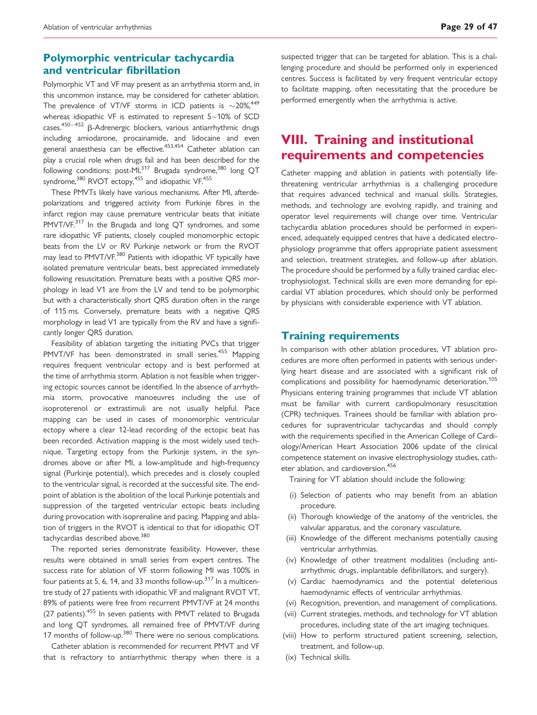## Polymorphic ventricular tachycardia and ventricular fibrillation

Polymorphic VT and VF may present as an arrhythmia storm and, in this uncommon instance, may be considered for catheter ablation. The prevalence of VT/VF storms in ICD patients is  $\sim$ 20%,  $^{449}$ whereas idiopathic VF is estimated to represent 5–10% of SCD  $cases.450-452$   $\beta$ -Adrenergic blockers, various antiarrhythmic drugs including amiodarone, procainamide, and lidocaine and even general anaesthesia can be effective.<sup>453,454</sup> Catheter ablation can play a crucial role when drugs fail and has been described for the following conditions: post-MI, $317$  Brugada syndrome, $380$  long QT syndrome,<sup>380</sup> RVOT ectopy,<sup>455</sup> and idiopathic VF.<sup>455</sup>

These PMVTs likely have various mechanisms. After MI, afterdepolarizations and triggered activity from Purkinje fibres in the infarct region may cause premature ventricular beats that initiate PMVT/VF.<sup>317</sup> In the Brugada and long QT syndromes, and some rare idiopathic VF patients, closely coupled monomorphic ectopic beats from the LV or RV Purkinje network or from the RVOT may lead to PMVT/VF.<sup>380</sup> Patients with idiopathic VF typically have isolated premature ventricular beats, best appreciated immediately following resuscitation. Premature beats with a positive QRS morphology in lead V1 are from the LV and tend to be polymorphic but with a characteristically short QRS duration often in the range of 115 ms. Conversely, premature beats with a negative QRS morphology in lead V1 are typically from the RV and have a significantly longer QRS duration.

Feasibility of ablation targeting the initiating PVCs that trigger PMVT/VF has been demonstrated in small series.<sup>455</sup> Mapping requires frequent ventricular ectopy and is best performed at the time of arrhythmia storm. Ablation is not feasible when triggering ectopic sources cannot be identified. In the absence of arrhythmia storm, provocative manoeuvres including the use of isoproterenol or extrastimuli are not usually helpful. Pace mapping can be used in cases of monomorphic ventricular ectopy where a clear 12-lead recording of the ectopic beat has been recorded. Activation mapping is the most widely used technique. Targeting ectopy from the Purkinje system, in the syndromes above or after MI, a low-amplitude and high-frequency signal (Purkinje potential), which precedes and is closely coupled to the ventricular signal, is recorded at the successful site. The endpoint of ablation is the abolition of the local Purkinje potentials and suppression of the targeted ventricular ectopic beats including during provocation with isoprenaline and pacing. Mapping and ablation of triggers in the RVOT is identical to that for idiopathic OT tachycardias described above.<sup>380</sup>

The reported series demonstrate feasibility. However, these results were obtained in small series from expert centres. The success rate for ablation of VF storm following MI was 100% in four patients at 5, 6, 14, and 33 months follow-up.<sup>317</sup> In a multicentre study of 27 patients with idiopathic VF and malignant RVOT VT, 89% of patients were free from recurrent PMVT/VF at 24 months (27 patients).<sup>455</sup> In seven patients with PMVT related to Brugada and long QT syndromes, all remained free of PMVT/VF during 17 months of follow-up.<sup>380</sup> There were no serious complications.

Catheter ablation is recommended for recurrent PMVT and VF that is refractory to antiarrhythmic therapy when there is a suspected trigger that can be targeted for ablation. This is a challenging procedure and should be performed only in experienced centres. Success is facilitated by very frequent ventricular ectopy to facilitate mapping, often necessitating that the procedure be performed emergently when the arrhythmia is active.

## VIII. Training and institutional requirements and competencies

Catheter mapping and ablation in patients with potentially lifethreatening ventricular arrhythmias is a challenging procedure that requires advanced technical and manual skills. Strategies, methods, and technology are evolving rapidly, and training and operator level requirements will change over time. Ventricular tachycardia ablation procedures should be performed in experienced, adequately equipped centres that have a dedicated electrophysiology programme that offers appropriate patient assessment and selection, treatment strategies, and follow-up after ablation. The procedure should be performed by a fully trained cardiac electrophysiologist. Technical skills are even more demanding for epicardial VT ablation procedures, which should only be performed by physicians with considerable experience with VT ablation.

## Training requirements

In comparison with other ablation procedures, VT ablation procedures are more often performed in patients with serious underlying heart disease and are associated with a significant risk of complications and possibility for haemodynamic deterioration.<sup>105</sup> Physicians entering training programmes that include VT ablation must be familiar with current cardiopulmonary resuscitation (CPR) techniques. Trainees should be familiar with ablation procedures for supraventricular tachycardias and should comply with the requirements specified in the American College of Cardiology/American Heart Association 2006 update of the clinical competence statement on invasive electrophysiology studies, catheter ablation, and cardioversion.<sup>456</sup>

Training for VT ablation should include the following:

- (i) Selection of patients who may benefit from an ablation procedure.
- (ii) Thorough knowledge of the anatomy of the ventricles, the valvular apparatus, and the coronary vasculature.
- (iii) Knowledge of the different mechanisms potentially causing ventricular arrhythmias.
- (iv) Knowledge of other treatment modalities (including antiarrhythmic drugs, implantable defibrillators, and surgery).
- (v) Cardiac haemodynamics and the potential deleterious haemodynamic effects of ventricular arrhythmias.
- (vi) Recognition, prevention, and management of complications.
- (vii) Current strategies, methods, and technology for VT ablation procedures, including state of the art imaging techniques.
- (viii) How to perform structured patient screening, selection, treatment, and follow-up.
- (ix) Technical skills.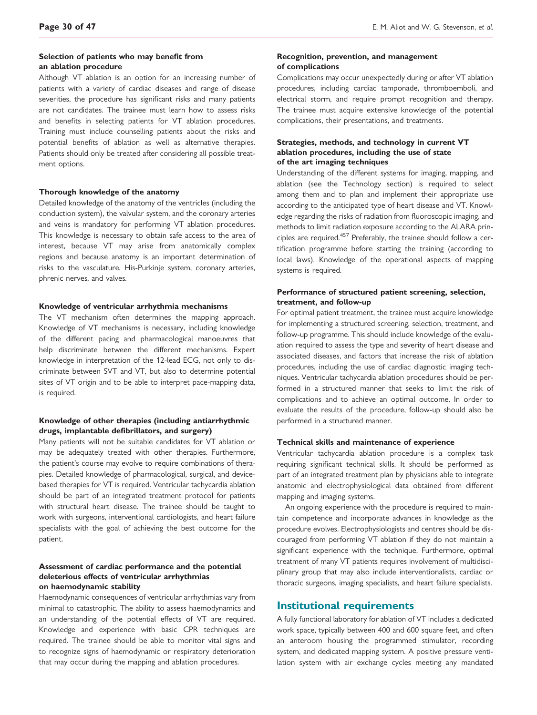#### Selection of patients who may benefit from an ablation procedure

Although VT ablation is an option for an increasing number of patients with a variety of cardiac diseases and range of disease severities, the procedure has significant risks and many patients are not candidates. The trainee must learn how to assess risks and benefits in selecting patients for VT ablation procedures. Training must include counselling patients about the risks and potential benefits of ablation as well as alternative therapies. Patients should only be treated after considering all possible treatment options.

#### Thorough knowledge of the anatomy

Detailed knowledge of the anatomy of the ventricles (including the conduction system), the valvular system, and the coronary arteries and veins is mandatory for performing VT ablation procedures. This knowledge is necessary to obtain safe access to the area of interest, because VT may arise from anatomically complex regions and because anatomy is an important determination of risks to the vasculature, His-Purkinje system, coronary arteries, phrenic nerves, and valves.

#### Knowledge of ventricular arrhythmia mechanisms

The VT mechanism often determines the mapping approach. Knowledge of VT mechanisms is necessary, including knowledge of the different pacing and pharmacological manoeuvres that help discriminate between the different mechanisms. Expert knowledge in interpretation of the 12-lead ECG, not only to discriminate between SVT and VT, but also to determine potential sites of VT origin and to be able to interpret pace-mapping data, is required.

#### Knowledge of other therapies (including antiarrhythmic drugs, implantable defibrillators, and surgery)

Many patients will not be suitable candidates for VT ablation or may be adequately treated with other therapies. Furthermore, the patient's course may evolve to require combinations of therapies. Detailed knowledge of pharmacological, surgical, and devicebased therapies for VT is required. Ventricular tachycardia ablation should be part of an integrated treatment protocol for patients with structural heart disease. The trainee should be taught to work with surgeons, interventional cardiologists, and heart failure specialists with the goal of achieving the best outcome for the patient.

#### Assessment of cardiac performance and the potential deleterious effects of ventricular arrhythmias on haemodynamic stability

Haemodynamic consequences of ventricular arrhythmias vary from minimal to catastrophic. The ability to assess haemodynamics and an understanding of the potential effects of VT are required. Knowledge and experience with basic CPR techniques are required. The trainee should be able to monitor vital signs and to recognize signs of haemodynamic or respiratory deterioration that may occur during the mapping and ablation procedures.

#### Recognition, prevention, and management of complications

Complications may occur unexpectedly during or after VT ablation procedures, including cardiac tamponade, thromboemboli, and electrical storm, and require prompt recognition and therapy. The trainee must acquire extensive knowledge of the potential complications, their presentations, and treatments.

#### Strategies, methods, and technology in current VT ablation procedures, including the use of state of the art imaging techniques

Understanding of the different systems for imaging, mapping, and ablation (see the Technology section) is required to select among them and to plan and implement their appropriate use according to the anticipated type of heart disease and VT. Knowledge regarding the risks of radiation from fluoroscopic imaging, and methods to limit radiation exposure according to the ALARA principles are required.<sup>457</sup> Preferably, the trainee should follow a certification programme before starting the training (according to local laws). Knowledge of the operational aspects of mapping systems is required.

#### Performance of structured patient screening, selection, treatment, and follow-up

For optimal patient treatment, the trainee must acquire knowledge for implementing a structured screening, selection, treatment, and follow-up programme. This should include knowledge of the evaluation required to assess the type and severity of heart disease and associated diseases, and factors that increase the risk of ablation procedures, including the use of cardiac diagnostic imaging techniques. Ventricular tachycardia ablation procedures should be performed in a structured manner that seeks to limit the risk of complications and to achieve an optimal outcome. In order to evaluate the results of the procedure, follow-up should also be performed in a structured manner.

#### Technical skills and maintenance of experience

Ventricular tachycardia ablation procedure is a complex task requiring significant technical skills. It should be performed as part of an integrated treatment plan by physicians able to integrate anatomic and electrophysiological data obtained from different mapping and imaging systems.

An ongoing experience with the procedure is required to maintain competence and incorporate advances in knowledge as the procedure evolves. Electrophysiologists and centres should be discouraged from performing VT ablation if they do not maintain a significant experience with the technique. Furthermore, optimal treatment of many VT patients requires involvement of multidisciplinary group that may also include interventionalists, cardiac or thoracic surgeons, imaging specialists, and heart failure specialists.

### Institutional requirements

A fully functional laboratory for ablation of VT includes a dedicated work space, typically between 400 and 600 square feet, and often an anteroom housing the programmed stimulator, recording system, and dedicated mapping system. A positive pressure ventilation system with air exchange cycles meeting any mandated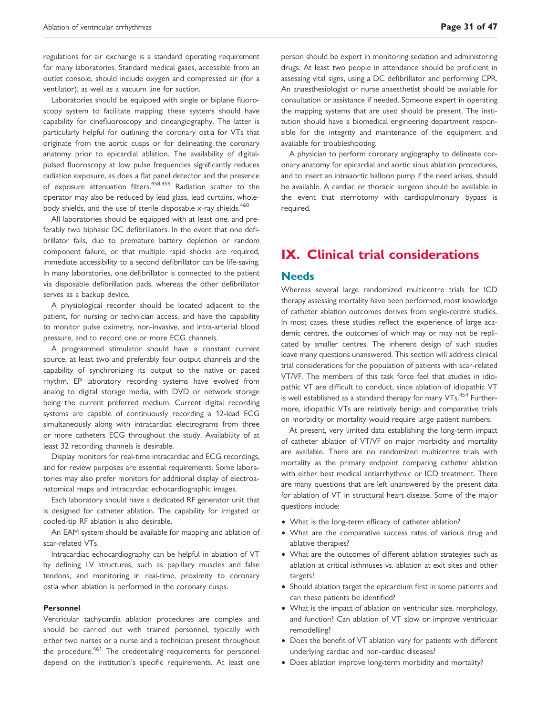regulations for air exchange is a standard operating requirement for many laboratories. Standard medical gases, accessible from an outlet console, should include oxygen and compressed air (for a ventilator), as well as a vacuum line for suction.

Laboratories should be equipped with single or biplane fluoroscopy system to facilitate mapping; these systems should have capability for cinefluoroscopy and cineangiography. The latter is particularly helpful for outlining the coronary ostia for VTs that originate from the aortic cusps or for delineating the coronary anatomy prior to epicardial ablation. The availability of digitalpulsed fluoroscopy at low pulse frequencies significantly reduces radiation exposure, as does a flat panel detector and the presence of exposure attenuation filters.<sup>458,459</sup> Radiation scatter to the operator may also be reduced by lead glass, lead curtains, wholebody shields, and the use of sterile disposable x-ray shields.<sup>460</sup>

All laboratories should be equipped with at least one, and preferably two biphasic DC defibrillators. In the event that one defibrillator fails, due to premature battery depletion or random component failure, or that multiple rapid shocks are required, immediate accessibility to a second defibrillator can be life-saving. In many laboratories, one defibrillator is connected to the patient via disposable defibrillation pads, whereas the other defibrillator serves as a backup device.

A physiological recorder should be located adjacent to the patient, for nursing or technician access, and have the capability to monitor pulse oximetry, non-invasive, and intra-arterial blood pressure, and to record one or more ECG channels.

A programmed stimulator should have a constant current source, at least two and preferably four output channels and the capability of synchronizing its output to the native or paced rhythm. EP laboratory recording systems have evolved from analog to digital storage media, with DVD or network storage being the current preferred medium. Current digital recording systems are capable of continuously recording a 12-lead ECG simultaneously along with intracardiac electrograms from three or more catheters ECG throughout the study. Availability of at least 32 recording channels is desirable.

Display monitors for real-time intracardiac and ECG recordings, and for review purposes are essential requirements. Some laboratories may also prefer monitors for additional display of electroanatomical maps and intracardiac echocardiographic images.

Each laboratory should have a dedicated RF generator unit that is designed for catheter ablation. The capability for irrigated or cooled-tip RF ablation is also desirable.

An EAM system should be available for mapping and ablation of scar-related VTs.

Intracardiac echocardiography can be helpful in ablation of VT by defining LV structures, such as papillary muscles and false tendons, and monitoring in real-time, proximity to coronary ostia when ablation is performed in the coronary cusps.

#### Personnel

Ventricular tachycardia ablation procedures are complex and should be carried out with trained personnel, typically with either two nurses or a nurse and a technician present throughout the procedure.<sup>461</sup> The credentialing requirements for personnel depend on the institution's specific requirements. At least one

person should be expert in monitoring sedation and administering drugs. At least two people in attendance should be proficient in assessing vital signs, using a DC defibrillator and performing CPR. An anaesthesiologist or nurse anaesthetist should be available for consultation or assistance if needed. Someone expert in operating the mapping systems that are used should be present. The institution should have a biomedical engineering department responsible for the integrity and maintenance of the equipment and available for troubleshooting.

A physician to perform coronary angiography to delineate coronary anatomy for epicardial and aortic sinus ablation procedures, and to insert an intraaortic balloon pump if the need arises, should be available. A cardiac or thoracic surgeon should be available in the event that sternotomy with cardiopulmonary bypass is required.

## IX. Clinical trial considerations

## **Needs**

Whereas several large randomized multicentre trials for ICD therapy assessing mortality have been performed, most knowledge of catheter ablation outcomes derives from single-centre studies. In most cases, these studies reflect the experience of large academic centres, the outcomes of which may or may not be replicated by smaller centres. The inherent design of such studies leave many questions unanswered. This section will address clinical trial considerations for the population of patients with scar-related VT/VF. The members of this task force feel that studies in idiopathic VT are difficult to conduct, since ablation of idiopathic VT is well established as a standard therapy for many  $VTs$ .<sup>454</sup> Furthermore, idiopathic VTs are relatively benign and comparative trials on morbidity or mortality would require large patient numbers.

At present, very limited data establishing the long-term impact of catheter ablation of VT/VF on major morbidity and mortality are available. There are no randomized multicentre trials with mortality as the primary endpoint comparing catheter ablation with either best medical antiarrhythmic or ICD treatment. There are many questions that are left unanswered by the present data for ablation of VT in structural heart disease. Some of the major questions include:

- What is the long-term efficacy of catheter ablation?
- What are the comparative success rates of various drug and ablative therapies?
- What are the outcomes of different ablation strategies such as ablation at critical isthmuses vs. ablation at exit sites and other targets?
- Should ablation target the epicardium first in some patients and can these patients be identified?
- What is the impact of ablation on ventricular size, morphology, and function? Can ablation of VT slow or improve ventricular remodelling?
- Does the benefit of VT ablation vary for patients with different underlying cardiac and non-cardiac diseases?
- † Does ablation improve long-term morbidity and mortality?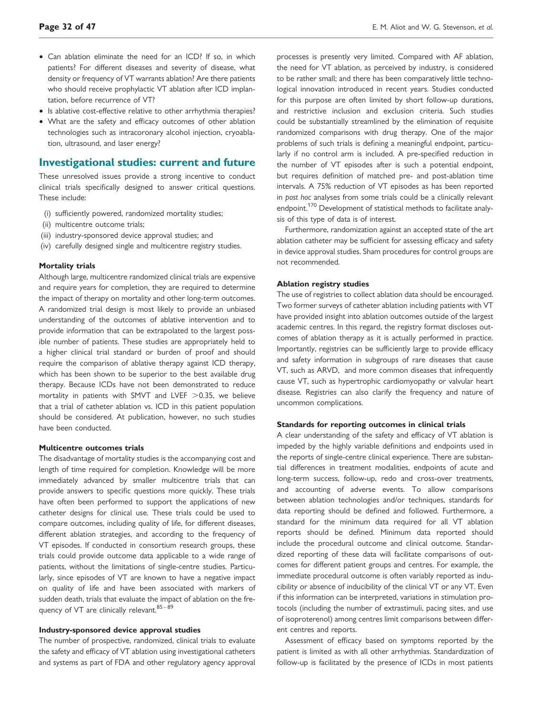- Can ablation eliminate the need for an ICD? If so, in which patients? For different diseases and severity of disease, what density or frequency of VT warrants ablation? Are there patients who should receive prophylactic VT ablation after ICD implantation, before recurrence of VT?
- † Is ablative cost-effective relative to other arrhythmia therapies?
- What are the safety and efficacy outcomes of other ablation technologies such as intracoronary alcohol injection, cryoablation, ultrasound, and laser energy?

## Investigational studies: current and future

These unresolved issues provide a strong incentive to conduct clinical trials specifically designed to answer critical questions. These include:

- (i) sufficiently powered, randomized mortality studies;
- (ii) multicentre outcome trials;
- (iii) industry-sponsored device approval studies; and
- (iv) carefully designed single and multicentre registry studies.

#### Mortality trials

Although large, multicentre randomized clinical trials are expensive and require years for completion, they are required to determine the impact of therapy on mortality and other long-term outcomes. A randomized trial design is most likely to provide an unbiased understanding of the outcomes of ablative intervention and to provide information that can be extrapolated to the largest possible number of patients. These studies are appropriately held to a higher clinical trial standard or burden of proof and should require the comparison of ablative therapy against ICD therapy, which has been shown to be superior to the best available drug therapy. Because ICDs have not been demonstrated to reduce mortality in patients with SMVT and LVEF  $>0.35$ , we believe that a trial of catheter ablation vs. ICD in this patient population should be considered. At publication, however, no such studies have been conducted.

#### Multicentre outcomes trials

The disadvantage of mortality studies is the accompanying cost and length of time required for completion. Knowledge will be more immediately advanced by smaller multicentre trials that can provide answers to specific questions more quickly. These trials have often been performed to support the applications of new catheter designs for clinical use. These trials could be used to compare outcomes, including quality of life, for different diseases, different ablation strategies, and according to the frequency of VT episodes. If conducted in consortium research groups, these trials could provide outcome data applicable to a wide range of patients, without the limitations of single-centre studies. Particularly, since episodes of VT are known to have a negative impact on quality of life and have been associated with markers of sudden death, trials that evaluate the impact of ablation on the frequency of VT are clinically relevant.<sup>85-89</sup>

#### Industry-sponsored device approval studies

The number of prospective, randomized, clinical trials to evaluate the safety and efficacy of VT ablation using investigational catheters and systems as part of FDA and other regulatory agency approval

processes is presently very limited. Compared with AF ablation, the need for VT ablation, as perceived by industry, is considered to be rather small; and there has been comparatively little technological innovation introduced in recent years. Studies conducted for this purpose are often limited by short follow-up durations, and restrictive inclusion and exclusion criteria. Such studies could be substantially streamlined by the elimination of requisite randomized comparisons with drug therapy. One of the major problems of such trials is defining a meaningful endpoint, particularly if no control arm is included. A pre-specified reduction in the number of VT episodes after is such a potential endpoint, but requires definition of matched pre- and post-ablation time intervals. A 75% reduction of VT episodes as has been reported in post hoc analyses from some trials could be a clinically relevant endpoint.<sup>170</sup> Development of statistical methods to facilitate analysis of this type of data is of interest.

Furthermore, randomization against an accepted state of the art ablation catheter may be sufficient for assessing efficacy and safety in device approval studies. Sham procedures for control groups are not recommended.

#### Ablation registry studies

The use of registries to collect ablation data should be encouraged. Two former surveys of catheter ablation including patients with VT have provided insight into ablation outcomes outside of the largest academic centres. In this regard, the registry format discloses outcomes of ablation therapy as it is actually performed in practice. Importantly, registries can be sufficiently large to provide efficacy and safety information in subgroups of rare diseases that cause VT, such as ARVD, and more common diseases that infrequently cause VT, such as hypertrophic cardiomyopathy or valvular heart disease. Registries can also clarify the frequency and nature of uncommon complications.

#### Standards for reporting outcomes in clinical trials

A clear understanding of the safety and efficacy of VT ablation is impeded by the highly variable definitions and endpoints used in the reports of single-centre clinical experience. There are substantial differences in treatment modalities, endpoints of acute and long-term success, follow-up, redo and cross-over treatments, and accounting of adverse events. To allow comparisons between ablation technologies and/or techniques, standards for data reporting should be defined and followed. Furthermore, a standard for the minimum data required for all VT ablation reports should be defined. Minimum data reported should include the procedural outcome and clinical outcome. Standardized reporting of these data will facilitate comparisons of outcomes for different patient groups and centres. For example, the immediate procedural outcome is often variably reported as inducibility or absence of inducibility of the clinical VT or any VT. Even if this information can be interpreted, variations in stimulation protocols (including the number of extrastimuli, pacing sites, and use of isoproterenol) among centres limit comparisons between different centres and reports.

Assessment of efficacy based on symptoms reported by the patient is limited as with all other arrhythmias. Standardization of follow-up is facilitated by the presence of ICDs in most patients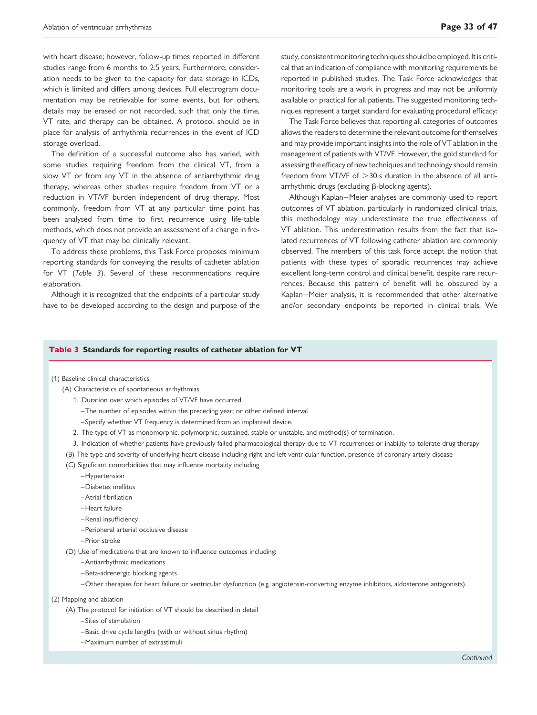with heart disease; however, follow-up times reported in different studies range from 6 months to 2.5 years. Furthermore, consideration needs to be given to the capacity for data storage in ICDs, which is limited and differs among devices. Full electrogram documentation may be retrievable for some events, but for others, details may be erased or not recorded, such that only the time, VT rate, and therapy can be obtained. A protocol should be in place for analysis of arrhythmia recurrences in the event of ICD storage overload.

The definition of a successful outcome also has varied, with some studies requiring freedom from the clinical VT, from a slow VT or from any VT in the absence of antiarrhythmic drug therapy, whereas other studies require freedom from VT or a reduction in VT/VF burden independent of drug therapy. Most commonly, freedom from VT at any particular time point has been analysed from time to first recurrence using life-table methods, which does not provide an assessment of a change in frequency of VT that may be clinically relevant.

To address these problems, this Task Force proposes minimum reporting standards for conveying the results of catheter ablation for VT (Table 3). Several of these recommendations require elaboration.

Although it is recognized that the endpoints of a particular study have to be developed according to the design and purpose of the study, consistent monitoring techniques should be employed. It is critical that an indication of compliance with monitoring requirements be reported in published studies. The Task Force acknowledges that monitoring tools are a work in progress and may not be uniformly available or practical for all patients. The suggested monitoring techniques represent a target standard for evaluating procedural efficacy:

The Task Force believes that reporting all categories of outcomes allows the readers to determine the relevant outcome for themselves and may provide important insights into the role of VT ablation in the management of patients with VT/VF. However, the gold standard for assessing the efficacy of new techniques and technology should remain freedom from VT/VF of  $>$ 30 s duration in the absence of all antiarrhythmic drugs (excluding  $\beta$ -blocking agents).

Although Kaplan –Meier analyses are commonly used to report outcomes of VT ablation, particularly in randomized clinical trials, this methodology may underestimate the true effectiveness of VT ablation. This underestimation results from the fact that isolated recurrences of VT following catheter ablation are commonly observed. The members of this task force accept the notion that patients with these types of sporadic recurrences may achieve excellent long-term control and clinical benefit, despite rare recurrences. Because this pattern of benefit will be obscured by a Kaplan-Meier analysis, it is recommended that other alternative and/or secondary endpoints be reported in clinical trials. We

#### Table 3 Standards for reporting results of catheter ablation for VT

- (1) Baseline clinical characteristics
	- (A) Characteristics of spontaneous arrhythmias
		- 1. Duration over which episodes of VT/VF have occurred
			- –The number of episodes within the preceding year; or other defined interval
			- –Specify whether VT frequency is determined from an implanted device.
		- 2. The type of VT as monomorphic, polymorphic, sustained, stable or unstable, and method(s) of termination.
		- 3. Indication of whether patients have previously failed pharmacological therapy due to VT recurrences or inability to tolerate drug therapy
	- (B) The type and severity of underlying heart disease including right and left ventricular function, presence of coronary artery disease
	- (C) Significant comorbidities that may influence mortality including
		- –Hypertension
		- –Diabetes mellitus
		- –Atrial fibrillation
		- –Heart failure
		- –Renal insufficiency
		- –Peripheral arterial occlusive disease
		- –Prior stroke
	- (D) Use of medications that are known to influence outcomes including:
		- –Antiarrhythmic medications
		- –Beta-adrenergic blocking agents
		- –Other therapies for heart failure or ventricular dysfunction (e.g. angiotensin-converting enzyme inhibitors, aldosterone antagonists).
- (2) Mapping and ablation
	- (A) The protocol for initiation of VT should be described in detail
		- –Sites of stimulation
		- –Basic drive cycle lengths (with or without sinus rhythm)
		- –Maximum number of extrastimuli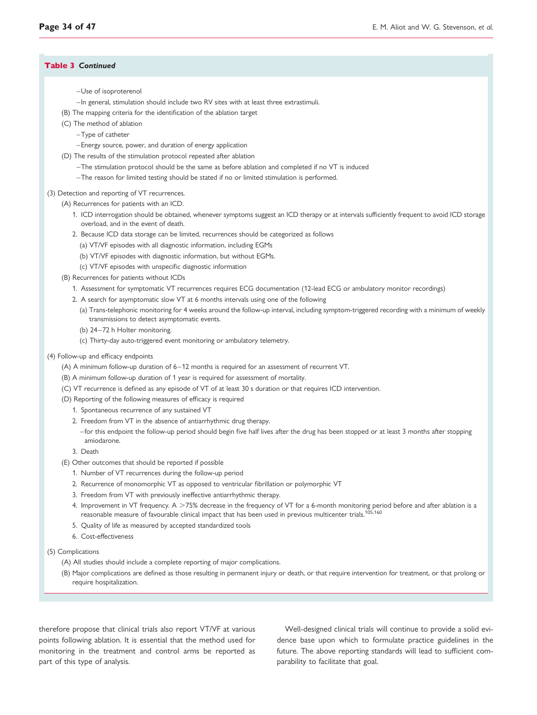### Table 3 Continued

- –Use of isoproterenol
- –In general, stimulation should include two RV sites with at least three extrastimuli.
- (B) The mapping criteria for the identification of the ablation target
- (C) The method of ablation
	- –Type of catheter
	- –Energy source, power, and duration of energy application
- (D) The results of the stimulation protocol repeated after ablation
	- –The stimulation protocol should be the same as before ablation and completed if no VT is induced
	- –The reason for limited testing should be stated if no or limited stimulation is performed.
- (3) Detection and reporting of VT recurrences.
	- (A) Recurrences for patients with an ICD.
		- 1. ICD interrogation should be obtained, whenever symptoms suggest an ICD therapy or at intervals sufficiently frequent to avoid ICD storage overload, and in the event of death.
		- 2. Because ICD data storage can be limited, recurrences should be categorized as follows
			- (a) VT/VF episodes with all diagnostic information, including EGMs
			- (b) VT/VF episodes with diagnostic information, but without EGMs.
			- (c) VT/VF episodes with unspecific diagnostic information
	- (B) Recurrences for patients without ICDs
		- 1. Assessment for symptomatic VT recurrences requires ECG documentation (12-lead ECG or ambulatory monitor recordings)
		- 2. A search for asymptomatic slow VT at 6 months intervals using one of the following
		- (a) Trans-telephonic monitoring for 4 weeks around the follow-up interval, including symptom-triggered recording with a minimum of weekly transmissions to detect asymptomatic events.
		- (b) 24–72 h Holter monitoring.
		- (c) Thirty-day auto-triggered event monitoring or ambulatory telemetry.
- (4) Follow-up and efficacy endpoints
	- (A) A minimum follow-up duration of 6 –12 months is required for an assessment of recurrent VT.
	- (B) A minimum follow-up duration of 1 year is required for assessment of mortality.
	- (C) VT recurrence is defined as any episode of VT of at least 30 s duration or that requires ICD intervention.
	- (D) Reporting of the following measures of efficacy is required
		- 1. Spontaneous recurrence of any sustained VT
		- 2. Freedom from VT in the absence of antiarrhythmic drug therapy.
		- –for this endpoint the follow-up period should begin five half lives after the drug has been stopped or at least 3 months after stopping amiodarone.
		- 3. Death
	- (E) Other outcomes that should be reported if possible
		- 1. Number of VT recurrences during the follow-up period
		- 2. Recurrence of monomorphic VT as opposed to ventricular fibrillation or polymorphic VT
		- 3. Freedom from VT with previously ineffective antiarrhythmic therapy.
		- 4. Improvement in VT frequency. A  $>75\%$  decrease in the frequency of VT for a 6-month monitoring period before and after ablation is a reasonable measure of favourable clinical impact that has been used in previous multicenter trials.<sup>105,160</sup>
		- 5. Quality of life as measured by accepted standardized tools
		- 6. Cost-effectiveness
- (5) Complications
	- (A) All studies should include a complete reporting of major complications.
	- (B) Major complications are defined as those resulting in permanent injury or death, or that require intervention for treatment, or that prolong or require hospitalization.

therefore propose that clinical trials also report VT/VF at various points following ablation. It is essential that the method used for monitoring in the treatment and control arms be reported as part of this type of analysis.

Well-designed clinical trials will continue to provide a solid evidence base upon which to formulate practice guidelines in the future. The above reporting standards will lead to sufficient comparability to facilitate that goal.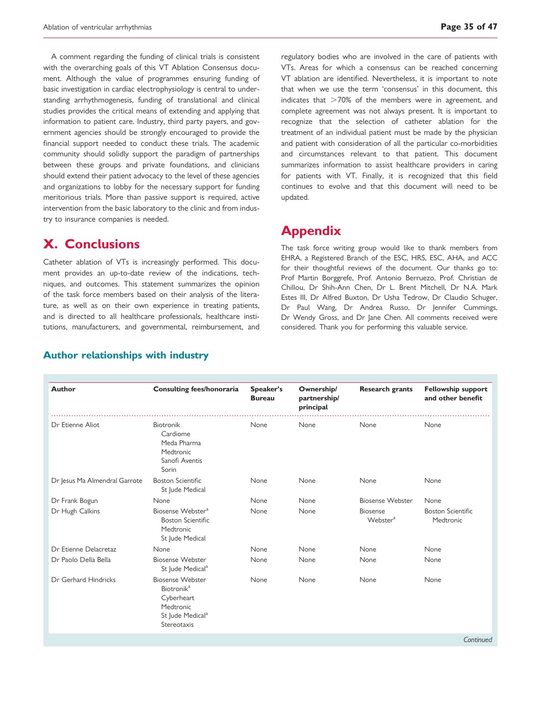A comment regarding the funding of clinical trials is consistent with the overarching goals of this VT Ablation Consensus document. Although the value of programmes ensuring funding of basic investigation in cardiac electrophysiology is central to understanding arrhythmogenesis, funding of translational and clinical studies provides the critical means of extending and applying that information to patient care. Industry, third party payers, and government agencies should be strongly encouraged to provide the financial support needed to conduct these trials. The academic community should solidly support the paradigm of partnerships between these groups and private foundations, and clinicians should extend their patient advocacy to the level of these agencies and organizations to lobby for the necessary support for funding meritorious trials. More than passive support is required, active intervention from the basic laboratory to the clinic and from industry to insurance companies is needed.

## X. Conclusions

Catheter ablation of VTs is increasingly performed. This document provides an up-to-date review of the indications, techniques, and outcomes. This statement summarizes the opinion of the task force members based on their analysis of the literature, as well as on their own experience in treating patients, and is directed to all healthcare professionals, healthcare institutions, manufacturers, and governmental, reimbursement, and regulatory bodies who are involved in the care of patients with VTs. Areas for which a consensus can be reached concerning VT ablation are identified. Nevertheless, it is important to note that when we use the term 'consensus' in this document, this indicates that  $>70\%$  of the members were in agreement, and complete agreement was not always present. It is important to recognize that the selection of catheter ablation for the treatment of an individual patient must be made by the physician and patient with consideration of all the particular co-morbidities and circumstances relevant to that patient. This document summarizes information to assist healthcare providers in caring for patients with VT. Finally, it is recognized that this field continues to evolve and that this document will need to be updated.

## Appendix

The task force writing group would like to thank members from EHRA, a Registered Branch of the ESC, HRS, ESC, AHA, and ACC for their thoughtful reviews of the document. Our thanks go to: Prof Martin Borggrefe, Prof. Antonio Berruezo, Prof. Christian de Chillou, Dr Shih-Ann Chen, Dr L. Brent Mitchell, Dr N.A. Mark Estes III, Dr Alfred Buxton, Dr Usha Tedrow, Dr Claudio Schuger, Dr Paul Wang, Dr Andrea Russo, Dr Jennifer Cummings, Dr Wendy Gross, and Dr Jane Chen. All comments received were considered. Thank you for performing this valuable service.

#### ............................................................................................................................... ................................................ Author **Consulting fees/honoraria** Speaker's Bureau Ownership/ partnership/ principal Research grants Fellowship support and other benefit Dr Ftienne Aliot **Biotronik** Cardiome Meda Pharma Medtronic Sanofi Aventis Sorin None None None None Dr Jesus Ma Almendral Garrote Boston Scientific **St lude Medical** None None None None Dr Frank Bogun None None None Biosense Webster None Dr Hugh Calkins Biosense Webster<sup>a</sup> Boston Scientific Medtronic St Jude Medical None None Biosense Webster Boston Scientific Medtronic Dr Etienne Delacretaz None None None None None Dr Paolo Della Bella Biosense Webster St Jude Medical<sup>a</sup> None None None None Dr Gerhard Hindricks Biosense Webster **Biotronik**<sup>a</sup> Cyberheart Medtronic St Jude Medical<sup>a</sup> Stereotaxis None None None None **Continued**

### Author relationships with industry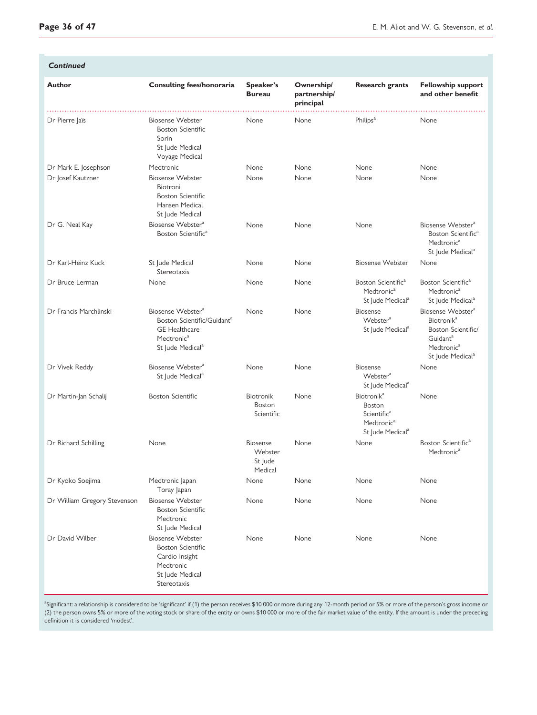| <b>Continued</b>             |                                                                                                                                                           |                                                  |                                         |                                                                                                                              |                                                                                                                                                                        |  |  |
|------------------------------|-----------------------------------------------------------------------------------------------------------------------------------------------------------|--------------------------------------------------|-----------------------------------------|------------------------------------------------------------------------------------------------------------------------------|------------------------------------------------------------------------------------------------------------------------------------------------------------------------|--|--|
| Author                       | <b>Consulting fees/honoraria</b>                                                                                                                          | Speaker's<br><b>Bureau</b>                       | Ownership/<br>partnership/<br>principal | <b>Research grants</b>                                                                                                       | Fellowship support<br>and other benefit                                                                                                                                |  |  |
| Dr Pierre laïs               | <b>Biosense Webster</b><br><b>Boston Scientific</b><br>Sorin<br>St Jude Medical<br>Voyage Medical                                                         | None                                             | None                                    | Philips <sup>a</sup>                                                                                                         | None                                                                                                                                                                   |  |  |
| Dr Mark E. Josephson         | Medtronic                                                                                                                                                 | None                                             | None                                    | None                                                                                                                         | None                                                                                                                                                                   |  |  |
| Dr Josef Kautzner            | <b>Biosense Webster</b><br>Biotroni<br><b>Boston Scientific</b><br>Hansen Medical<br>St Jude Medical                                                      | None                                             | None                                    | None                                                                                                                         | None                                                                                                                                                                   |  |  |
| Dr G. Neal Kay               | Biosense Webster <sup>a</sup><br>Boston Scientific <sup>a</sup>                                                                                           | None                                             | None                                    | None                                                                                                                         | Biosense Webster <sup>a</sup><br>Boston Scientific <sup>a</sup><br>Medtronic <sup>a</sup><br>St Jude Medical <sup>a</sup>                                              |  |  |
| Dr Karl-Heinz Kuck           | St Jude Medical<br>Stereotaxis                                                                                                                            | None                                             | None                                    | <b>Biosense Webster</b>                                                                                                      | None                                                                                                                                                                   |  |  |
| Dr Bruce Lerman              | None                                                                                                                                                      | None                                             | None                                    | Boston Scientific <sup>a</sup><br>Medtronic <sup>a</sup><br>St Jude Medical <sup>a</sup>                                     | Boston Scientific <sup>a</sup><br>Medtronic <sup>a</sup><br>St Jude Medical <sup>a</sup>                                                                               |  |  |
| Dr Francis Marchlinski       | Biosense Webster <sup>a</sup><br>Boston Scientific/Guidant <sup>a</sup><br><b>GE</b> Healthcare<br>Medtronic <sup>a</sup><br>St Jude Medical <sup>a</sup> | None                                             | None                                    | Biosense<br>Webster <sup>a</sup><br>St Jude Medical <sup>a</sup>                                                             | Biosense Webster <sup>a</sup><br><b>Biotronik</b> <sup>a</sup><br>Boston Scientific/<br>Guidant <sup>a</sup><br>Medtronic <sup>a</sup><br>St Jude Medical <sup>a</sup> |  |  |
| Dr Vivek Reddy               | Biosense Webster <sup>a</sup><br>St Jude Medical <sup>a</sup>                                                                                             | None                                             | None                                    | <b>Biosense</b><br>Webster <sup>a</sup><br>St Jude Medical <sup>a</sup>                                                      | None                                                                                                                                                                   |  |  |
| Dr Martin-Jan Schalij        | <b>Boston Scientific</b>                                                                                                                                  | <b>Biotronik</b><br>Boston<br>Scientific         | None                                    | <b>Biotronik</b> <sup>a</sup><br>Boston<br>Scientific <sup>a</sup><br>Medtronic <sup>a</sup><br>St Jude Medical <sup>a</sup> | None                                                                                                                                                                   |  |  |
| Dr Richard Schilling         | None                                                                                                                                                      | <b>Biosense</b><br>Webster<br>St Jude<br>Medical | None                                    | None                                                                                                                         | Boston Scientific <sup>a</sup><br>Medtronic <sup>a</sup>                                                                                                               |  |  |
| Dr Kyoko Soejima             | Medtronic Japan<br>Toray Japan                                                                                                                            | None                                             | None                                    | None                                                                                                                         | None                                                                                                                                                                   |  |  |
| Dr William Gregory Stevenson | <b>Biosense Webster</b><br><b>Boston Scientific</b><br>Medtronic<br>St Jude Medical                                                                       | None                                             | None                                    | None                                                                                                                         | None                                                                                                                                                                   |  |  |
| Dr David Wilber              | <b>Biosense Webster</b><br><b>Boston Scientific</b><br>Cardio Insight<br>Medtronic<br>St Jude Medical<br>Stereotaxis                                      | None                                             | None                                    | None                                                                                                                         | None                                                                                                                                                                   |  |  |

a<br>"Significant: a relationship is considered to be 'significant' if (1) the person receives \$10 000 or more during any 12-month period or 5% or more of the person's gross income or (2) the person owns 5% or more of the voting stock or share of the entity or owns \$10 000 or more of the fair market value of the entity. If the amount is under the preceding definition it is considered 'modest'.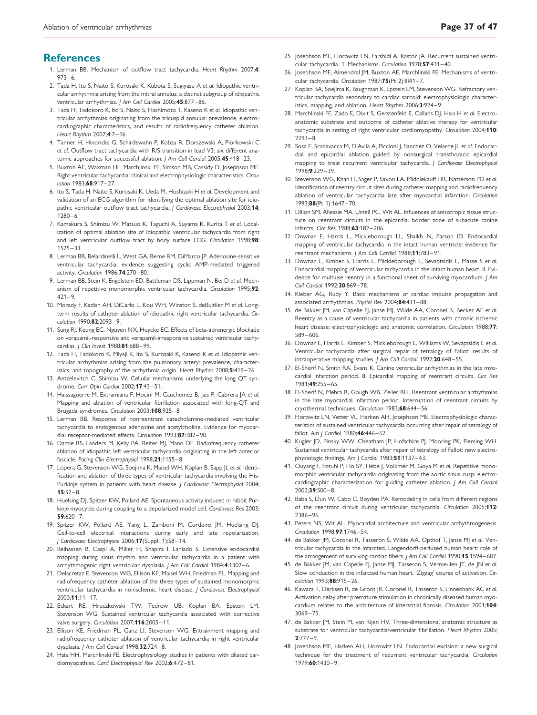#### **References**

- 1. Lerman BB. Mechanism of outflow tract tachycardia. Heart Rhythm 2007;4:  $973–6.$
- 2. Tada H, Ito S, Naito S, Kurosaki K, Kubota S, Sugiyasu A et al. Idiopathic ventricular arrhythmia arising from the mitral annulus: a distinct subgroup of idiopathic ventricular arrhythmias. J Am Coll Cardiol 2005;45:877-86.
- 3. Tada H, Tadokoro K, Ito S, Naito S, Hashimoto T, Kaseno K et al. Idiopathic ventricular arrhythmias originating from the tricuspid annulus: prevalence, electrocardiographic characteristics, and results of radiofrequency catheter ablation. Heart Rhythm 2007;4:7– 16.
- 4. Tanner H, Hindricks G, Schirdewahn P, Kobza R, Dorszewski A, Piorkowski C et al. Outflow tract tachycardia with R/S transition in lead V3: six different anatomic approaches for successful ablation. J Am Coll Cardiol 2005;45:418-23.
- 5. Buxton AE, Waxman HL, Marchlinski FE, Simson MB, Cassidy D, Josephson ME. Right ventricular tachycardia: clinical and electrophysiologic characteristics. Circulation 1983:68:917-27.
- 6. Ito S, Tada H, Naito S, Kurosaki K, Ueda M, Hoshizaki H et al. Development and validation of an ECG algorithm for identifying the optimal ablation site for idiopathic ventricular outflow tract tachycardia. J Cardiovasc Electrophysiol 2003;14: 1280–6.
- 7. Kamakura S, Shimizu W, Matsuo K, Taguchi A, Suyama K, Kurita T et al. Localization of optimal ablation site of idiopathic ventricular tachycardia from right and left ventricular outflow tract by body surface ECG. Circulation 1998;98: 1525–33.
- 8. Lerman BB, Belardinelli L, West GA, Berne RM, DiMarco JP. Adenosine-sensitive ventricular tachycardia: evidence suggesting cyclic AMP-mediated triggered activity. Circulation 1986;74:270–80.
- 9. Lerman BB, Stein K, Engelstein ED, Battleman DS, Lippman N, Bei D et al. Mechanism of repetitive monomorphic ventricular tachycardia. Circulation 1995;92:  $421 - 9$ .
- 10. Morady F, Kadish AH, DiCarlo L, Kou WH, Winston S, deBuitlier M et al. Longterm results of catheter ablation of idiopathic right ventricular tachycardia. Circulation 1990;82:2093-9.
- 11. Sung RJ, Keung EC, Nguyen NX, Huycke EC. Effects of beta-adrenergic blockade on verapamil-responsive and verapamil-irresponsive sustained ventricular tachycardias. *I Clin Invest* 1988:81:688-99.
- 12. Tada H, Tadokoro K, Miyaji K, Ito S, Kurosaki K, Kaseno K et al. Idiopathic ventricular arrhythmias arising from the pulmonary artery: prevalence, characteristics, and topography of the arrhythmia origin. Heart Rhythm 2008;5:419-26.
- 13. Antzelevitch C, Shimizu W. Cellular mechanisms underlying the long QT syndrome. Curr Obin Cardiol 2002:17:43-51.
- 14. Haissaguerre M, Extramiana F, Hocini M, Cauchemez B, Jais P, Cabrera JA et al. Mapping and ablation of ventricular fibrillation associated with long-QT and Brugada syndromes. Circulation 2003;108:925 –8.
- 15. Lerman BB. Response of nonreentrant catecholamine-mediated ventricular tachycardia to endogenous adenosine and acetylcholine. Evidence for myocardial receptor-mediated effects. Circulation 1993;87:382-90.
- 16. Damle RS, Landers M, Kelly PA, Reiter MJ, Mann DE. Radiofrequency catheter ablation of idiopathic left ventricular tachycardia originating in the left anterior fascicle. Pacing Clin Electrophysiol 1998;21:1155-8.
- 17. Lopera G, Stevenson WG, Soejima K, Maisel WH, Koplan B, Sapp JL et al. Identification and ablation of three types of ventricular tachycardia involving the His-Purkinje system in patients with heart disease. J Cardiovasc Electrophysiol 2004;  $15.52 - 8$
- 18. Huelsing DJ, Spitzer KW, Pollard AE. Spontaneous activity induced in rabbit Purkinje myocytes during coupling to a depolarized model cell. Cardiovasc Res 2003;  $59:620 - 7.$
- 19. Spitzer KW, Pollard AE, Yang L, Zaniboni M, Cordeiro JM, Huelsing DJ. Cell-to-cell electrical interactions during early and late repolarization. J Cardiovasc Electrophysiol 2006;17(Suppl. 1):S8 –14.
- 20. Belhassen B, Caspi A, Miller H, Shapira I, Laniado S. Extensive endocardial mapping during sinus rhythm and ventricular tachycardia in a patient with arrhythmogenic right ventricular dysplasia. J Am Coll Cardiol 1984;4:1302-6.
- 21. Delacretaz E, Stevenson WG, Ellison KE, Maisel WH, Friedman PL. Mapping and radiofrequency catheter ablation of the three types of sustained monomorphic ventricular tachycardia in nonischemic heart disease. J Cardiovasc Electrophysiol 2000;11:11 –17.
- 22. Eckart RE, Hruczkowski TW, Tedrow UB, Koplan BA, Epstein LM, Stevenson WG. Sustained ventricular tachycardia associated with corrective valve surgery. Circulation 2007;116:2005-11.
- 23. Ellison KE, Friedman PL, Ganz LI, Stevenson WG. Entrainment mapping and radiofrequency catheter ablation of ventricular tachycardia in right ventricular dysplasia. J Am Coll Cardiol 1998;32:724-8.
- 24. Hsia HH, Marchlinski FE. Electrophysiology studies in patients with dilated cardiomyopathies. Card Electrophysiol Rev 2002;6:472–81.
- 25. Josephson ME, Horowitz LN, Farshidi A, Kastor JA. Recurrent sustained ventricular tachycardia. 1. Mechanisms. Circulation 1978;57:431 –40.
- 26. Josephson ME, Almendral JM, Buxton AE, Marchlinski FE. Mechanisms of ventricular tachycardia. Circulation 1987;75(Pt 2):III41-7.
- 27. Koplan BA, Soejima K, Baughman K, Epstein LM, Stevenson WG. Refractory ventricular tachycardia secondary to cardiac sarcoid: electrophysiologic characteristics, mapping, and ablation. Heart Rhythm 2006;3:924–9.
- 28. Marchlinski FE, Zado E, Dixit S, Gerstenfeld E, Callans DJ, Hsia H et al. Electroanatomic substrate and outcome of catheter ablative therapy for ventricular tachycardia in setting of right ventricular cardiomyopathy. Circulation 2004;110: 2293 –8.
- 29. Sosa E, Scanavacca M, D'Avila A, Piccioni J, Sanchez O, Velarde JL et al. Endocardial and epicardial ablation guided by nonsurgical transthoracic epicardial mapping to treat recurrent ventricular tachycardia. J Cardiovasc Electrophysiol 1998;9:229 – 39.
- 30. Stevenson WG, Khan H, Sager P, Saxon LA, Middlekauff HR, Natterson PD et al. Identification of reentry circuit sites during catheter mapping and radiofrequency ablation of ventricular tachycardia late after myocardial infarction. Circulation 1993;88(Pt 1):1647 –70.
- 31. Dillon SM, Allessie MA, Ursell PC, Wit AL. Influences of anisotropic tissue structure on reentrant circuits in the epicardial border zone of subacute canine infarcts. Circ Res 1988;63:182 – 206.
- 32. Downar E, Harris L, Mickleborough LL, Shaikh N, Parson ID. Endocardial mapping of ventricular tachycardia in the intact human ventricle: evidence for reentrant mechanisms. J Am Coll Cardiol 1988;11:783 –91.
- 33. Downar E, Kimber S, Harris L, Mickleborough L, Sevaptsidis E, Masse S et al. Endocardial mapping of ventricular tachycardia in the intact human heart. II. Evidence for multiuse reentry in a functional sheet of surviving myocardium. *| Am* Coll Cardiol 1992;20:869–78.
- 34. Kleber AG, Rudy Y. Basic mechanisms of cardiac impulse propagation and associated arrhythmias. Physiol Rev 2004;84:431-88.
- 35. de Bakker JM, van Capelle FJ, Janse MJ, Wilde AA, Coronel R, Becker AE et al. Reentry as a cause of ventricular tachycardia in patients with chronic ischemic heart disease: electrophysiologic and anatomic correlation. Circulation 1988;77: 589 –606.
- 36. Downar E, Harris L, Kimber S, Mickleborough L, Williams W, Sevaptsidis E et al. Ventricular tachycardia after surgical repair of tetralogy of Fallot: results of intraoperative mapping studies. J Am Coll Cardiol 1992;20:648-55.
- 37. El-Sherif N, Smith RA, Evans K. Canine ventricular arrhythmias in the late myocardial infarction period. 8. Epicardial mapping of reentrant circuits. Circ Res 1981;49:255 – 65.
- 38. El-Sherif N, Mehra R, Gough WB, Zeiler RH. Reentrant ventricular arrhythmias in the late myocardial infarction period. Interruption of reentrant circuits by cryothermal techniques. Circulation 1983;68:644 –56.
- 39. Horowitz LN, Vetter VL, Harken AH, Josephson ME. Electrophysiologic characteristics of sustained ventricular tachycardia occurring after repair of tetralogy of fallot. Am | Cardiol 1980;46:446-52.
- 40. Kugler JD, Pinsky WW, Cheatham JP, Hofschire PJ, Mooring PK, Fleming WH. Sustained ventricular tachycardia after repair of tetralogy of Fallot: new electrophysiologic findings. Am J Cardiol 1983;51:1137-43.
- 41. Ouyang F, Fotuhi P, Ho SY, Hebe J, Volkmer M, Goya M et al. Repetitive monomorphic ventricular tachycardia originating from the aortic sinus cusp: electrocardiographic characterization for guiding catheter ablation. J Am Coll Cardiol 2002;39:500 – 8.
- 42. Baba S, Dun W, Cabo C, Boyden PA. Remodeling in cells from different regions of the reentrant circuit during ventricular tachycardia. Circulation 2005;112: 2386 –96.
- 43. Peters NS, Wit AL. Myocardial architecture and ventricular arrhythmogenesis. Circulation 1998;97:1746 –54.
- 44. de Bakker JM, Coronel R, Tasseron S, Wilde AA, Opthof T, Janse MJ et al. Ventricular tachycardia in the infarcted, Langendorff-perfused human heart: role of the arrangement of surviving cardiac fibers. J Am Coll Cardiol 1990;15:1594-607.
- 45. de Bakker JM, van Capelle FJ, Janse MJ, Tasseron S, Vermeulen JT, de JN et al. Slow conduction in the infarcted human heart. 'Zigzag' course of activation. Circulation 1993;88:915–26.
- 46. Kawara T, Derksen R, de Groot IR, Coronel R, Tasseron S, Linnenbank AC et al. Activation delay after premature stimulation in chronically diseased human myocardium relates to the architecture of interstitial fibrosis. Circulation 2001;104: 3069 –75.
- 47. de Bakker JM, Stein M, van Rijen HV. Three-dimensional anatomic structure as substrate for ventricular tachycardia/ventricular fibrillation. Heart Rhythm 2005;  $2:777 - 9.$
- 48. Josephson ME, Harken AH, Horowitz LN. Endocardial excision: a new surgical technique for the treatment of recurrent ventricular tachycardia. Circulation 1979;60:1430 –9.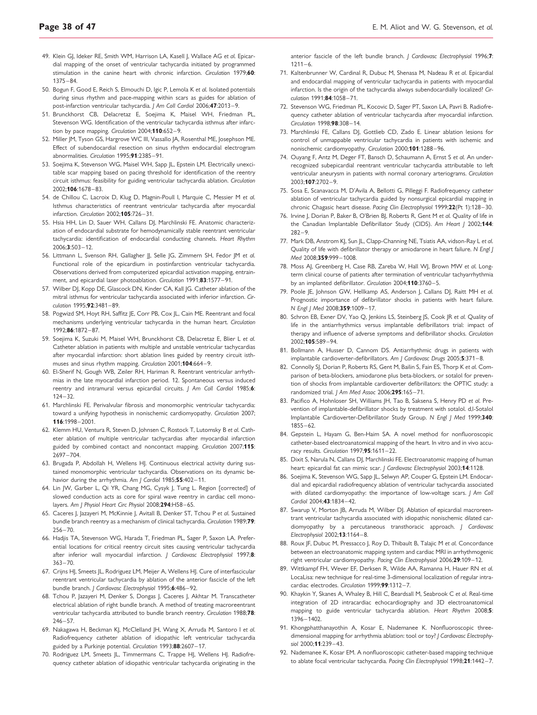- 49. Klein GJ, Ideker RE, Smith WM, Harrison LA, Kasell J, Wallace AG et al. Epicardial mapping of the onset of ventricular tachycardia initiated by programmed stimulation in the canine heart with chronic infarction. Circulation 1979;60: 1375 –84.
- 50. Bogun F, Good E, Reich S, Elmouchi D, Igic P, Lemola K et al. Isolated potentials during sinus rhythm and pace-mapping within scars as guides for ablation of post-infarction ventricular tachycardia. J Am Coll Cardiol 2006;47:2013 –9.
- 51. Brunckhorst CB, Delacretaz E, Soejima K, Maisel WH, Friedman PL, Stevenson WG. Identification of the ventricular tachycardia isthmus after infarction by pace mapping. Circulation 2004;110:652-9.
- 52. Miller JM, Tyson GS, Hargrove WC III, Vassallo JA, Rosenthal ME, Josephson ME. Effect of subendocardial resection on sinus rhythm endocardial electrogram abnormalities. Circulation 1995;91:2385 –91.
- 53. Soejima K, Stevenson WG, Maisel WH, Sapp JL, Epstein LM. Electrically unexcitable scar mapping based on pacing threshold for identification of the reentry circuit isthmus: feasibility for guiding ventricular tachycardia ablation. Circulation 2002;106:1678 – 83.
- 54. de Chillou C, Lacroix D, Klug D, Magnin-Poull I, Marquie C, Messier M et al. Isthmus characteristics of reentrant ventricular tachycardia after myocardial infarction. Circulation 2002;105:726-31.
- 55. Hsia HH, Lin D, Sauer WH, Callans DJ, Marchlinski FE. Anatomic characterization of endocardial substrate for hemodynamically stable reentrant ventricular tachycardia: identification of endocardial conducting channels. Heart Rhythm 2006;3:503 – 12.
- 56. Littmann L, Svenson RH, Gallagher JJ, Selle JG, Zimmern SH, Fedor JM et al. Functional role of the epicardium in postinfarction ventricular tachycardia. Observations derived from computerized epicardial activation mapping, entrainment, and epicardial laser photoablation. Circulation 1991;83:1577-91.
- 57. Wilber DJ, Kopp DE, Glascock DN, Kinder CA, Kall JG, Catheter ablation of the mitral isthmus for ventricular tachycardia associated with inferior infarction. Circulation 1995;92:3481-89.
- 58. Pogwizd SM, Hoyt RH, Saffitz JE, Corr PB, Cox JL, Cain ME. Reentrant and focal mechanisms underlying ventricular tachycardia in the human heart. Circulation 1992:86:1872-87.
- 59. Soejima K, Suzuki M, Maisel WH, Brunckhorst CB, Delacretaz E, Blier L et al. Catheter ablation in patients with multiple and unstable ventricular tachycardias after myocardial infarction: short ablation lines guided by reentry circuit isthmuses and sinus rhythm mapping. Circulation 2001;104:664–9.
- 60. El-Sherif N, Gough WB, Zeiler RH, Hariman R. Reentrant ventricular arrhythmias in the late myocardial infarction period. 12. Spontaneous versus induced reentry and intramural versus epicardial circuits. J Am Coll Cardiol 1985;6:  $124 - 32$
- 61. Marchlinski FE. Perivalvular fibrosis and monomorphic ventricular tachycardia: toward a unifying hypothesis in nonischemic cardiomyopathy. Circulation 2007; 116:1998 – 2001.
- 62. Klemm HU, Ventura R, Steven D, Johnsen C, Rostock T, Lutomsky B et al. Catheter ablation of multiple ventricular tachycardias after myocardial infarction guided by combined contact and noncontact mapping. Circulation 2007;115: 2697 –704.
- 63. Brugada P, Abdollah H, Wellens HJ. Continuous electrical activity during sustained monomorphic ventricular tachycardia. Observations on its dynamic behavior during the arrhythmia. Am | Cardiol 1985;55:402-11.
- 64. Lin JW, Garber L, Qi YR, Chang MG, Cysyk J, Tung L. Region [corrected] of slowed conduction acts as core for spiral wave reentry in cardiac cell monolayers. Am J Physiol Heart Circ Physiol 2008;294:H58-65.
- 65. Caceres J, Jazayeri M, McKinnie J, Avitall B, Denker ST, Tchou P et al. Sustained bundle branch reentry as a mechanism of clinical tachycardia. Circulation 1989;79:  $256 - 70.$
- 66. Hadjis TA, Stevenson WG, Harada T, Friedman PL, Sager P, Saxon LA. Preferential locations for critical reentry circuit sites causing ventricular tachycardia after inferior wall myocardial infarction. J Cardiovasc Electrophysiol 1997;8: 363 –70.
- 67. Crijns HJ, Smeets JL, Rodriguez LM, Meijer A, Wellens HJ. Cure of interfascicular reentrant ventricular tachycardia by ablation of the anterior fascicle of the left bundle branch. J Cardiovasc Electrophysiol 1995;6:486-92.
- 68. Tchou P, Jazayeri M, Denker S, Dongas J, Caceres J, Akhtar M. Transcatheter electrical ablation of right bundle branch. A method of treating macroreentrant ventricular tachycardia attributed to bundle branch reentry. Circulation 1988:78:  $246 - 57$ .
- 69. Nakagawa H, Beckman KJ, McClelland JH, Wang X, Arruda M, Santoro I et al. Radiofrequency catheter ablation of idiopathic left ventricular tachycardia guided by a Purkinje potential. Circulation 1993;88:2607-17.
- 70. Rodriguez LM, Smeets JL, Timmermans C, Trappe HJ, Wellens HJ. Radiofrequency catheter ablation of idiopathic ventricular tachycardia originating in the

anterior fascicle of the left bundle branch. *| Cardiovasc Electrophysiol* 1996;7:  $1211 - 6$ 

- 71. Kaltenbrunner W, Cardinal R, Dubuc M, Shenasa M, Nadeau R et al. Epicardial and endocardial mapping of ventricular tachycardia in patients with myocardial infarction. Is the origin of the tachycardia always subendocardially localized? Circulation 1991;84:1058-71.
- 72. Stevenson WG, Friedman PL, Kocovic D, Sager PT, Saxon LA, Pavri B. Radiofrequency catheter ablation of ventricular tachycardia after myocardial infarction. Circulation 1998;98:308-14.
- 73. Marchlinski FE, Callans DJ, Gottlieb CD, Zado E. Linear ablation lesions for control of unmappable ventricular tachycardia in patients with ischemic and nonischemic cardiomyopathy. Circulation 2000;101:1288 –96.
- 74. Ouyang F, Antz M, Deger FT, Bansch D, Schaumann A, Ernst S et al. An underrecognized subepicardial reentrant ventricular tachycardia attributable to left ventricular aneurysm in patients with normal coronary arteriograms. Circulation  $2003:107:2702 - 9$
- 75. Sosa E, Scanavacca M, D'Avila A, Bellotti G, Pilleggi F. Radiofrequency catheter ablation of ventricular tachycardia guided by nonsurgical epicardial mapping in chronic Chagasic heart disease. Pacing Clin Electrophysiol 1999;22(Pt 1):128-30.
- 76. Irvine J, Dorian P, Baker B, O'Brien BJ, Roberts R, Gent M et al. Quality of life in the Canadian Implantable Defibrillator Study (CIDS). Am Heart J 2002;144: 282 –9.
- 77. Mark DB, Anstrom KJ, Sun JL, Clapp-Channing NE, Tsiatis AA, vidson-Ray L et al. Quality of life with defibrillator therapy or amiodarone in heart failure. N Engl J Med 2008;359:999-1008.
- 78. Moss AJ, Greenberg H, Case RB, Zareba W, Hall WJ, Brown MW et al. Longterm clinical course of patients after termination of ventricular tachyarrhythmia by an implanted defibrillator. Circulation 2004;110:3760-5.
- 79. Poole JE, Johnson GW, Hellkamp AS, Anderson J, Callans DJ, Raitt MH et al. Prognostic importance of defibrillator shocks in patients with heart failure. N Engl | Med 2008:359:1009-17.
- 80. Schron EB, Exner DV, Yao Q, Jenkins LS, Steinberg JS, Cook JR et al. Quality of life in the antiarrhythmics versus implantable defibrillators trial: impact of therapy and influence of adverse symptoms and defibrillator shocks. Circulation 2002;105:589 –94.
- 81. Bollmann A, Husser D, Cannom DS. Antiarrhythmic drugs in patients with implantable cardioverter-defibrillators. Am | Cardiovasc Drugs 2005;5:371-8.
- 82. Connolly SJ, Dorian P, Roberts RS, Gent M, Bailin S, Fain ES, Thorp K et al. Comparison of beta-blockers, amiodarone plus beta-blockers, or sotalol for prevention of shocks from implantable cardioverter defibrillators: the OPTIC study: a randomized trial. J Am Med Assoc 2006;295:165-71.
- 83. Pacifico A, Hohnloser SH, Williams JH, Tao B, Saksena S, Henry PD et al. Prevention of implantable-defibrillator shocks by treatment with sotalol. d,l-Sotalol Implantable Cardioverter-Defibrillator Study Group. N Engl | Med 1999;340: 1855 –62.
- 84. Gepstein L, Hayam G, Ben-Haim SA. A novel method for nonfluoroscopic catheter-based electroanatomical mapping of the heart. In vitro and in vivo accuracy results. Circulation 1997:95:1611-22.
- 85. Dixit S, Narula N, Callans DJ, Marchlinski FE. Electroanatomic mapping of human heart: epicardial fat can mimic scar. | Cardiovasc Electrophysiol 2003;14:1128.
- 86. Soejima K, Stevenson WG, Sapp JL, Selwyn AP, Couper G, Epstein LM. Endocardial and epicardial radiofrequency ablation of ventricular tachycardia associated with dilated cardiomyopathy: the importance of low-voltage scars. J Am Coll Cardiol 2004:43:1834-42.
- 87. Swarup V, Morton JB, Arruda M, Wilber DJ. Ablation of epicardial macroreentrant ventricular tachycardia associated with idiopathic nonischemic dilated cardiomyopathy by a percutaneous transthoracic approach. J Cardiovasc Electrophysiol 2002;13:1164-8.
- 88. Roux JF, Dubuc M, Pressacco J, Roy D, Thibault B, Talajic M et al. Concordance between an electroanatomic mapping system and cardiac MRI in arrhythmogenic right ventricular cardiomyopathy. Pacing Clin Electrophysiol 2006;29:109-12.
- 89. Wittkampf FH, Wever EF, Derksen R, Wilde AA, Ramanna H, Hauer RN et al. LocaLisa: new technique for real-time 3-dimensional localization of regular intracardiac electrodes. Circulation 1999;99:1312-7.
- 90. Khaykin Y, Skanes A, Whaley B, Hill C, Beardsall M, Seabrook C et al. Real-time integration of 2D intracardiac echocardiography and 3D electroanatomical mapping to guide ventricular tachycardia ablation. Heart Rhythm 2008;5: 1396 –1402.
- 91. Khongphatthanayothin A, Kosar E, Nademanee K. Nonfluoroscopic threedimensional mapping for arrhythmia ablation: tool or toy? J Cardiovasc Electrophysiol 2000:11:239-43.
- 92. Nademanee K, Kosar EM. A nonfluoroscopic catheter-based mapping technique to ablate focal ventricular tachycardia. Pacing Clin Electrophysiol 1998;21:1442 –7.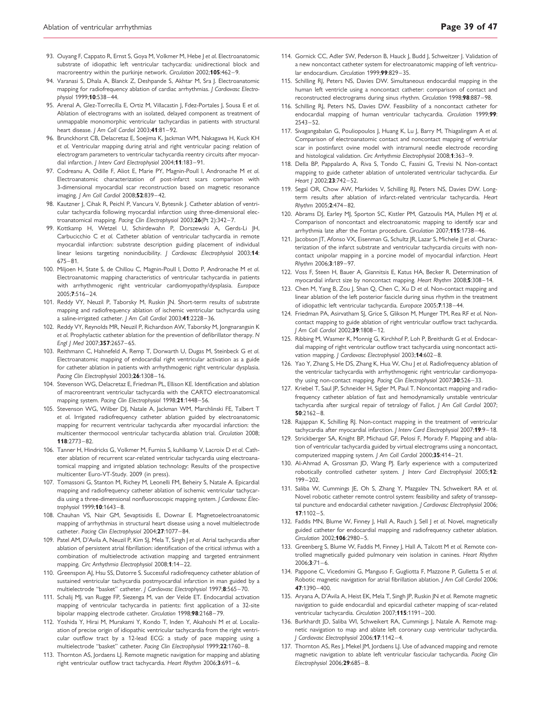- 93. Ouyang F, Cappato R, Ernst S, Goya M, Volkmer M, Hebe J et al. Electroanatomic substrate of idiopathic left ventricular tachycardia: unidirectional block and macroreentry within the purkinje network. Circulation 2002;105:462-9.
- 94. Varanasi S, Dhala A, Blanck Z, Deshpande S, Akhtar M, Sra J. Electroanatomic mapping for radiofrequency ablation of cardiac arrhythmias. J Cardiovasc Electrophysiol 1999;10:538–44.
- 95. Arenal A, Glez-Torrecilla E, Ortiz M, Villacastin J, Fdez-Portales J, Sousa E et al. Ablation of electrograms with an isolated, delayed component as treatment of unmappable monomorphic ventricular tachycardias in patients with structural heart disease. J Am Coll Cardiol 2003;41:81-92.
- 96. Brunckhorst CB, Delacretaz E, Soejima K, Jackman WM, Nakagawa H, Kuck KH et al. Ventricular mapping during atrial and right ventricular pacing: relation of electrogram parameters to ventricular tachycardia reentry circuits after myocardial infarction. *J Interv Card Electrophysiol* 2004;11:183-91.
- 97. Codreanu A, Odille F, Aliot E, Marie PY, Magnin-Poull I, Andronache M et al. Electroanatomic characterization of post-infarct scars comparison with 3-dimensional myocardial scar reconstruction based on magnetic resonance imaging. | Am Coll Cardiol 2008;52:839-42.
- 98. Kautzner J, Cihak R, Peichl P, Vancura V, Bytesnik J. Catheter ablation of ventricular tachycardia following myocardial infarction using three-dimensional electroanatomical mapping. Pacing Clin Electrophysiol 2003;26(Pt 2):342 –7.
- 99. Kottkamp H, Wetzel U, Schirdewahn P, Dorszewski A, Gerds-Li JH, Carbucicchio C et al. Catheter ablation of ventricular tachycardia in remote myocardial infarction: substrate description guiding placement of individual linear lesions targeting noninducibility. J Cardiovasc Electrophysiol 2003;14: 675– 81.
- 100. Miljoen H, State S, de Chillou C, Magnin-Poull I, Dotto P, Andronache M et al. Electroanatomic mapping characteristics of ventricular tachycardia in patients with arrhythmogenic right ventricular cardiomyopathy/dysplasia. Europace  $2005:7:516-24$
- 101. Reddy VY, Neuzil P, Taborsky M, Ruskin JN. Short-term results of substrate mapping and radiofrequency ablation of ischemic ventricular tachycardia using a saline-irrigated catheter. J Am Coll Cardiol 2003;41:2228-36.
- 102. Reddy VY, Reynolds MR, Neuzil P, Richardson AW, Taborsky M, Jongnarangsin K et al. Prophylactic catheter ablation for the prevention of defibrillator therapy. N Engl J Med 2007;357:2657 –65.
- 103. Reithmann C, Hahnefeld A, Remp T, Dorwarth U, Dugas M, Steinbeck G et al. Electroanatomic mapping of endocardial right ventricular activation as a guide for catheter ablation in patients with arrhythmogenic right ventricular dysplasia. Pacing Clin Electrophysiol 2003;26:1308-16.
- 104. Stevenson WG, Delacretaz E, Friedman PL, Ellison KE. Identification and ablation of macroreentrant ventricular tachycardia with the CARTO electroanatomical mapping system. Pacing Clin Electrophysiol 1998;21:1448-56.
- 105. Stevenson WG, Wilber DJ, Natale A, Jackman WM, Marchlinski FE, Talbert T et al. Irrigated radiofrequency catheter ablation guided by electroanatomic mapping for recurrent ventricular tachycardia after myocardial infarction: the multicenter thermocool ventricular tachycardia ablation trial. Circulation 2008; 118:2773 –82.
- 106. Tanner H, Hindricks G, Volkmer M, Furniss S, kuhlkamp V, Lacroix D et al. Catheter ablation of recurrent scar-related ventricular tachycardia using electroanatomical mapping and irrigated ablation technology: Results of the prospective multicenter Euro-VT-Study. 2009 (in press).
- 107. Tomassoni G, Stanton M, Richey M, Leonelli FM, Beheiry S, Natale A. Epicardial mapping and radiofrequency catheter ablation of ischemic ventricular tachycardia using a three-dimensional nonfluoroscopic mapping system. J Cardiovasc Electrophysiol 1999;10:1643 –8.
- 108. Chauhan VS, Nair GM, Sevaptisidis E, Downar E. Magnetoelectroanatomic mapping of arrhythmias in structural heart disease using a novel multielectrode catheter. Pacing Clin Electrophysiol 2004;27:1077 –84.
- 109. Patel AM, D'Avila A, Neuzil P, Kim SJ, Mela T, Singh J et al. Atrial tachycardia after ablation of persistent atrial fibrillation: identification of the critical isthmus with a combination of multielectrode activation mapping and targeted entrainment mapping. Circ Arrhythmia Electrophysiol 2008;1:14– 22.
- 110. Greenspon AJ, Hsu SS, Datorre S. Successful radiofrequency catheter ablation of sustained ventricular tachycardia postmyocardial infarction in man guided by a multielectrode "basket" catheter. J Cardiovasc Electrophysiol 1997;8:565-70.
- 111. Schalij MJ, van Rugge FP, Siezenga M, van der Velde ET. Endocardial activation mapping of ventricular tachycardia in patients: first application of a 32-site bipolar mapping electrode catheter. Circulation 1998;98:2168-79.
- 112. Yoshida Y, Hirai M, Murakami Y, Kondo T, Inden Y, Akahoshi M et al. Localization of precise origin of idiopathic ventricular tachycardia from the right ventricular outflow tract by a 12-lead ECG: a study of pace mapping using a multielectrode "basket" catheter. Pacing Clin Electrophysiol 1999;22:1760 – 8.
- 113. Thornton AS, Jordaens LJ. Remote magnetic navigation for mapping and ablating right ventricular outflow tract tachycardia. Heart Rhythm 2006:3:691-6.
- 114. Gornick CC, Adler SW, Pederson B, Hauck J, Budd J, Schweitzer J. Validation of a new noncontact catheter system for electroanatomic mapping of left ventricular endocardium. Circulation 1999;99:829-35.
- 115. Schilling RJ, Peters NS, Davies DW. Simultaneous endocardial mapping in the human left ventricle using a noncontact catheter: comparison of contact and reconstructed electrograms during sinus rhythm. Circulation 1998;98:887-98.
- 116. Schilling RJ, Peters NS, Davies DW. Feasibility of a noncontact catheter for endocardial mapping of human ventricular tachycardia. Circulation 1999;99: 2543 –52.
- 117. Sivagangabalan G, Pouliopoulos J, Huang K, Lu J, Barry M, Thiagalingam A et al. Comparison of electroanatomic contact and noncontact mapping of ventriular scar in postinfarct ovine model with intramural needle electrode recording and histological validation. Circ Arrhythmia Electrophysiol 2008;1:363 –9.
- 118. Della BP, Pappalardo A, Riva S, Tondo C, Fassini G, Trevisi N. Non-contact mapping to guide catheter ablation of untolerated ventricular tachycardia. Eur Heart 1 2002:23:742-52.
- 119. Segal OR, Chow AW, Markides V, Schilling RJ, Peters NS, Davies DW. Longterm results after ablation of infarct-related ventricular tachycardia. Heart  $R$ hythm  $2005:2.474 - 82$
- 120. Abrams DJ, Earley MJ, Sporton SC, Kistler PM, Gatzoulis MA, Mullen MJ et al. Comparison of noncontact and electroanatomic mapping to identify scar and arrhythmia late after the Fontan procedure. Circulation 2007;115:1738-46.
- 121. Jacobson JT, Afonso VX, Eisenman G, Schultz JR, Lazar S, Michele JJ et al. Characterization of the infarct substrate and ventricular tachycardia circuits with noncontact unipolar mapping in a porcine model of myocardial infarction. Heart Rhythm 2006;3:189-97.
- 122. Voss F, Steen H, Bauer A, Giannitsis E, Katus HA, Becker R. Determination of myocardial infarct size by noncontact mapping. Heart Rhythm 2008;5:308-14.
- 123. Chen M, Yang B, Zou J, Shan Q, Chen C, Xu D et al. Non-contact mapping and linear ablation of the left posterior fascicle during sinus rhythm in the treatment of idiopathic left ventricular tachycardia. Europace 2005;7:138 –44.
- 124. Friedman PA, Asirvatham SJ, Grice S, Glikson M, Munger TM, Rea RF et al. Noncontact mapping to guide ablation of right ventricular outflow tract tachycardia. J Am Coll Cardiol 2002;39:1808 –12.
- 125. Ribbing M, Wasmer K, Monnig G, Kirchhof P, Loh P, Breithardt G et al. Endocardial mapping of right ventricular outflow tract tachycardia using noncontact activation mapping. J Cardiovasc Electrophysiol 2003;14:602-8.
- 126. Yao Y, Zhang S, He DS, Zhang K, Hua W, Chu J et al. Radiofrequency ablation of the ventricular tachycardia with arrhythmogenic right ventricular cardiomyopathy using non-contact mapping. Pacing Clin Electrophysiol 2007;30:526-33.
- 127. Kriebel T, Saul JP, Schneider H, Sigler M, Paul T. Noncontact mapping and radiofrequency catheter ablation of fast and hemodynamically unstable ventricular tachycardia after surgical repair of tetralogy of Fallot. J Am Coll Cardiol 2007;  $50.2162 - 8$
- 128. Rajappan K, Schilling RJ. Non-contact mapping in the treatment of ventricular tachycardia after myocardial infarction. J Interv Card Electrophysiol 2007;19:9– 18.
- 129. Strickberger SA, Knight BP, Michaud GF, Pelosi F, Morady F. Mapping and ablation of ventricular tachycardia guided by virtual electrograms using a noncontact, computerized mapping system. J Am Coll Cardiol 2000;35:414-21.
- 130. Al-Ahmad A, Grossman JD, Wang PJ. Early experience with a computerized robotically controlled catheter system. J Interv Card Electrophysiol 2005;12:  $199 - 202$
- 131. Saliba W, Cummings JE, Oh S, Zhang Y, Mazgalev TN, Schweikert RA et al. Novel robotic catheter remote control system: feasibility and safety of transseptal puncture and endocardial catheter navigation. J Cardiovasc Electrophysiol 2006;  $17:1102 - 5.$
- 132. Faddis MN, Blume W, Finney J, Hall A, Rauch J, Sell J et al. Novel, magnetically guided catheter for endocardial mapping and radiofrequency catheter ablation. Circulation 2002;106:2980-5.
- 133. Greenberg S, Blume W, Faddis M, Finney J, Hall A, Talcott M et al. Remote controlled magnetically guided pulmonary vein isolation in canines. Heart Rhythm  $2006:3:71 - 6.$
- 134. Pappone C, Vicedomini G, Manguso F, Gugliotta F, Mazzone P, Gulletta S et al. Robotic magnetic navigation for atrial fibrillation ablation. J Am Coll Cardiol 2006; 47:1390 – 400.
- 135. Aryana A, D'Avila A, Heist EK, Mela T, Singh JP, Ruskin JN et al. Remote magnetic navigation to guide endocardial and epicardial catheter mapping of scar-related ventricular tachycardia. Circulation 2007;115:1191 –200.
- 136. Burkhardt JD, Saliba WI, Schweikert RA, Cummings J, Natale A. Remote magnetic navigation to map and ablate left coronary cusp ventricular tachycardia. J Cardiovasc Electrophysiol 2006;17:1142-4.
- 137. Thornton AS, Res J, Mekel JM, Jordaens LJ. Use of advanced mapping and remote magnetic navigation to ablate left ventricular fascicular tachycardia. Pacing Clin Electrophysiol 2006;29:685 – 8.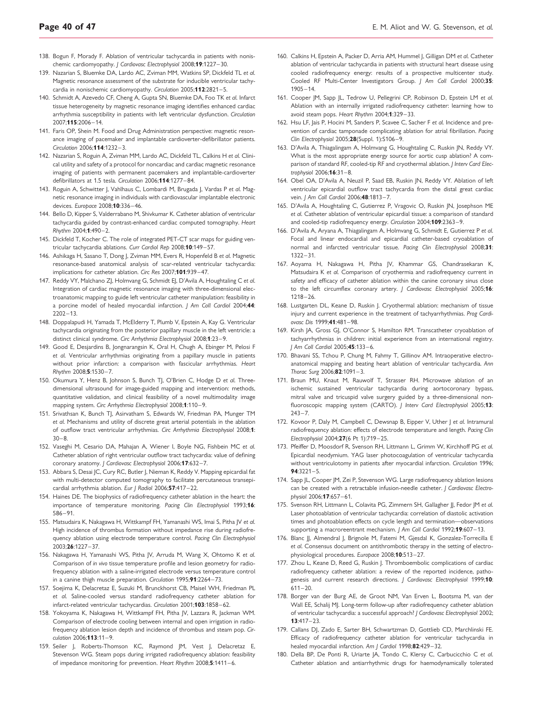- 138. Bogun F, Morady F. Ablation of ventricular tachycardia in patients with nonischemic cardiomyopathy. J Cardiovasc Electrophysiol 2008;19:1227 – 30.
- 139. Nazarian S, Bluemke DA, Lardo AC, Zviman MM, Watkins SP, Dickfeld TL et al. Magnetic resonance assessment of the substrate for inducible ventricular tachycardia in nonischemic cardiomyopathy. Circulation 2005;112:2821-5.
- 140. Schmidt A, Azevedo CF, Cheng A, Gupta SN, Bluemke DA, Foo TK et al. Infarct tissue heterogeneity by magnetic resonance imaging identifies enhanced cardiac arrhythmia susceptibility in patients with left ventricular dysfunction. Circulation 2007;115:2006 – 14.
- 141. Faris OP, Shein M. Food and Drug Administration perspective: magnetic resonance imaging of pacemaker and implantable cardioverter-defibrillator patients. Circulation 2006;114:1232-3.
- 142. Nazarian S, Roguin A, Zviman MM, Lardo AC, Dickfeld TL, Calkins H et al. Clinical utility and safety of a protocol for noncardiac and cardiac magnetic resonance imaging of patients with permanent pacemakers and implantable-cardioverter defibrillators at 1.5 tesla. Circulation 2006:114:1277-84
- 143. Roguin A, Schwitter J, Vahlhaus C, Lombardi M, Brugada J, Vardas P et al. Magnetic resonance imaging in individuals with cardiovascular implantable electronic devices. Europace 2008;10:336 –46.
- 144. Bello D, Kipper S, Valderrabano M, Shivkumar K. Catheter ablation of ventricular tachycardia guided by contrast-enhanced cardiac computed tomography. Heart Rhythm 2004:1:490-2.
- 145. Dickfeld T, Kocher C. The role of integrated PET-CT scar maps for guiding ventricular tachycardia ablations. Curr Cardiol Rep 2008;10:149-57.
- 146. Ashikaga H, Sasano T, Dong J, Zviman MM, Evers R, Hopenfeld B et al. Magnetic resonance-based anatomical analysis of scar-related ventricular tachycardia: implications for catheter ablation. Circ Res 2007;101:939 –47.
- 147. Reddy VY, Malchano ZJ, Holmvang G, Schmidt EJ, D'Avila A, Houghtaling C et al. Integration of cardiac magnetic resonance imaging with three-dimensional electroanatomic mapping to guide left ventricular catheter manipulation: feasibility in a porcine model of healed myocardial infarction. J Am Coll Cardiol 2004;44:  $2202 - 13$ .
- 148. Doppalapudi H, Yamada T, McElderry T, Plumb V, Epstein A, Kay G. Ventricular tachycardia originating from the posterior papillary muscle in the left ventricle: a distinct clinical syndrome. Circ Arrhythmia Electrophysiol 2008;1:23 –9.
- 149. Good E, Desjardins B, Jongnarangsin K, Oral H, Chugh A, Ebinger M, Pelosi F et al. Ventricular arrhythmias originating from a papillary muscle in patients without prior infarction: a comparison with fascicular arrhythmias. Heart Rhythm 2008;5:1530 –7.
- 150. Okumura Y, Henz B, Johnson S, Bunch TJ, O'Brien C, Hodge D et al. Threedimensional ultrasound for image-guided mapping and intervention: methods, quantitative validation, and clinical feasibility of a novel multimodality image mapping system. Circ Arrhythmia Electrophysiol 2008;1:110-9.
- 151. Srivathsan K, Bunch TJ, Asirvatham S, Edwards W, Friedman PA, Munger TM et al. Mechanisms and utility of discrete great arterial potentials in the ablation of outflow tract ventricular arrhythmias. Circ Arrhythmia Electrophysiol 2008;1:  $30 - 8.$
- 152. Vaseghi M, Cesario DA, Mahajan A, Wiener I, Boyle NG, Fishbein MC et al. Catheter ablation of right ventricular outflow tract tachycardia: value of defining coronary anatomy. J Cardiovasc Electrophysiol 2006;17:632-7.
- 153. Abbara S, Desai JC, Cury RC, Butler J, Nieman K, Reddy V. Mapping epicardial fat with multi-detector computed tomography to facilitate percutaneous transepicardial arrhythmia ablation. Eur J Radiol 2006;57:417-22.
- 154. Haines DE. The biophysics of radiofrequency catheter ablation in the heart: the importance of temperature monitoring. Pacing Clin Electrophysiol 1993;16: 586 –91.
- 155. Matsudaira K, Nakagawa H, Wittkampf FH, Yamanashi WS, Imai S, Pitha JV et al. High incidence of thrombus formation without impedance rise during radiofrequency ablation using electrode temperature control. Pacing Clin Electrophysiol 2003;26:1227 – 37.
- 156. Nakagawa H, Yamanashi WS, Pitha JV, Arruda M, Wang X, Ohtomo K et al. Comparison of in vivo tissue temperature profile and lesion geometry for radiofrequency ablation with a saline-irrigated electrode versus temperature control in a canine thigh muscle preparation. Circulation 1995;91:2264-73.
- 157. Soejima K, Delacretaz E, Suzuki M, Brunckhorst CB, Maisel WH, Friedman PL et al. Saline-cooled versus standard radiofrequency catheter ablation for infarct-related ventricular tachycardias. Circulation 2001;103:1858-62.
- 158. Yokoyama K, Nakagawa H, Wittkampf FH, Pitha JV, Lazzara R, Jackman WM. Comparison of electrode cooling between internal and open irrigation in radiofrequency ablation lesion depth and incidence of thrombus and steam pop. Circulation 2006;113:11-9.
- 159. Seiler J, Roberts-Thomson KC, Raymond JM, Vest J, Delacretaz E, Stevenson WG. Steam pops during irrigated radiofrequency ablation: feasibility of impedance monitoring for prevention. Heart Rhythm 2008;5:1411 –6.
- 160. Calkins H, Epstein A, Packer D, Arria AM, Hummel J, Gilligan DM et al. Catheter ablation of ventricular tachycardia in patients with structural heart disease using cooled radiofrequency energy: results of a prospective multicenter study. Cooled RF Multi-Center Investigators Group. J Am Coll Cardiol 2000;35: 1905 –14.
- 161. Cooper JM, Sapp JL, Tedrow U, Pellegrini CP, Robinson D, Epstein LM et al. Ablation with an internally irrigated radiofrequency catheter: learning how to avoid steam pops. Heart Rhythm 2004;1:329 –33.
- 162. Hsu LF, Jais P, Hocini M, Sanders P, Scavee C, Sacher F et al. Incidence and prevention of cardiac tamponade complicating ablation for atrial fibrillation. Pacing Clin Electrophysiol 2005;28(Suppl. 1):S106-9.
- 163. D'Avila A, Thiagalingam A, Holmvang G, Houghtaling C, Ruskin JN, Reddy VY. What is the most appropriate energy source for aortic cusp ablation? A comparison of standard RF, cooled-tip RF and cryothermal ablation. J Interv Card Electrophysiol 2006;16:31 –8.
- 164. Obel OA, D'Avila A, Neuzil P, Saad EB, Ruskin JN, Reddy VY. Ablation of left ventricular epicardial outflow tract tachycardia from the distal great cardiac vein. J Am Coll Cardiol 2006;48:1813-7.
- 165. D'Avila A, Houghtaling C, Gutierrez P, Vragovic O, Ruskin JN, Josephson ME et al. Catheter ablation of ventricular epicardial tissue: a comparison of standard and cooled-tip radiofrequency energy. Circulation 2004;109:2363 –9.
- 166. D'Avila A, Aryana A, Thiagalingam A, Holmvang G, Schmidt E, Gutierrez P et al. Focal and linear endocardial and epicardial catheter-based cryoablation of normal and infarcted ventricular tissue. Pacing Clin Electrophysiol 2008;31: 1322 –31.
- 167. Aoyama H, Nakagawa H, Pitha JV, Khammar GS, Chandrasekaran K, Matsudaira K et al. Comparison of cryothermia and radiofrequency current in safety and efficacy of catheter ablation within the canine coronary sinus close to the left circumflex coronary artery. J Cardiovasc Electrophysiol 2005;16:  $1218 - 26.$
- 168. Lustgarten DL, Keane D, Ruskin J. Cryothermal ablation: mechanism of tissue injury and current experience in the treatment of tachyarrhythmias. Prog Cardiovasc Dis 1999;41:481–98.
- 169. Kirsh JA, Gross GJ, O'Connor S, Hamilton RM. Transcatheter cryoablation of tachyarrhythmias in children: initial experience from an international registry. J Am Coll Cardiol 2005;45:133 –6.
- 170. Bhavani SS, Tchou P, Chung M, Fahmy T, Gillinov AM. Intraoperative electroanatomical mapping and beating heart ablation of ventricular tachycardia. Ann Thorac Surg  $2006;82:1091-3$ .
- 171. Braun MU, Knaut M, Rauwolf T, Strasser RH. Microwave ablation of an ischemic sustained ventricular tachycardia during aortocoronary bypass, mitral valve and tricuspid valve surgery guided by a three-dimensional nonfluoroscopic mapping system (CARTO). J Interv Card Electrophysiol 2005;13:  $243 - 7$ .
- 172. Kovoor P, Daly M, Campbell C, Dewsnap B, Eipper V, Uther J et al. Intramural radiofrequency ablation: effects of electrode temperature and length. Pacing Clin Electrophysiol 2004;27(6 Pt 1):719 –25.
- 173. Pfeiffer D, Moosdorf R, Svenson RH, Littmann L, Grimm W, Kirchhoff PG et al. Epicardial neodymium. YAG laser photocoagulation of ventricular tachycardia without ventriculotomy in patients after myocardial infarction. Circulation 1996;  $94:3221 - 5.$
- 174. Sapp JL, Cooper JM, Zei P, Stevenson WG. Large radiofrequency ablation lesions can be created with a retractable infusion-needle catheter. *| Cardiovasc Electro*physiol 2006;17:657 –61.
- 175. Svenson RH, Littmann L, Colavita PG, Zimmern SH, Gallagher JJ, Fedor JM et al. Laser photoablation of ventricular tachycardia: correlation of diastolic activation times and photoablation effects on cycle length and termination—observations supporting a macroreentrant mechanism. I Am Coll Cardiol 1992:19:607-13.
- 176. Blanc JJ, Almendral J, Brignole M, Fatemi M, Gjesdal K, Gonzalez-Torrecilla E et al. Consensus document on antithrombotic therapy in the setting of electrophysiological procedures. Europace 2008;10:513 –27.
- 177. Zhou L, Keane D, Reed G, Ruskin J. Thromboembolic complications of cardiac radiofrequency catheter ablation: a review of the reported incidence, pathogenesis and current research directions. J Cardiovasc Electrophysiol 1999;10:  $611 - 20.$
- 178. Borger van der Burg AE, de Groot NM, Van Erven L, Bootsma M, van der Wall EE, Schalij MJ. Long-term follow-up after radiofrequency catheter ablation of ventricular tachycardia: a successful approach? J Cardiovasc Electrophysiol 2002;  $13:417 - 23$
- 179. Callans DJ, Zado E, Sarter BH, Schwartzman D, Gottlieb CD, Marchlinski FE. Efficacy of radiofrequency catheter ablation for ventricular tachycardia in healed myocardial infarction. Am | Cardiol 1998;82:429-32.
- 180. Della BP, De Ponti R, Uriarte JA, Tondo C, Klersy C, Carbucicchio C et al. Catheter ablation and antiarrhythmic drugs for haemodynamically tolerated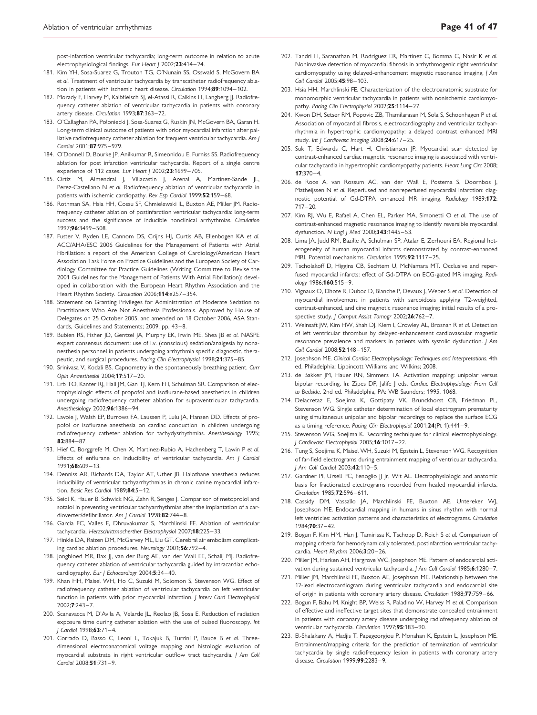post-infarction ventricular tachycardia; long-term outcome in relation to acute electrophysiological findings. Eur Heart J 2002;23:414-24.

- 181. Kim YH, Sosa-Suarez G, Trouton TG, O'Nunain SS, Osswald S, McGovern BA et al. Treatment of ventricular tachycardia by transcatheter radiofrequency ablation in patients with ischemic heart disease. Circulation 1994:89:1094-102.
- 182. Morady F, Harvey M, Kalbfleisch SJ, el-Atassi R, Calkins H, Langberg JJ. Radiofrequency catheter ablation of ventricular tachycardia in patients with coronary artery disease. Circulation 1993:87:363-72.
- 183. O'Callaghan PA, Poloniecki J, Sosa-Suarez G, Ruskin JN, McGovern BA, Garan H. Long-term clinical outcome of patients with prior myocardial infarction after palliative radiofrequency catheter ablation for frequent ventricular tachycardia. Am J Cardiol 2001;87:975 –979.
- 184. O'Donnell D, Bourke JP, Anilkumar R, Simeonidou E, Furniss SS. Radiofrequency ablation for post infarction ventricular tachycardia. Report of a single centre experience of 112 cases. Eur Heart | 2002;23:1699-705.
- 185. Ortiz M, Almendral J, Villacastin J, Arenal A, Martinez-Sande JL, Perez-Castellano N et al. Radiofrequency ablation of ventricular tachycardia in patients with ischemic cardiopathy. Rev Esp Cardiol 1999;52:159-68.
- 186. Rothman SA, Hsia HH, Cossu SF, Chmielewski IL, Buxton AE, Miller JM. Radiofrequency catheter ablation of postinfarction ventricular tachycardia: long-term success and the significance of inducible nonclinical arrhythmias. Circulation 1997;96:3499 –508.
- 187. Fuster V, Ryden LE, Cannom DS, Crijns HJ, Curtis AB, Ellenbogen KA et al. ACC/AHA/ESC 2006 Guidelines for the Management of Patients with Atrial Fibrillation: a report of the American College of Cardiology/American Heart Association Task Force on Practice Guidelines and the European Society of Cardiology Committee for Practice Guidelines (Writing Committee to Revise the 2001 Guidelines for the Management of Patients With Atrial Fibrillation): developed in collaboration with the European Heart Rhythm Association and the Heart Rhythm Society. Circulation 2006;114:e257 –354.
- 188. Statement on Granting Privileges for Administration of Moderate Sedation to Practitioners Who Are Not Anesthesia Professionals. Approved by House of Delegates on 25 October 2005, and amended on 18 October 2006, ASA Standards, Guidelines and Statements; 2009. pp. 43 –8.
- 189. Bubien RS, Fisher JD, Gentzel JA, Murphy EK, Irwin ME, Shea JB et al. NASPE expert consensus document: use of i.v. (conscious) sedation/analgesia by nonanesthesia personnel in patients undergoing arrhythmia specific diagnostic, therapeutic, and surgical procedures. Pacing Clin Electrophysiol 1998;21:375-85.
- 190. Srinivasa V, Kodali BS. Capnometry in the spontaneously breathing patient. Curr Opin Anaesthesiol 2004;17:517 –20.
- 191. Erb TO, Kanter RJ, Hall JM, Gan TJ, Kern FH, Schulman SR. Comparison of electrophysiologic effects of propofol and isoflurane-based anesthetics in children undergoing radiofrequency catheter ablation for supraventricular tachycardia. Anesthesiology 2002;96:1386-94.
- 192. Lavoie J, Walsh EP, Burrows FA, Laussen P, Lulu JA, Hansen DD. Effects of propofol or isoflurane anesthesia on cardiac conduction in children undergoing radiofrequency catheter ablation for tachydysrhythmias. Anesthesiology 1995; 82:884 –87.
- 193. Hief C, Borggrefe M, Chen X, Martinez-Rubio A, Hachenberg T, Lawin P et al. Effects of enflurane on inducibility of ventricular tachycardia. Am J Cardiol 1991;68:609–13.
- 194. Denniss AR, Richards DA, Taylor AT, Uther JB. Halothane anesthesia reduces inducibility of ventricular tachyarrhythmias in chronic canine myocardial infarction. Basic Res Cardiol 1989:84:5-12.
- 195. Seidl K, Hauer B, Schwick NG, Zahn R, Senges J. Comparison of metoprolol and sotalol in preventing ventricular tachyarrhythmias after the implantation of a cardioverter/defibrillator. Am | Cardiol 1998;82:744-8.
- 196. Garcia FC, Valles E, Dhruvakumar S, Marchlinski FE. Ablation of ventricular tachycardia. Herzschrittmacherther Elektrophysiol 2007;18:225–33.
- 197. Hinkle DA, Raizen DM, McGarvey ML, Liu GT. Cerebral air embolism complicating cardiac ablation procedures. Neurology 2001;56:792-4.
- 198. Jongbloed MR, Bax JJ, van der Burg AE, van der Wall EE, Schalij MJ. Radiofrequency catheter ablation of ventricular tachycardia guided by intracardiac echocardiography. Eur J Echocardiogr 2004;5:34-40.
- 199. Khan HH, Maisel WH, Ho C, Suzuki M, Solomon S, Stevenson WG. Effect of radiofrequency catheter ablation of ventricular tachycardia on left ventricular function in patients with prior myocardial infarction. J Interv Card Electrophysiol 2002;7:243–7.
- 200. Scanavacca M, D'Avila A, Velarde JL, Reolao JB, Sosa E. Reduction of radiation exposure time during catheter ablation with the use of pulsed fluoroscopy. Int J Cardiol 1998;63:71 –4.
- 201. Corrado D, Basso C, Leoni L, Tokajuk B, Turrini P, Bauce B et al. Threedimensional electroanatomical voltage mapping and histologic evaluation of myocardial substrate in right ventricular outflow tract tachycardia. J Am Coll Cardiol 2008;51:731-9.
- 202. Tandri H, Saranathan M, Rodriguez ER, Martinez C, Bomma C, Nasir K et al. Noninvasive detection of myocardial fibrosis in arrhythmogenic right ventricular cardiomyopathy using delayed-enhancement magnetic resonance imaging. J Am Coll Cardiol 2005;45:98 –103.
- 203. Hsia HH, Marchlinski FE. Characterization of the electroanatomic substrate for monomorphic ventricular tachycardia in patients with nonischemic cardiomyopathy. Pacing Clin Electrophysiol 2002;25:1114-27.
- 204. Kwon DH, Setser RM, Popovic ZB, Thamilarasan M, Sola S, Schoenhagen P et al. Association of myocardial fibrosis, electrocardiography and ventricular tachyarrhythmia in hypertrophic cardiomyopathy: a delayed contrast enhanced MRI study. Int J Cardiovasc Imaging 2008;24:617-25.
- 205. Suk T, Edwards C, Hart H, Christiansen JP. Myocardial scar detected by contrast-enhanced cardiac magnetic resonance imaging is associated with ventricular tachycardia in hypertrophic cardiomyopathy patients. Heart Lung Circ 2008;  $17:370 - 4.$
- 206. de Roos A, van Rossum AC, van der Wall E, Postema S, Doornbos J, Matheijssen N et al. Reperfused and nonreperfused myocardial infarction: diagnostic potential of Gd-DTPA–enhanced MR imaging. Radiology 1989;172:  $717 - 20.$
- 207. Kim RJ, Wu E, Rafael A, Chen EL, Parker MA, Simonetti O et al. The use of contrast-enhanced magnetic resonance imaging to identify reversible myocardial dysfunction. N Engl | Med 2000;343:1445-53.
- 208. Lima JA, Judd RM, Bazille A, Schulman SP, Atalar E, Zerhouni EA. Regional heterogeneity of human myocardial infarcts demonstrated by contrast-enhanced MRI. Potential mechanisms. Circulation 1995;92:1117-25.
- 209. Tscholakoff D, Higgins CB, Sechtem U, McNamara MT. Occlusive and reperfused myocardial infarcts: effect of Gd-DTPA on ECG-gated MR imaging. Radiology 1986;160:515-9.
- 210. Vignaux O, Dhote R, Duboc D, Blanche P, Devaux J, Weber S et al. Detection of myocardial involvement in patients with sarcoidosis applying T2-weighted, contrast-enhanced, and cine magnetic resonance imaging: initial results of a prospective study. J Comput Assist Tomogr 2002;26:762-7.
- 211. Weinsaft JW, Kim HW, Shah DJ, Klem I, Crowley AL, Brosnan R et al. Detection of left ventricular thrombus by delayed-enhancement cardiovascular magnetic resonance prevalence and markers in patients with systolic dysfunction. J Am Coll Cardiol 2008;52:148–157.
- 212. Josephson ME. Clinical Cardiac Electrophysiology: Techniques and Interpretations. 4th ed. Philadelphia: Lippincott Williams and Wilkins; 2008.
- 213. de Bakker JM, Hauer RN, Simmers TA. Activation mapping: unipolar versus bipolar recording. In: Zipes DP, Jalife J eds. Cardiac Electrophysiology: From Cell to Bedside. 2nd ed. Philadelphia, PA: WB Saunders; 1995. 1068.
- 214. Delacretaz E, Soejima K, Gottipaty VK, Brunckhorst CB, Friedman PL, Stevenson WG. Single catheter determination of local electrogram prematurity using simultaneous unipolar and bipolar recordings to replace the surface ECG as a timing reference. Pacing Clin Electrophysiol 2001;24(Pt 1):441-9.
- 215. Stevenson WG, Soejima K. Recording techniques for clinical electrophysiology. J Cardiovasc Electrophysiol 2005;16:1017 –22.
- 216. Tung S, Soejima K, Maisel WH, Suzuki M, Epstein L, Stevenson WG. Recognition of far-field electrograms during entrainment mapping of ventricular tachycardia. J Am Coll Cardiol 2003;42:110 –5.
- 217. Gardner PI, Ursell PC, Fenoglio JJ Jr, Wit AL. Electrophysiologic and anatomic basis for fractionated electrograms recorded from healed myocardial infarcts. Circulation 1985;72:596–611.
- 218. Cassidy DM, Vassallo JA, Marchlinski FE, Buxton AE, Untereker WJ, Josephson ME. Endocardial mapping in humans in sinus rhythm with normal left ventricles: activation patterns and characteristics of electrograms. Circulation 1984;70:37 –42.
- 219. Bogun F, Kim HM, Han J, Tamirissa K, Tschopp D, Reich S et al. Comparison of mapping criteria for hemodynamically tolerated, postinfarction ventricular tachycardia. Heart Rhythm 2006;3:20-26.
- 220. Miller JM, Harken AH, Hargrove WC, Josephson ME. Pattern of endocardial activation during sustained ventricular tachycardia. J Am Coll Cardiol 1985;6:1280-7.
- 221. Miller JM, Marchlinski FE, Buxton AE, Josephson ME. Relationship between the 12-lead electrocardiogram during ventricular tachycardia and endocardial site of origin in patients with coronary artery disease. Circulation 1988;77:759-66.
- 222. Bogun F, Bahu M, Knight BP, Weiss R, Paladino W, Harvey M et al. Comparison of effective and ineffective target sites that demonstrate concealed entrainment in patients with coronary artery disease undergoing radiofrequency ablation of ventricular tachycardia. Circulation 1997;95:183 – 90.
- 223. El-Shalakany A, Hadjis T, Papageorgiou P, Monahan K, Epstein L, Josephson ME. Entrainment/mapping criteria for the prediction of termination of ventricular tachycardia by single radiofrequency lesion in patients with coronary artery disease. Circulation 1999:99:2283-9.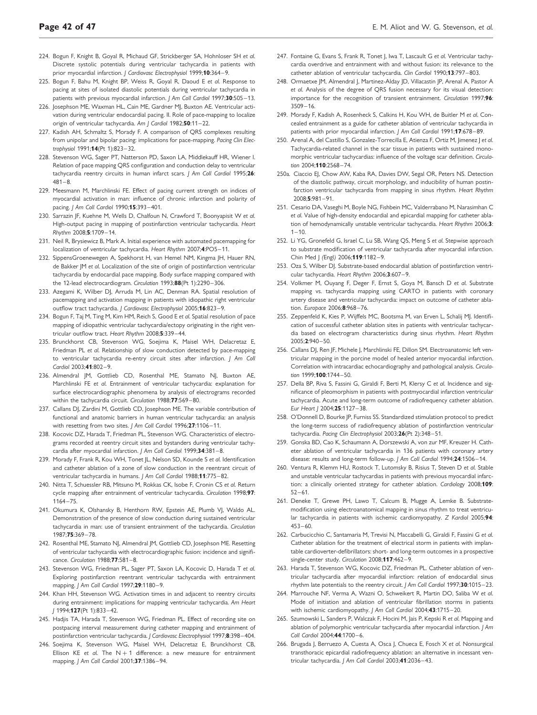- 224. Bogun F, Knight B, Goyal R, Michaud GF, Strickberger SA, Hohnloser SH et al. Discrete systolic potentials during ventricular tachycardia in patients with prior myocardial infarction. J Cardiovasc Electrophysiol 1999;10:364-9.
- 225. Bogun F, Bahu M, Knight BP, Weiss R, Goyal R, Daoud E et al. Response to pacing at sites of isolated diastolic potentials during ventricular tachycardia in patients with previous myocardial infarction. J Am Coll Cardiol 1997;30:505-13.
- 226. Josephson ME, Waxman HL, Cain ME, Gardner MJ, Buxton AE. Ventricular activation during ventricular endocardial pacing. II. Role of pace-mapping to localize origin of ventricular tachycardia. Am J Cardiol 1982;50:11-22.
- 227. Kadish AH, Schmaltz S, Morady F. A comparison of QRS complexes resulting from unipolar and bipolar pacing: implications for pace-mapping. Pacing Clin Electrophysiol 1991;14(Pt 1):823 – 32.
- 228. Stevenson WG, Sager PT, Natterson PD, Saxon LA, Middlekauff HR, Wiener I. Relation of pace mapping QRS configuration and conduction delay to ventricular tachycardia reentry circuits in human infarct scars. J Am Coll Cardiol 1995;26:  $481 - 8$
- 229. Meesmann M, Marchlinski FE. Effect of pacing current strength on indices of myocardial activation in man: influence of chronic infarction and polarity of pacing. J Am Coll Cardiol 1990;15:393-401.
- 230. Sarrazin JF, Kuehne M, Wells D, Chalfoun N, Crawford T, Boonyapisit W et al. High-output pacing in mapping of postinfarction ventricular tachycardia. Heart Rhythm 2008;5:1709-14.
- 231. Neil R, Brysiewicz B, Mark A. Initial experience with automated pacemapping for localization of ventricular tachycardia. Heart Rhythm 2007;4:PO5–11.
- 232. SippensGroenewegen A, Spekhorst H, van Hemel NM, Kingma JH, Hauer RN, de Bakker JM et al. Localization of the site of origin of postinfarction ventricular tachycardia by endocardial pace mapping. Body surface mapping compared with the 12-lead electrocardiogram. Circulation 1993;88(Pt 1):2290-306.
- 233. Azegami K, Wilber DJ, Arruda M, Lin AC, Denman RA. Spatial resolution of pacemapping and activation mapping in patients with idiopathic right ventricular outflow tract tachycardia. J Cardiovasc Electrophysiol 2005;16:823-9.
- 234. Bogun F, Taj M, Ting M, Kim HM, Reich S, Good E et al. Spatial resolution of pace mapping of idiopathic ventricular tachycardia/ectopy originating in the right ventricular outflow tract. Heart Rhythm 2008;5:339-44.
- 235. Brunckhorst CB, Stevenson WG, Soejima K, Maisel WH, Delacretaz E, Friedman PL et al. Relationship of slow conduction detected by pace-mapping to ventricular tachycardia re-entry circuit sites after infarction. J Am Coll Cardiol 2003:41:802-9.
- 236. Almendral JM, Gottlieb CD, Rosenthal ME, Stamato NJ, Buxton AE, Marchlinski FE et al. Entrainment of ventricular tachycardia: explanation for surface electrocardiographic phenomena by analysis of electrograms recorded within the tachycardia circuit. Circulation 1988;77:569-80.
- 237. Callans DJ, Zardini M, Gottlieb CD, Josephson ME. The variable contribution of functional and anatomic barriers in human ventricular tachycardia: an analysis with resetting from two sites. J Am Coll Cardiol 1996;27:1106-11.
- 238. Kocovic DZ, Harada T, Friedman PL, Stevenson WG. Characteristics of electrograms recorded at reentry circuit sites and bystanders during ventricular tachycardia after myocardial infarction. J Am Coll Cardiol 1999;34:381 – 8.
- 239. Morady F, Frank R, Kou WH, Tonet JL, Nelson SD, Kounde S et al. Identification and catheter ablation of a zone of slow conduction in the reentrant circuit of ventricular tachycardia in humans. J Am Coll Cardiol 1988;11:775-82.
- 240. Nitta T, Schuessler RB, Mitsuno M, Rokkas CK, Isobe F, Cronin CS et al. Return cycle mapping after entrainment of ventricular tachycardia. Circulation 1998;97: 1164 –75.
- 241. Okumura K, Olshansky B, Henthorn RW, Epstein AE, Plumb VJ, Waldo AL. Demonstration of the presence of slow conduction during sustained ventricular tachycardia in man: use of transient entrainment of the tachycardia. Circulation 1987;75:369 – 78.
- 242. Rosenthal ME, Stamato NJ, Almendral JM, Gottlieb CD, Josephson ME. Resetting of ventricular tachycardia with electrocardiographic fusion: incidence and significance. Circulation 1988;77:581–8.
- 243. Stevenson WG, Friedman PL, Sager PT, Saxon LA, Kocovic D, Harada T et al. Exploring postinfarction reentrant ventricular tachycardia with entrainment mapping. J Am Coll Cardiol 1997;29:1180-9.
- 244. Khan HH, Stevenson WG. Activation times in and adjacent to reentry circuits during entrainment: implications for mapping ventricular tachycardia. Am Heart J 1994;127(Pt 1):833 –42.
- 245. Hadjis TA, Harada T, Stevenson WG, Friedman PL. Effect of recording site on postpacing interval measurement during catheter mapping and entrainment of postinfarction ventricular tachycardia. J Cardiovasc Electrophysiol 1997;8:398 –404.
- 246. Soejima K, Stevenson WG, Maisel WH, Delacretaz E, Brunckhorst CB, Ellison KE et al. The  $N + 1$  difference: a new measure for entrainment mapping. J Am Coll Cardiol 2001;37:1386-94.
- 247. Fontaine G, Evans S, Frank R, Tonet J, Iwa T, Lascault G et al. Ventricular tachycardia overdrive and entrainment with and without fusion: its relevance to the catheter ablation of ventricular tachycardia. Clin Cardiol 1990;13:797–803.
- 248. Ormaetxe IM, Almendral I, Martinez-Alday ID, Villacastin IP, Arenal A, Pastor A et al. Analysis of the degree of QRS fusion necessary for its visual detection: importance for the recognition of transient entrainment. Circulation 1997;96:  $3509 - 16.$
- 249. Morady F, Kadish A, Rosenheck S, Calkins H, Kou WH, de Buitler M et al. Concealed entrainment as a guide for catheter ablation of ventricular tachycardia in patients with prior myocardial infarction. J Am Coll Cardiol 1991:17:678-89.
- 250. Arenal A, del Castillo S, Gonzalez-Torrecilla E, Atienza F, Ortiz M, Jimenez J et al. Tachycardia-related channel in the scar tissue in patients with sustained monomorphic ventricular tachycardias: influence of the voltage scar definition. Circula $t$ ion  $2004 \cdot 110 \cdot 2568 - 74$
- 250a. Ciaccio EJ, Chow AW, Kaba RA, Davies DW, Segal OR, Peters NS. Detection of the diastolic pathway, circuit morphology, and inducibility of human postinfarction ventricular tachycardia from mapping in sinus rhythm. Heart Rhythm 2008;5:981 –91.
- 251. Cesario DA, Vaseghi M, Boyle NG, Fishbein MC, Valderrabano M, Narasimhan C et al. Value of high-density endocardial and epicardial mapping for catheter ablation of hemodynamically unstable ventricular tachycardia. Heart Rhythm 2006;3:  $1 - 10$
- 252. Li YG, Gronefeld G, Israel C, Lu SB, Wang QS, Meng S et al. Stepwise approach to substrate modification of ventricular tachycardia after myocardial infarction. Chin Med | (Engl) 2006;119:1182-9.
- 253. Oza S, Wilber DJ. Substrate-based endocardial ablation of postinfarction ventricular tachycardia. Heart Rhythm 2006:3:607-9.
- 254. Volkmer M, Ouyang F, Deger F, Ernst S, Goya M, Bansch D et al. Substrate mapping vs. tachycardia mapping using CARTO in patients with coronary artery disease and ventricular tachycardia: impact on outcome of catheter ablation. Europace 2006;8:968-76.
- 255. Zeppenfeld K, Kies P, Wijffels MC, Bootsma M, van Erven L, Schalij MJ. Identification of successful catheter ablation sites in patients with ventricular tachycardia based on electrogram characteristics during sinus rhythm. Heart Rhythm 2005;2:940 –50.
- 256. Callans DJ, Ren JF, Michele J, Marchlinski FE, Dillon SM. Electroanatomic left ventricular mapping in the porcine model of healed anterior myocardial infarction. Correlation with intracardiac echocardiography and pathological analysis. Circulation  $1999:100:1744 - 50$
- 257. Della BP, Riva S, Fassini G, Giraldi F, Berti M, Klersy C et al. Incidence and significance of pleomorphism in patients with postmyocardial infarction ventricular tachycardia. Acute and long-term outcome of radiofrequency catheter ablation. Eur Heart | 2004;25:1127-38.
- 258. O'Donnell D, Bourke JP, Furniss SS. Standardized stimulation protocol to predict the long-term success of radiofrequency ablation of postinfarction ventricular tachycardia. Pacing Clin Electrophysiol 2003;26(Pt 2):348-51.
- 259. Gonska BD, Cao K, Schaumann A, Dorszewski A, von zur MF, Kreuzer H. Catheter ablation of ventricular tachycardia in 136 patients with coronary artery disease: results and long-term follow-up. J Am Coll Cardiol 1994;24:1506-14.
- 260. Ventura R, Klemm HU, Rostock T, Lutomsky B, Risius T, Steven D et al. Stable and unstable ventricular tachycardias in patients with previous myocardial infarction: a clinically oriented strategy for catheter ablation. Cardiology 2008;109:  $52 - 61$ .
- 261. Deneke T, Grewe PH, Lawo T, Calcum B, Mugge A, Lemke B. Substratemodification using electroanatomical mapping in sinus rhythm to treat ventricular tachycardia in patients with ischemic cardiomyopathy.  $Z$  Kardiol 2005;94:  $453 - 60.$
- 262. Carbucicchio C, Santamaria M, Trevisi N, Maccabelli G, Giraldi F, Fassini G et al. Catheter ablation for the treatment of electrical storm in patients with implantable cardioverter-defibrillators: short- and long-term outcomes in a prospective single-center study. Circulation 2008;117:462-9.
- 263. Harada T, Stevenson WG, Kocovic DZ, Friedman PL. Catheter ablation of ventricular tachycardia after myocardial infarction: relation of endocardial sinus rhythm late potentials to the reentry circuit. J Am Coll Cardiol 1997;30:1015-23.
- 264. Marrouche NF, Verma A, Wazni O, Schweikert R, Martin DO, Saliba W et al. Mode of initiation and ablation of ventricular fibrillation storms in patients with ischemic cardiomyopathy. J Am Coll Cardiol 2004;43:1715-20.
- 265. Szumowski L, Sanders P, Walczak F, Hocini M, Jais P, Kepski R et al. Mapping and ablation of polymorphic ventricular tachycardia after myocardial infarction. J Am Coll Cardiol 2004;44:1700-6.
- 266. Brugada J, Berruezo A, Cuesta A, Osca J, Chueca E, Fosch X et al. Nonsurgical transthoracic epicardial radiofrequency ablation: an alternative in incessant ventricular tachycardia. J Am Coll Cardiol 2003;41:2036 –43.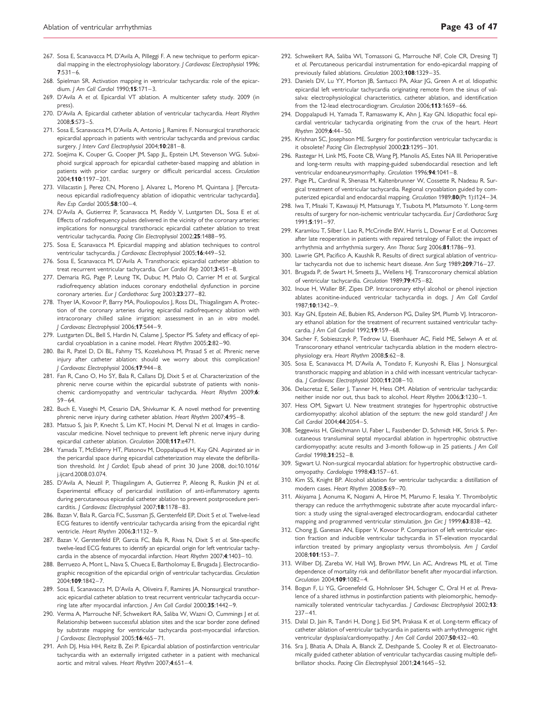- 267. Sosa E, Scanavacca M, D'Avila A, Pilleggi F. A new technique to perform epicardial mapping in the electrophysiology laboratory. | Cardiovasc Electrophysiol 1996;  $7:531 - 6.$
- 268. Spielman SR. Activation mapping in ventricular tachycardia: role of the epicardium. *| Am Coll Cardiol* 1990;15:171-3.
- 269. D'Avila A et al. Epicardial VT ablation. A multicenter safety study. 2009 (in press).
- 270. D'Avila A. Epicardial catheter ablation of ventricular tachycardia. Heart Rhythm 2008;5:S73 –5.
- 271. Sosa E, Scanavacca M, D'Avila A, Antonio J, Ramires F. Nonsurgical transthoracic epicardial approach in patients with ventricular tachycardia and previous cardiac surgery. J Interv Card Electrophysiol 2004;10:281-8.
- 272. Soejima K, Couper G, Cooper JM, Sapp JL, Epstein LM, Stevenson WG. Subxiphoid surgical approach for epicardial catheter-based mapping and ablation in patients with prior cardiac surgery or difficult pericardial access. Circulation 2004;110:1197 –201.
- 273. Villacastin J, Perez CN, Moreno J, Alvarez L, Moreno M, Quintana J. [Percutaneous epicardial radiofrequency ablation of idiopathic ventricular tachycardia]. Rev Esp Cardiol 2005;58:100-4.
- 274. D'Avila A, Gutierrez P, Scanavacca M, Reddy V, Lustgarten DL, Sosa E et al. Effects of radiofrequency pulses delivered in the vicinity of the coronary arteries: implications for nonsurgical transthoracic epicardial catheter ablation to treat ventricular tachycardia. Pacing Clin Electrophysiol 2002;25:1488-95.
- 275. Sosa E, Scanavacca M. Epicardial mapping and ablation techniques to control ventricular tachycardia. J Cardiovasc Electrophysiol 2005;16:449-52.
- 276. Sosa E, Scanavacca M, D'Avila A. Transthoracic epicardial catheter ablation to treat recurrent ventricular tachycardia. Curr Cardiol Rep 2001;3:451-8.
- 277. Demaria RG, Page P, Leung TK, Dubuc M, Malo O, Carrier M et al. Surgical radiofrequency ablation induces coronary endothelial dysfunction in porcine coronary arteries. Eur J Cardiothorac Surg 2003;23:277-82.
- 278. Thyer IA, Kovoor P, Barry MA, Pouliopoulos J, Ross DL, Thiagalingam A. Protection of the coronary arteries during epicardial radiofrequency ablation with intracoronary chilled saline irrigation: assessment in an in vitro model. J Cardiovasc Electrophysiol 2006;17:544 – 9.
- 279. Lustgarten DL, Bell S, Hardin N, Calame J, Spector PS. Safety and efficacy of epicardial cryoablation in a canine model. Heart Rhythm 2005:2:82-90.
- 280. Bai R, Patel D, Di BL, Fahmy TS, Kozeluhova M, Prasad S et al. Phrenic nerve injury after catheter ablation: should we worry about this complication? J Cardiovasc Electrophysiol 2006;17:944 – 8.
- 281. Fan R, Cano O, Ho SY, Bala R, Callans DJ, Dixit S et al. Characterization of the phrenic nerve course within the epicardial substrate of patients with nonischemic cardiomyopathy and ventricular tachycardia. Heart Rhythm 2009;6:  $59 - 64.$
- 282. Buch E, Vaseghi M, Cesario DA, Shivkumar K. A novel method for preventing phrenic nerve injury during catheter ablation. Heart Rhythm 2007;4:95–8.
- 283. Matsuo S, Jais P, Knecht S, Lim KT, Hocini M, Derval N et al. Images in cardiovascular medicine. Novel technique to prevent left phrenic nerve injury during epicardial catheter ablation. Circulation 2008;117:e471.
- 284. Yamada T, McElderry HT, Platonov M, Doppalapudi H, Kay GN. Aspirated air in the pericardial space during epicardial catheterization may elevate the defibrillation threshold. Int J Cardiol; Epub ahead of print 30 June 2008, doi:10.1016/ j.ijcard.2008.03.074.
- 285. D'Avila A, Neuzil P, Thiagalingam A, Gutierrez P, Aleong R, Ruskin JN et al. Experimental efficacy of pericardial instillation of anti-inflammatory agents during percutaneous epicardial catheter ablation to prevent postprocedure pericarditis. J Cardiovasc Electrophysiol 2007;18:1178-83.
- 286. Bazan V, Bala R, Garcia FC, Sussman JS, Gerstenfeld EP, Dixit S et al. Twelve-lead ECG features to identify ventricular tachycardia arising from the epicardial right ventricle. Heart Rhythm 2006;3:1132-9.
- 287. Bazan V, Gerstenfeld EP, Garcia FC, Bala R, Rivas N, Dixit S et al. Site-specific twelve-lead ECG features to identify an epicardial origin for left ventricular tachycardia in the absence of myocardial infarction. Heart Rhythm 2007;4:1403–10.
- 288. Berruezo A, Mont L, Nava S, Chueca E, Bartholomay E, Brugada J. Electrocardiographic recognition of the epicardial origin of ventricular tachycardias. Circulation 2004;109:1842 –7.
- 289. Sosa E, Scanavacca M, D'Avila A, Oliveira F, Ramires JA. Nonsurgical transthoracic epicardial catheter ablation to treat recurrent ventricular tachycardia occurring late after myocardial infarction. J Am Coll Cardiol 2000;35:1442-9.
- 290. Verma A, Marrouche NF, Schweikert RA, Saliba W, Wazni O, Cummings | et al. Relationship between successful ablation sites and the scar border zone defined by substrate mapping for ventricular tachycardia post-myocardial infarction. J Cardiovasc Electrophysiol 2005;16:465 – 71.
- 291. Anh DJ, Hsia HH, Reitz B, Zei P. Epicardial ablation of postinfarction ventricular tachycardia with an externally irrigated catheter in a patient with mechanical aortic and mitral valves. Heart Rhythm 2007;4:651–4.
- 292. Schweikert RA, Saliba WI, Tomassoni G, Marrouche NF, Cole CR, Dresing TJ et al. Percutaneous pericardial instrumentation for endo-epicardial mapping of previously failed ablations. Circulation 2003;108:1329-35.
- 293. Daniels DV, Lu YY, Morton JB, Santucci PA, Akar JG, Green A et al. Idiopathic epicardial left ventricular tachycardia originating remote from the sinus of valsalva: electrophysiological characteristics, catheter ablation, and identification from the 12-lead electrocardiogram. Circulation 2006;113:1659-66.
- 294. Doppalapudi H, Yamada T, Ramaswamy K, Ahn J, Kay GN. Idiopathic focal epicardial ventricular tachycardia originating from the crux of the heart. Heart Rhythm 2009;6:44–50.
- 295. Krishnan SC, Josephson ME. Surgery for postinfarction ventricular tachycardia: is it obsolete? Pacing Clin Electrophysiol 2000;23:1295-301.
- 296. Rastegar H, Link MS, Foote CB, Wang PJ, Manolis AS, Estes NA III. Perioperative and long-term results with mapping-guided subendocardial resection and left ventricular endoaneurysmorrhaphy. Circulation 1996;94:1041-8.
- 297. Page PL, Cardinal R, Shenasa M, Kaltenbrunner W, Cossette R, Nadeau R. Surgical treatment of ventricular tachycardia. Regional cryoablation guided by computerized epicardial and endocardial mapping. Circulation 1989;80(Pt 1):1124-34.
- 298. Iwa T, Misaki T, Kawasuji M, Matsunaga Y, Tsubota M, Matsumoto Y. Long-term results of surgery for non-ischemic ventricular tachycardia. Eur J Cardiothorac Surg 1991;5:191 – 97.
- 299. Karamlou T, Silber I, Lao R, McCrindle BW, Harris L, Downar E et al. Outcomes after late reoperation in patients with repaired tetralogy of Fallot: the impact of arrhythmia and arrhythmia surgery. Ann Thorac Surg 2006;81:1786-93.
- 300. Lawrie GM, Pacifico A, Kaushik R. Results of direct surgical ablation of ventricular tachycardia not due to ischemic heart disease. Ann Surg 1989;209:716-27.
- 301. Brugada P, de Swart H, Smeets JL, Wellens HJ. Transcoronary chemical ablation of ventricular tachycardia. Circulation 1989;79:475–82.
- 302. Inoue H, Waller BF, Zipes DP. Intracoronary ethyl alcohol or phenol injection ablates aconitine-induced ventricular tachycardia in dogs. | Am Coll Cardiol 1987;10:1342 –9.
- 303. Kay GN, Epstein AE, Bubien RS, Anderson PG, Dailey SM, Plumb VJ. Intracoronary ethanol ablation for the treatment of recurrent sustained ventricular tachycardia. J Am Coll Cardiol 1992;19:159-68.
- 304. Sacher F, Sobieszczyk P, Tedrow U, Eisenhauer AC, Field ME, Selwyn A et al. Transcoronary ethanol ventricular tachycardia ablation in the modern electrophysiology era. Heart Rhythm 2008;5:62–8.
- 305. Sosa E, Scanavacca M, D'Avila A, Tondato F, Kunyoshi R, Elias J. Nonsurgical transthoracic mapping and ablation in a child with incessant ventricular tachycardia. J Cardiovasc Electrophysiol 2000;11:208-10.
- 306. Delacretaz E, Seiler J, Tanner H, Hess OM. Ablation of ventricular tachycardia: neither inside nor out, thus back to alcohol. Heart Rhythm 2006;3:1230-1.
- 307. Hess OM, Sigwart U. New treatment strategies for hypertrophic obstructive cardiomyopathy: alcohol ablation of the septum: the new gold standard? J Am Coll Cardiol 2004;44:2054-5.
- 308. Seggewiss H, Gleichmann U, Faber L, Fassbender D, Schmidt HK, Strick S. Percutaneous transluminal septal myocardial ablation in hypertrophic obstructive cardiomyopathy: acute results and 3-month follow-up in 25 patients. J Am Coll Cardiol 1998:31:252-8.
- 309. Sigwart U. Non-surgical myocardial ablation: for hypertrophic obstructive cardiomyopathy. Cardiologia 1998;43:157-61.
- 310. Kim SS, Knight BP. Alcohol ablation for ventricular tachycardia: a distillation of modern cases. Heart Rhythm 2008;5:69-70.
- 311. Akiyama J, Aonuma K, Nogami A, Hiroe M, Marumo F, Iesaka Y. Thrombolytic therapy can reduce the arrhythmogenic substrate after acute myocardial infarction: a study using the signal-averaged electrocardiogram, endocardial catheter mapping and programmed ventricular stimulation. Jpn Circ J 1999;63:838-42.
- 312. Chong JJ, Ganesan AN, Eipper V, Kovoor P. Comparison of left ventricular ejection fraction and inducible ventricular tachycardia in ST-elevation myocardial infarction treated by primary angioplasty versus thrombolysis. Am J Cardiol 2008;101:153 – 7.
- 313. Wilber DJ, Zareba W, Hall WJ, Brown MW, Lin AC, Andrews ML et al. Time dependence of mortality risk and defibrillator benefit after myocardial infarction. Circulation 2004;109:1082 –4.
- 314. Bogun F, Li YG, Groenefeld G, Hohnloser SH, Schuger C, Oral H et al. Prevalence of a shared isthmus in postinfarction patients with pleiomorphic, hemodynamically tolerated ventricular tachycardias. J Cardiovasc Electrophysiol 2002;13: 237 –41.
- 315. Dalal D, Jain R, Tandri H, Dong J, Eid SM, Prakasa K et al. Long-term efficacy of catheter ablation of ventricular tachycardia in patients with arrhythmogenic right ventricular dysplasia/cardiomyopathy. J Am Coll Cardiol 2007;50:432-40.
- 316. Sra J, Bhatia A, Dhala A, Blanck Z, Deshpande S, Cooley R et al. Electroanatomically guided catheter ablation of ventricular tachycardias causing multiple defibrillator shocks. Pacing Clin Electrophysiol 2001;24:1645-52.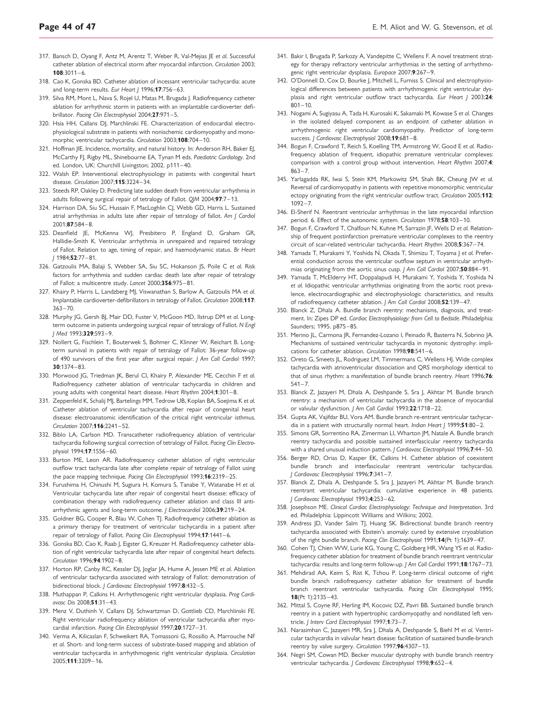- 317. Bansch D, Oyang F, Antz M, Arentz T, Weber R, Val-Mejias JE et al. Successful catheter ablation of electrical storm after myocardial infarction. Circulation 2003;  $108:3011 - 6.$
- 318. Cao K, Gonska BD. Catheter ablation of incessant ventricular tachycardia: acute and long-term results. Eur Heart J 1996;17:756-63.
- 319. Silva RM, Mont L, Nava S, Rojel U, Matas M, Brugada J. Radiofrequency catheter ablation for arrhythmic storm in patients with an implantable cardioverter defibrillator. Pacing Clin Electrophysiol 2004;27:971 –5.
- 320. Hsia HH, Callans DJ, Marchlinski FE. Characterization of endocardial electrophysiological substrate in patients with nonischemic cardiomyopathy and monomorphic ventricular tachycardia. Circulation 2003;108:704 –10.
- 321. Hoffman JIE. Incidence, mortality, and natural history. In: Anderson RH, Baker EJ, McCarthy FJ, Rigby ML, Shinebourne EA, Tynan M eds. Paediatric Cardiology. 2nd ed. London, UK: Churchill Livingston; 2002. p111-40.
- 322. Walsh EP. Interventional electrophysiology in patients with congenital heart disease. Circulation 2007;115:3224 – 34.
- 323. Steeds RP, Oakley D. Predicting late sudden death from ventricular arrhythmia in adults following surgical repair of tetralogy of Fallot. QJM 2004;97:7-13.
- 324. Harrison DA, Siu SC, Hussain F, MacLoghlin CJ, Webb GD, Harris L. Sustained atrial arrhythmias in adults late after repair of tetralogy of fallot. Am J Cardiol 2001;87:584 – 8.
- 325. Deanfield JE, McKenna WJ, Presbitero P, England D, Graham GR, Hallidie-Smith K. Ventricular arrhythmia in unrepaired and repaired tetralogy of Fallot. Relation to age, timing of repair, and haemodynamic status. Br Heart J 1984;52:77 –81.
- 326. Gatzoulis MA, Balaji S, Webber SA, Siu SC, Hokanson JS, Poile C et al. Risk factors for arrhythmia and sudden cardiac death late after repair of tetralogy of Fallot: a multicentre study. Lancet 2000;356:975–81.
- 327. Khairy P, Harris L, Landzberg MJ, Viswanathan S, Barlow A, Gatzoulis MA et al. Implantable cardioverter-defibrillators in tetralogy of Fallot. Circulation 2008;117: 363 –70.
- 328. Murphy JG, Gersh BJ, Mair DD, Fuster V, McGoon MD, Ilstrup DM et al. Longterm outcome in patients undergoing surgical repair of tetralogy of Fallot. N Engl J Med 1993;329:593 –9.
- 329. Nollert G, Fischlein T, Bouterwek S, Bohmer C, Klinner W, Reichart B. Longterm survival in patients with repair of tetralogy of Fallot: 36-year follow-up of 490 survivors of the first year after surgical repair. J Am Coll Cardiol 1997; 30:1374 – 83.
- 330. Morwood JG, Triedman JK, Berul CI, Khairy P, Alexander ME, Cecchin F et al. Radiofrequency catheter ablation of ventricular tachycardia in children and young adults with congenital heart disease. Heart Rhythm 2004;1:301 – 8.
- 331. Zeppenfeld K, Schalij MJ, Bartelings MM, Tedrow UB, Koplan BA, Soejima K et al. Catheter ablation of ventricular tachycardia after repair of congenital heart disease: electroanatomic identification of the critical right ventricular isthmus. Circulation 2007;116:2241 –52.
- 332. Biblo LA, Carlson MD. Transcatheter radiofrequency ablation of ventricular tachycardia following surgical correction of tetralogy of Fallot. Pacing Clin Electrophysiol 1994;17:1556 – 60.
- 333. Burton ME, Leon AR. Radiofrequency catheter ablation of right ventricular outflow tract tachycardia late after complete repair of tetralogy of Fallot using the pace mapping technique. Pacing Clin Electrophysiol 1993;16:2319-25.
- 334. Furushima H, Chinushi M, Sugiura H, Komura S, Tanabe Y, Watanabe H et al. Ventricular tachycardia late after repair of congenital heart disease: efficacy of combination therapy with radiofrequency catheter ablation and class III antiarrhythmic agents and long-term outcome. J Electrocardiol 2006;39:219-24.
- 335. Goldner BG, Cooper R, Blau W, Cohen TJ. Radiofrequency catheter ablation as a primary therapy for treatment of ventricular tachycardia in a patient after repair of tetralogy of Fallot. Pacing Clin Electrophysiol 1994;17:1441-6.
- 336. Gonska BD, Cao K, Raab J, Eigster G, Kreuzer H. Radiofrequency catheter ablation of right ventricular tachycardia late after repair of congenital heart defects. Circulation 1996;94:1902-8.
- 337. Horton RP, Canby RC, Kessler DJ, Joglar JA, Hume A, Jessen ME et al. Ablation of ventricular tachycardia associated with tetralogy of Fallot: demonstration of bidirectional block. J Cardiovasc Electrophysiol 1997;8:432-5.
- 338. Muthappan P, Calkins H. Arrhythmogenic right ventricular dysplasia. Prog Cardiovasc Dis 2008;51:31-43.
- 339. Menz V, Duthinh V, Callans DJ, Schwartzman D, Gottlieb CD, Marchlinski FE. Right ventricular radiofrequency ablation of ventricular tachycardia after myocardial infarction. Pacing Clin Electrophysiol 1997;20:1727-31.
- 340. Verma A, Kilicaslan F, Schweikert RA, Tomassoni G, Rossillo A, Marrouche NF et al. Short- and long-term success of substrate-based mapping and ablation of ventricular tachycardia in arrhythmogenic right ventricular dysplasia. Circulation 2005;111:3209 – 16.
- 341. Bakir I, Brugada P, Sarkozy A, Vandepitte C, Wellens F. A novel treatment strategy for therapy refractory ventricular arrhythmias in the setting of arrhythmogenic right ventricular dysplasia. Europace 2007;9:267–9.
- 342. O'Donnell D, Cox D, Bourke J, Mitchell L, Furniss S. Clinical and electrophysiological differences between patients with arrhythmogenic right ventricular dysplasia and right ventricular outflow tract tachycardia. Eur Heart J 2003;24:  $801 - 10$
- 343. Nogami A, Sugiyasu A, Tada H, Kurosaki K, Sakamaki M, Kowase S et al. Changes in the isolated delayed component as an endpoint of catheter ablation in arrhythmogenic right ventricular cardiomyopathy. Predictor of long-term success. J Cardiovasc Electrophysiol 2008;19:681-8.
- 344. Bogun F, Crawford T, Reich S, Koelling TM, Armstrong W, Good E et al. Radiofrequency ablation of frequent, idiopathic premature ventricular complexes: comparison with a control group without intervention. Heart Rhythm 2007;4: 863 –7.
- 345. Yarlagadda RK, Iwai S, Stein KM, Markowitz SM, Shah BK, Cheung JW et al. Reversal of cardiomyopathy in patients with repetitive monomorphic ventricular ectopy originating from the right ventricular outflow tract. Circulation 2005;112:  $1092 - 7$
- 346. El-Sherif N. Reentrant ventricular arrhythmias in the late myocardial infarction period. 6. Effect of the autonomic system. Circulation 1978:58:103-10.
- 347. Bogun F, Crawford T, Chalfoun N, Kuhne M, Sarrazin JF, Wells D et al. Relationship of frequent postinfarction premature ventricular complexes to the reentry circuit of scar-related ventricular tachycardia. Heart Rhythm 2008;5:367-74.
- 348. Yamada T, Murakami Y, Yoshida N, Okada T, Shimizu T, Toyama I et al. Preferential conduction across the ventricular outflow septum in ventricular arrhythmias originating from the aortic sinus cusp. J Am Coll Cardiol 2007;50:884-91.
- 349. Yamada T, McElderry HT, Doppalapudi H, Murakami Y, Yoshida Y, Yoshida N et al. Idiopathic ventricular arrhythmias originating from the aortic root prevalence, electrocardiographic and electrophysiologic characteristics, and results of radiofrequency catheter ablation. J Am Coll Cardiol 2008;52:139-47.
- 350. Blanck Z, Dhala A. Bundle branch reentry: mechanisms, diagnosis, and treatment. In: Zipes DP ed. Cardiac Electrophysiology: from Cell to Bedside. Philadelphia: Saunders; 1995. p875 –85.
- 351. Merino JL, Carmona JR, Fernandez-Lozano I, Peinado R, Basterra N, Sobrino JA. Mechanisms of sustained ventricular tachycardia in myotonic dystrophy: implications for catheter ablation. Circulation 1998;98:541 –6.
- 352. Oreto G, Smeets JL, Rodriguez LM, Timmermans C, Wellens HJ. Wide complex tachycardia with atrioventricular dissociation and QRS morphology identical to that of sinus rhythm: a manifestation of bundle branch reentry. Heart 1996;76:  $541 - 7$
- 353. Blanck Z, Jazayeri M, Dhala A, Deshpande S, Sra J, Akhtar M. Bundle branch reentry: a mechanism of ventricular tachycardia in the absence of myocardial or valvular dysfunction. J Am Coll Cardiol 1993;22:1718 –22.
- 354. Gupta AK, Vajifdar BU, Vora AM. Bundle branch re-entrant ventricular tachycardia in a patient with structurally normal heart. Indian Heart | 1999;51:80-2.
- 355. Simons GR, Sorrentino RA, Zimerman LI, Wharton JM, Natale A. Bundle branch reentry tachycardia and possible sustained interfascicular reentry tachycardia with a shared unusual induction pattern. J Cardiovasc Electrophysiol 1996;7:44-50.
- 356. Berger RD, Orias D, Kasper EK, Calkins H. Catheter ablation of coexistent bundle branch and interfascicular reentrant ventricular tachycardias. J Cardiovasc Electrophysiol 1996;7:341–7.
- 357. Blanck Z, Dhala A, Deshpande S, Sra J, Jazayeri M, Akhtar M. Bundle branch reentrant ventricular tachycardia: cumulative experience in 48 patients. J Cardiovasc Electrophysiol 1993;4:253–62.
- 358. Josephson ME. Clinical Cardiac Electrophysiology: Technique and Interpretation. 3rd ed. Philadelphia: Lippincott Williams and Wilkins; 2002.
- 359. Andress JD, Vander Salm TJ, Huang SK. Bidirectional bundle branch reentry tachycardia associated with Ebstein's anomaly: cured by extensive cryoablation of the right bundle branch. Pacing Clin Electrophysiol 1991;14(Pt 1):1639-47.
- 360. Cohen TJ, Chien WW, Lurie KG, Young C, Goldberg HR, Wang YS et al. Radiofrequency catheter ablation for treatment of bundle branch reentrant ventricular tachycardia: results and long-term follow-up. J Am Coll Cardiol 1991;18:1767-73.
- 361. Mehdirad AA, Keim S, Rist K, Tchou P. Long-term clinical outcome of right bundle branch radiofrequency catheter ablation for treatment of bundle branch reentrant ventricular tachycardia. Pacing Clin Electrophysiol 1995; 18(Pt 1):2135-43.
- 362. Mittal S, Coyne RF, Herling IM, Kocovic DZ, Pavri BB. Sustained bundle branch reentry in a patient with hypertrophic cardiomyopathy and nondilated left ventricle. J Interv Card Electrophysiol 1997;1:73-7.
- 363. Narasimhan C, Jazayeri MR, Sra J, Dhala A, Deshpande S, Biehl M et al. Ventricular tachycardia in valvular heart disease: facilitation of sustained bundle-branch reentry by valve surgery. Circulation 1997;96:4307-13.
- 364. Negri SM, Cowan MD. Becker muscular dystrophy with bundle branch reentry ventricular tachycardia. J Cardiovasc Electrophysiol 1998;9:652 – 4.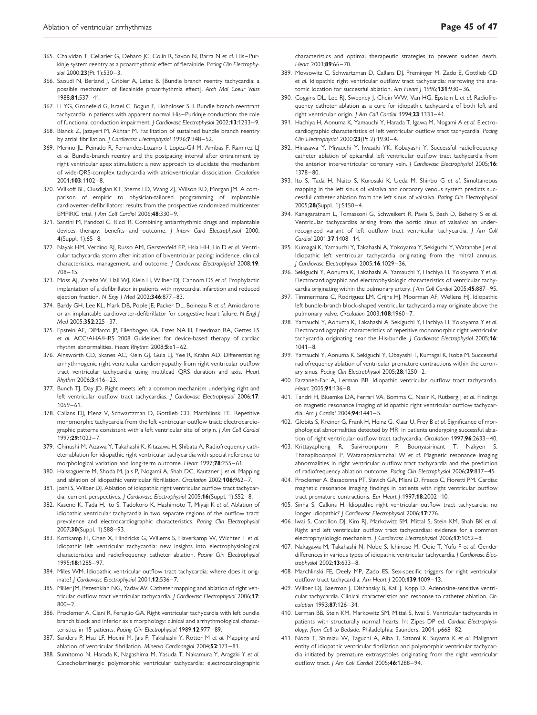- 365. Chalvidan T, Cellarier G, Deharo JC, Colin R, Savon N, Barra N et al. His-Purkinje system reentry as a proarrhythmic effect of flecainide. Pacing Clin Electrophysiol 2000;23(Pt 1):530-3.
- 366. Saoudi N, Berland J, Cribier A, Letac B. [Bundle branch reentry tachycardia: a possible mechanism of flecainide proarrhythmia effect]. Arch Mal Coeur Vaiss 1988;81:537–41.
- 367. Li YG, Gronefeld G, Israel C, Bogun F, Hohnloser SH. Bundle branch reentrant tachycardia in patients with apparent normal His –Purkinje conduction: the role of functional conduction impairment. J Cardiovasc Electrophysiol 2002;13:1233-9.
- 368. Blanck Z, Jazayeri M, Akhtar M. Facilitation of sustained bundle branch reentry by atrial fibrillation. *J Cardiovasc Electrophysiol* 1996;7:348-52.
- 369. Merino JL, Peinado R, Fernandez-Lozano I, Lopez-Gil M, Arribas F, Ramirez LJ et al. Bundle-branch reentry and the postpacing interval after entrainment by right ventricular apex stimulation: a new approach to elucidate the mechanism of wide-QRS-complex tachycardia with atrioventricular dissociation. Circulation 2001;103:1102 –8.
- 370. Wilkoff BL, Ousdigian KT, Sterns LD, Wang ZJ, Wilson RD, Morgan JM. A comparison of empiric to physician-tailored programming of implantable cardioverter-defibrillators: results from the prospective randomized multicenter EMPIRIC trial. J Am Coll Cardiol 2006;48:330-9.
- 371. Santini M, Pandozi C, Ricci R. Combining antiarrhythmic drugs and implantable devices therapy: benefits and outcome. J Interv Card Electrophysiol 2000;  $4$ (Suppl. 1):65-8.
- 372. Nayak HM, Verdino RJ, Russo AM, Gerstenfeld EP, Hsia HH, Lin D et al. Ventricular tachycardia storm after initiation of biventricular pacing: incidence, clinical characteristics, management, and outcome. J Cardiovasc Electrophysiol 2008;19: 708– 15.
- 373. Moss AJ, Zareba W, Hall WJ, Klein H, Wilber DJ, Cannom DS et al. Prophylactic implantation of a defibrillator in patients with myocardial infarction and reduced ejection fraction. N Engl J Med 2002;346:877-83.
- 374. Bardy GH, Lee KL, Mark DB, Poole JE, Packer DL, Boineau R et al. Amiodarone or an implantable cardioverter-defibrillator for congestive heart failure. N Engl J Med 2005:352:225-37.
- 375. Epstein AE, DiMarco JP, Ellenbogen KA, Estes NA III, Freedman RA, Gettes LS et al. ACC/AHA/HRS 2008 Guidelines for device-based therapy of cardiac rhythm abnormalities. Heart Rhythm 2008;5:e1 –62.
- 376. Ainsworth CD, Skanes AC, Klein GJ, Gula LJ, Yee R, Krahn AD. Differentiating arrhythmogenic right ventricular cardiomyopathy from right ventricular outflow tract ventricular tachycardia using multilead QRS duration and axis. Heart Rhythm 2006;3:416-23.
- 377. Bunch TJ, Day JD. Right meets left: a common mechanism underlying right and left ventricular outflow tract tachycardias. J Cardiovasc Electrophysiol 2006;17: 1059–61.
- 378. Callans DJ, Menz V, Schwartzman D, Gottlieb CD, Marchlinski FE. Repetitive monomorphic tachycardia from the left ventricular outflow tract: electrocardiographic patterns consistent with a left ventricular site of origin. J Am Coll Cardiol 1997;29:1023 –7.
- 379. Chinushi M, Aizawa Y, Takahashi K, Kitazawa H, Shibata A. Radiofrequency catheter ablation for idiopathic right ventricular tachycardia with special reference to morphological variation and long-term outcome. Heart 1997;78:255-61.
- 380. Haissaguerre M, Shoda M, Jais P, Nogami A, Shah DC, Kautzner J et al. Mapping and ablation of idiopathic ventricular fibrillation. Circulation  $2002:106:962 - 7$ .
- 381. Joshi S, Wilber DJ. Ablation of idiopathic right ventricular outflow tract tachycardia: current perspectives. J Cardiovasc Electrophysiol 2005;16(Suppl. 1):S52-8.
- 382. Kaseno K, Tada H, Ito S, Tadokoro K, Hashimoto T, Miyaji K et al. Ablation of idiopathic ventricular tachycardia in two separate regions of the outflow tract: prevalence and electrocardiographic characteristics. Pacing Clin Electrophysiol 2007;30(Suppl. 1):S88–93.
- 383. Kottkamp H, Chen X, Hindricks G, Willems S, Haverkamp W, Wichter T et al. Idiopathic left ventricular tachycardia: new insights into electrophysiological characteristics and radiofrequency catheter ablation. Pacing Clin Electrophysiol 1995;18:1285 –97.
- 384. Miles WM. Idiopathic ventricular outflow tract tachycardia: where does it originate? J Cardiovasc Electrophysiol 2001;12:536-7.
- 385. Miller JM, Pezeshkian NG, Yadav AV. Catheter mapping and ablation of right ventricular outflow tract ventricular tachycardia. *| Cardiovasc Electrophysiol* 2006;17:  $800 - 2.$
- 386. Proclemer A, Ciani R, Feruglio GA. Right ventricular tachycardia with left bundle branch block and inferior axis morphology: clinical and arrhythmological characteristics in 15 patients. Pacing Clin Electrophysiol 1989;12:977–89.
- 387. Sanders P, Hsu LF, Hocini M, Jais P, Takahashi Y, Rotter M et al. Mapping and ablation of ventricular fibrillation. Minerva Cardioangiol 2004;52:171–81.
- 388. Sumitomo N, Harada K, Nagashima M, Yasuda T, Nakamura Y, Aragaki Y et al. Catecholaminergic polymorphic ventricular tachycardia: electrocardiographic

characteristics and optimal therapeutic strategies to prevent sudden death. Heart 2003;89:66–70.

- 389. Movsowitz C, Schwartzman D, Callans DJ, Preminger M, Zado E, Gottlieb CD et al. Idiopathic right ventricular outflow tract tachycardia: narrowing the anatomic location for successful ablation. Am Heart J 1996;131:930-36.
- 390. Coggins DL, Lee RJ, Sweeney J, Chein WW, Van HG, Epstein L et al. Radiofrequency catheter ablation as a cure for idiopathic tachycardia of both left and right ventricular origin. J Am Coll Cardiol 1994;23:1333-41.
- 391. Hachiya H, Aonuma K, Yamauchi Y, Harada T, Igawa M, Nogami A et al. Electrocardiographic characteristics of left ventricular outflow tract tachycardia. Pacing Clin Electrophysiol 2000;23(Pt 2):1930-4.
- 392. Hirasawa Y, Miyauchi Y, Iwasaki YK, Kobayashi Y. Successful radiofrequency catheter ablation of epicardial left ventricular outflow tract tachycardia from the anterior interventricular coronary vein. J Cardiovasc Electrophysiol 2005;16: 1378 –80.
- 393. Ito S, Tada H, Naito S, Kurosaki K, Ueda M, Shinbo G et al. Simultaneous mapping in the left sinus of valsalva and coronary venous system predicts successful catheter ablation from the left sinus of valsalva. Pacing Clin Electrophysiol 2005:28(Suppl. 1):S150-4.
- 394. Kanagaratnam L, Tomassoni G, Schweikert R, Pavia S, Bash D, Beheiry S et al. Ventricular tachycardias arising from the aortic sinus of valsalva: an underrecognized variant of left outflow tract ventricular tachycardia. J Am Coll Cardiol 2001:37:1408-14.
- 395. Kumagai K, Yamauchi Y, Takahashi A, Yokoyama Y, Sekiguchi Y, Watanabe J et al. Idiopathic left ventricular tachycardia originating from the mitral annulus. J Cardiovasc Electrophysiol 2005;16:1029-36.
- 396. Sekiguchi Y, Aonuma K, Takahashi A, Yamauchi Y, Hachiya H, Yokoyama Y et al. Electrocardiographic and electrophysiologic characteristics of ventricular tachycardia originating within the pulmonary artery. J Am Coll Cardiol 2005;45:887-95.
- 397. Timmermans C, Rodriguez LM, Crijns HJ, Moorman AF, Wellens HJ. Idiopathic left bundle-branch block-shaped ventricular tachycardia may originate above the pulmonary valve. Circulation 2003;108:1960-7.
- 398. Yamauchi Y, Aonuma K, Takahashi A, Sekiguchi Y, Hachiya H, Yokoyama Y et al. Electrocardiographic characteristics of repetitive monomorphic right ventricular tachycardia originating near the His-bundle. J Cardiovasc Electrophysiol 2005;16:  $1041 - 8.$
- 399. Yamauchi Y, Aonuma K, Sekiguchi Y, Obayashi T, Kumagai K, Isobe M. Successful radiofrequency ablation of ventricular premature contractions within the coronary sinus. Pacing Clin Electrophysiol 2005;28:1250-2.
- 400. Farzaneh-Far A, Lerman BB. Idiopathic ventricular outflow tract tachycardia. Heart 2005;91:136-8.
- 401. Tandri H, Bluemke DA, Ferrari VA, Bomma C, Nasir K, Rutberg J et al. Findings on magnetic resonance imaging of idiopathic right ventricular outflow tachycardia. Am J Cardiol 2004;94:1441-5.
- 402. Globits S, Kreiner G, Frank H, Heinz G, Klaar U, Frey B et al. Significance of morphological abnormalities detected by MRI in patients undergoing successful ablation of right ventricular outflow tract tachycardia. Circulation 1997;96:2633-40.
- 403. Krittayaphong R, Saiviroonporn P, Boonyasirinant T, Nakyen S, Thanapiboonpol P, Watanaprakarnchai W et al. Magnetic resonance imaging abnormalities in right ventricular outflow tract tachycardia and the prediction of radiofrequency ablation outcome. Pacing Clin Electrophysiol 2006;29:837–45.
- 404. Proclemer A, Basadonna PT, Slavich GA, Miani D, Fresco C, Fioretti PM. Cardiac magnetic resonance imaging findings in patients with right ventricular outflow tract premature contractions. Eur Heart J 1997;18:2002-10.
- 405. Sinha S, Calkins H. Idiopathic right ventricular outflow tract tachycardia: no longer idiopathic? | Cardiovasc Electrophysiol 2006;17:776.
- 406. Iwai S, Cantillon DJ, Kim RJ, Markowitz SM, Mittal S, Stein KM, Shah BK et al. Right and left ventricular outflow tract tachycardias: evidence for a common electrophysiologic mechanism. J Cardiovasc Electrophysiol 2006;17:1052-8.
- 407. Nakagawa M, Takahashi N, Nobe S, Ichinose M, Ooie T, Yufu F et al. Gender differences in various types of idiopathic ventricular tachycardia. J Cardiovasc Electrophysiol 2002;13:633–8.
- 408. Marchlinski FE, Deely MP, Zado ES. Sex-specific triggers for right ventricular outflow tract tachycardia. Am Heart | 2000;139:1009-13.
- 409. Wilber DJ, Baerman J, Olshansky B, Kall J, Kopp D. Adenosine-sensitive ventricular tachycardia. Clinical characteristics and response to catheter ablation. Circulation 1993;87:126–34.
- 410. Lerman BB, Stein KM, Markowitz SM, Mittal S, Iwai S. Ventricular tachycardia in patients with structurally normal hearts. In: Zipes DP ed. Cardiac Electrophysiology: from Cell to Bedside. Philadelphia: Saunders; 2004. p668 –82.
- 411. Noda T, Shimizu W, Taguchi A, Aiba T, Satomi K, Suyama K et al. Malignant entity of idiopathic ventricular fibrillation and polymorphic ventricular tachycardia initiated by premature extrasystoles originating from the right ventricular outflow tract. J Am Coll Cardiol 2005;46:1288-94.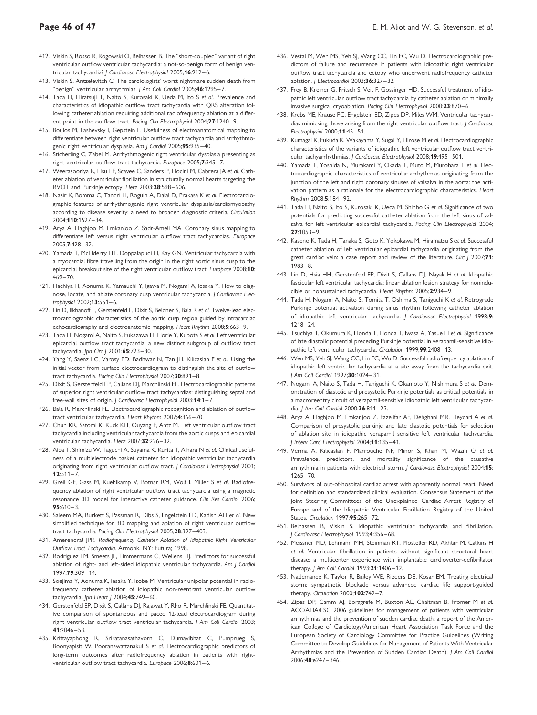- 412. Viskin S, Rosso R, Rogowski O, Belhassen B. The "short-coupled" variant of right ventricular outflow ventricular tachycardia: a not-so-benign form of benign ventricular tachycardia? J Cardiovasc Electrophysiol 2005;16:912-6.
- 413. Viskin S, Antzelevitch C. The cardiologists' worst nightmare sudden death from "benign" ventricular arrhythmias. J Am Coll Cardiol 2005;46:1295-7.
- 414. Tada H, Hiratsuji T, Naito S, Kurosaki K, Ueda M, Ito S et al. Prevalence and characteristics of idiopathic outflow tract tachycardia with QRS alteration following catheter ablation requiring additional radiofrequency ablation at a different point in the outflow tract. Pacing Clin Electrophysiol 2004:27:1240-9.
- 415. Boulos M, Lashevsky I, Gepstein L. Usefulness of electroanatomical mapping to differentiate between right ventricular outflow tract tachycardia and arrhythmogenic right ventricular dysplasia. Am J Cardiol 2005;95:935-40.
- 416. Sticherling C, Zabel M. Arrhythmogenic right ventricular dysplasia presenting as right ventricular outflow tract tachycardia. Europace 2005;7:345 –7.
- 417. Weerasooriya R, Hsu LF, Scavee C, Sanders P, Hocini M, Cabrera JA et al. Catheter ablation of ventricular fibrillation in structurally normal hearts targeting the RVOT and Purkinje ectopy. Herz 2003;28:598-606.
- 418. Nasir K, Bomma C, Tandri H, Roguin A, Dalal D, Prakasa K et al. Electrocardiographic features of arrhythmogenic right ventricular dysplasia/cardiomyopathy according to disease severity: a need to broaden diagnostic criteria. Circulation 2004;110:1527 – 34.
- 419. Arya A, Haghjoo M, Emkanjoo Z, Sadr-Ameli MA. Coronary sinus mapping to differentiate left versus right ventricular outflow tract tachycardias. Europace 2005;7:428 – 32.
- 420. Yamada T, McElderry HT, Doppalapudi H, Kay GN. Ventricular tachycardia with a myocardial fibre travelling from the origin in the right aortic sinus cusp to the epicardial breakout site of the right ventricular outflow tract. Europace 2008;10: 469 –70.
- 421. Hachiya H, Aonuma K, Yamauchi Y, Igawa M, Nogami A, Iesaka Y. How to diagnose, locate, and ablate coronary cusp ventricular tachycardia. J Cardiovasc Electrophysiol 2002;13:551–6.
- 422. Lin D, Ilkhanoff L, Gerstenfeld E, Dixit S, Beldner S, Bala R et al. Twelve-lead electrocardiographic characteristics of the aortic cusp region guided by intracardiac echocardiography and electroanatomic mapping. Heart Rhythm 2008;5:663–9.
- 423. Tada H, Nogami A, Naito S, Fukazawa H, Horie Y, Kubota S et al. Left ventricular epicardial outflow tract tachycardia: a new distinct subgroup of outflow tract tachycardia. Jpn Circ J 2001;65:723–30.
- 424. Yang Y, Saenz LC, Varosy PD, Badhwar N, Tan JH, Kilicaslan F et al. Using the initial vector from surface electrocardiogram to distinguish the site of outflow tract tachycardia. Pacing Clin Electrophysiol 2007;30:891-8.
- 425. Dixit S, Gerstenfeld EP, Callans DJ, Marchlinski FE. Electrocardiographic patterns of superior right ventricular outflow tract tachycardias: distinguishing septal and free-wall sites of origin. J Cardiovasc Electrophysiol 2003;14:1-7.
- 426. Bala R, Marchlinski FE. Electrocardiographic recognition and ablation of outflow tract ventricular tachycardia. Heart Rhythm 2007;4:366 –70.
- 427. Chun KR, Satomi K, Kuck KH, Ouyang F, Antz M. Left ventricular outflow tract tachycardia including ventricular tachycardia from the aortic cusps and epicardial ventricular tachycardia. Herz 2007;32:226 –32.
- 428. Aiba T, Shimizu W, Taguchi A, Suyama K, Kurita T, Aihara N et al. Clinical usefulness of a multielectrode basket catheter for idiopathic ventricular tachycardia originating from right ventricular outflow tract. J Cardiovasc Electrophysiol 2001;  $12:511 - 7.$
- 429. Greil GF, Gass M, Kuehlkamp V, Botnar RM, Wolf I, Miller S et al. Radiofrequency ablation of right ventricular outflow tract tachycardia using a magnetic resonance 3D model for interactive catheter guidance. Clin Res Cardiol 2006;  $95:610 - 3.$
- 430. Saleem MA, Burkett S, Passman R, Dibs S, Engelstein ED, Kadish AH et al. New simplified technique for 3D mapping and ablation of right ventricular outflow tract tachycardia. Pacing Clin Electrophysiol 2005;28:397–403.
- 431. Amerendral JPR. Radiofrequency Catheter Ablation of Idiopathic Right Ventricular Outflow Tract Tachycardia. Armonk, NY: Futura; 1998.
- 432. Rodriguez LM, Smeets IL, Timmermans C, Wellens HI, Predictors for successful ablation of right- and left-sided idiopathic ventricular tachycardia. Am J Cardiol 1997;79:309 – 14.
- 433. Soejima Y, Aonuma K, Iesaka Y, Isobe M. Ventricular unipolar potential in radiofrequency catheter ablation of idiopathic non-reentrant ventricular outflow tachycardia. Jpn Heart J 2004; 45:749 - 60.
- 434. Gerstenfeld EP, Dixit S, Callans DJ, Rajawat Y, Rho R, Marchlinski FE. Quantitative comparison of spontaneous and paced 12-lead electrocardiogram during right ventricular outflow tract ventricular tachycardia. J Am Coll Cardiol 2003; 41:2046 – 53.
- 435. Krittayaphong R, Sriratanasathavorn C, Dumavibhat C, Pumprueg S, Boonyapisit W, Pooranawattanakul S et al. Electrocardiographic predictors of long-term outcomes after radiofrequency ablation in patients with rightventricular outflow tract tachycardia. Europace 2006;8:601 –6.
- 436. Vestal M, Wen MS, Yeh SJ, Wang CC, Lin FC, Wu D. Electrocardiographic predictors of failure and recurrence in patients with idiopathic right ventricular outflow tract tachycardia and ectopy who underwent radiofrequency catheter ablation. | Electrocardiol 2003;36:327-32.
- 437. Frey B, Kreiner G, Fritsch S, Veit F, Gossinger HD. Successful treatment of idiopathic left ventricular outflow tract tachycardia by catheter ablation or minimally invasive surgical cryoablation. Pacing Clin Electrophysiol 2000;23:870-6.
- 438. Krebs ME, Krause PC, Engelstein ED, Zipes DP, Miles WM. Ventricular tachycardias mimicking those arising from the right ventricular outflow tract. J Cardiovasc Electrophysiol 2000;11:45– 51.
- 439. Kumagai K, Fukuda K, Wakayama Y, Sugai Y, Hirose M et al. Electrocardiographic characteristics of the variants of idiopathic left ventricular outflow tract ventricular tachyarrhythmias. J Cardiovasc Electrophysiol 2008;19:495-501.
- 440. Yamada T, Yoshida N, Murakami Y, Okada T, Muto M, Murohara T et al. Electrocardiographic characteristics of ventricular arrhythmias originating from the junction of the left and right coronary sinuses of valsalva in the aorta: the activation pattern as a rationale for the electrocardiographic characteristics. Heart Rhythm 2008;5:184–92.
- 441. Tada H, Naito S, Ito S, Kurosaki K, Ueda M, Shinbo G et al. Significance of two potentials for predicting successful catheter ablation from the left sinus of valsalva for left ventricular epicardial tachycardia. Pacing Clin Electrophysiol 2004;  $27.1053 - 9$
- 442. Kaseno K, Tada H, Tanaka S, Goto K, Yokokawa M, Hiramatsu S et al. Successful catheter ablation of left ventricular epicardial tachycardia originating from the great cardiac vein: a case report and review of the literature. Circ J 2007;71: 1983 –8.
- 443. Lin D, Hsia HH, Gerstenfeld EP, Dixit S, Callans DJ, Nayak H et al. Idiopathic fascicular left ventricular tachycardia: linear ablation lesion strategy for noninducible or nonsustained tachycardia. Heart Rhythm 2005;2:934 –9.
- 444. Tada H, Nogami A, Naito S, Tomita T, Oshima S, Taniguchi K et al. Retrograde Purkinje potential activation during sinus rhythm following catheter ablation of idiopathic left ventricular tachycardia. J Cardiovasc Electrophysiol 1998;9: 1218 –24.
- 445. Tsuchiya T, Okumura K, Honda T, Honda T, Iwasa A, Yasue H et al. Significance of late diastolic potential preceding Purkinje potential in verapamil-sensitive idiopathic left ventricular tachycardia. Circulation 1999;99:2408-13.
- 446. Wen MS, Yeh SJ, Wang CC, Lin FC, Wu D. Successful radiofrequency ablation of idiopathic left ventricular tachycardia at a site away from the tachycardia exit. J Am Coll Cardiol 1997;30:1024 –31.
- 447. Nogami A, Naito S, Tada H, Taniguchi K, Okamoto Y, Nishimura S et al. Demonstration of diastolic and presystolic Purkinje potentials as critical potentials in a macroreentry circuit of verapamil-sensitive idiopathic left ventricular tachycardia. *J Am Coll Cardiol* 2000;36:811-23.
- 448. Arya A, Haghjoo M, Emkanjoo Z, Fazelifar AF, Dehghani MR, Heydari A et al. Comparison of presystolic purkinje and late diastolic potentials for selection of ablation site in idiopathic verapamil sensitive left ventricular tachycardia. J Interv Card Electrophysiol 2004;11:135 –41.
- 449. Verma A, Kilicaslan F, Marrouche NF, Minor S, Khan M, Wazni O et al. Prevalence, predictors, and mortality significance of the causative arrhythmia in patients with electrical storm. J Cardiovasc Electrophysiol 2004;15: 1265 –70.
- 450. Survivors of out-of-hospital cardiac arrest with apparently normal heart. Need for definition and standardized clinical evaluation. Consensus Statement of the Joint Steering Committees of the Unexplained Cardiac Arrest Registry of Europe and of the Idiopathic Ventricular Fibrillation Registry of the United States. Circulation 1997:95:265-72.
- 451. Belhassen B, Viskin S. Idiopathic ventricular tachycardia and fibrillation. J Cardiovasc Electrophysiol 1993;4:356–68.
- 452. Meissner MD, Lehmann MH, Steinman RT, Mosteller RD, Akhtar M, Calkins H et al. Ventricular fibrillation in patients without significant structural heart disease: a multicenter experience with implantable cardioverter-defibrillator therapy. J Am Coll Cardiol 1993;21:1406-12.
- 453. Nademanee K, Taylor R, Bailey WE, Rieders DE, Kosar EM. Treating electrical storm: sympathetic blockade versus advanced cardiac life support-guided therapy. Circulation 2000;102:742-7.
- 454. Zipes DP, Camm AJ, Borggrefe M, Buxton AE, Chaitman B, Fromer M et al. ACC/AHA/ESC 2006 guidelines for management of patients with ventricular arrhythmias and the prevention of sudden cardiac death: a report of the American College of Cardiology/American Heart Association Task Force and the European Society of Cardiology Committee for Practice Guidelines (Writing Committee to Develop Guidelines for Management of Patients With Ventricular Arrhythmias and the Prevention of Sudden Cardiac Death). J Am Coll Cardiol 2006;48:e247 – 346.